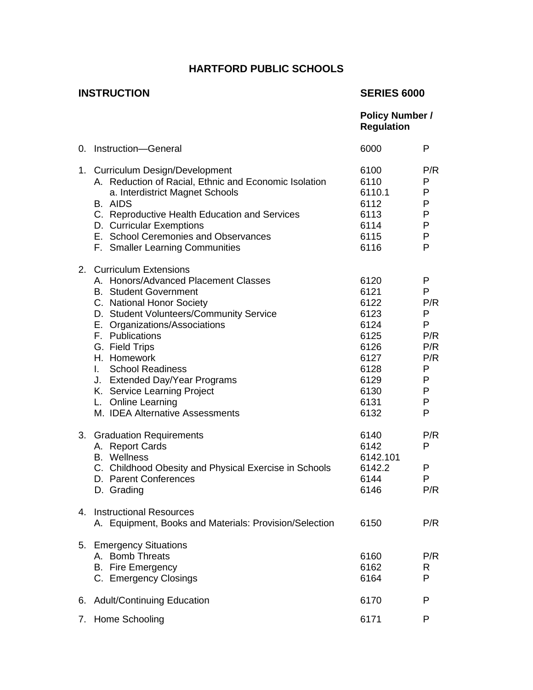# **HARTFORD PUBLIC SCHOOLS**

# **INSTRUCTION SERIES 6000**

|                |                                                                                                                                                                                                                                                                                                                                                                                                                                    | <b>Policy Number /</b><br><b>Regulation</b>                                                          |                                                                       |
|----------------|------------------------------------------------------------------------------------------------------------------------------------------------------------------------------------------------------------------------------------------------------------------------------------------------------------------------------------------------------------------------------------------------------------------------------------|------------------------------------------------------------------------------------------------------|-----------------------------------------------------------------------|
|                | 0. Instruction-General                                                                                                                                                                                                                                                                                                                                                                                                             | 6000                                                                                                 | P                                                                     |
|                | 1. Curriculum Design/Development<br>A. Reduction of Racial, Ethnic and Economic Isolation<br>a. Interdistrict Magnet Schools<br><b>B.</b> AIDS<br>C. Reproductive Health Education and Services<br>D. Curricular Exemptions<br>E. School Ceremonies and Observances<br>F. Smaller Learning Communities                                                                                                                             | 6100<br>6110<br>6110.1<br>6112<br>6113<br>6114<br>6115<br>6116                                       | P/R<br>P<br>P<br>P<br>P<br>P<br>$\mathsf{P}$<br>P                     |
| 2 <sub>1</sub> | <b>Curriculum Extensions</b><br>A. Honors/Advanced Placement Classes<br><b>B.</b> Student Government<br>C. National Honor Society<br>D. Student Volunteers/Community Service<br>E. Organizations/Associations<br>F. Publications<br>G. Field Trips<br>H. Homework<br><b>School Readiness</b><br>L.<br>J. Extended Day/Year Programs<br>K. Service Learning Project<br>L. Online Learning<br>M. <b>IDEA Alternative Assessments</b> | 6120<br>6121<br>6122<br>6123<br>6124<br>6125<br>6126<br>6127<br>6128<br>6129<br>6130<br>6131<br>6132 | P<br>P<br>P/R<br>P<br>P<br>P/R<br>P/R<br>P/R<br>P<br>P<br>P<br>P<br>P |
|                | 3. Graduation Requirements<br>A. Report Cards<br><b>B.</b> Wellness<br>C. Childhood Obesity and Physical Exercise in Schools<br>D. Parent Conferences<br>D. Grading                                                                                                                                                                                                                                                                | 6140<br>6142<br>6142.101<br>6142.2<br>6144<br>6146                                                   | P/R<br>P<br>P<br>P<br>P/R                                             |
|                | 4. Instructional Resources<br>A. Equipment, Books and Materials: Provision/Selection                                                                                                                                                                                                                                                                                                                                               | 6150                                                                                                 | P/R                                                                   |
|                | 5. Emergency Situations<br>A. Bomb Threats<br><b>B.</b> Fire Emergency<br>C. Emergency Closings                                                                                                                                                                                                                                                                                                                                    | 6160<br>6162<br>6164                                                                                 | P/R<br>R<br>P                                                         |
| 6.             | <b>Adult/Continuing Education</b>                                                                                                                                                                                                                                                                                                                                                                                                  | 6170                                                                                                 | P                                                                     |
| 7.             | <b>Home Schooling</b>                                                                                                                                                                                                                                                                                                                                                                                                              | 6171                                                                                                 | P                                                                     |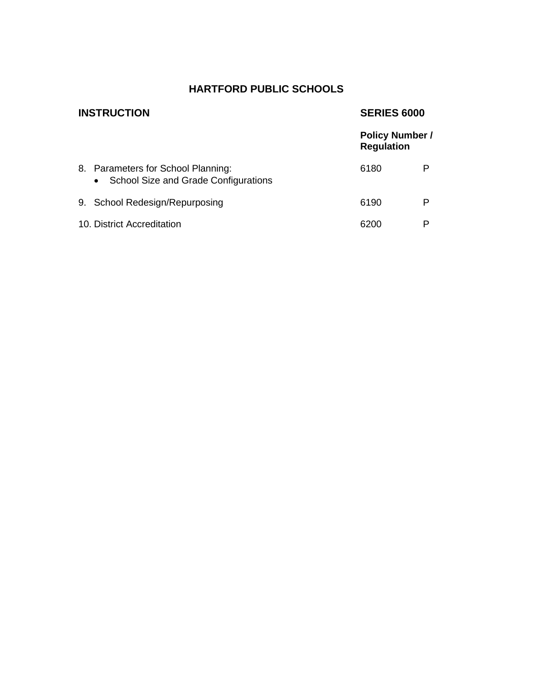# **HARTFORD PUBLIC SCHOOLS**

| <b>INSTRUCTION</b>                                                                      | <b>SERIES 6000</b>                          |   |
|-----------------------------------------------------------------------------------------|---------------------------------------------|---|
|                                                                                         | <b>Policy Number /</b><br><b>Regulation</b> |   |
| 8. Parameters for School Planning:<br>School Size and Grade Configurations<br>$\bullet$ | 6180                                        |   |
| 9. School Redesign/Repurposing                                                          | 6190                                        | Р |
| 10. District Accreditation                                                              | 6200                                        |   |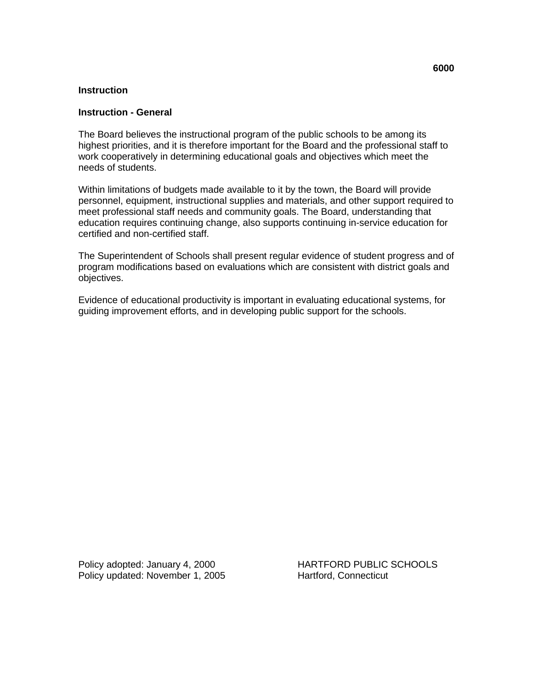#### **Instruction - General**

The Board believes the instructional program of the public schools to be among its highest priorities, and it is therefore important for the Board and the professional staff to work cooperatively in determining educational goals and objectives which meet the needs of students.

Within limitations of budgets made available to it by the town, the Board will provide personnel, equipment, instructional supplies and materials, and other support required to meet professional staff needs and community goals. The Board, understanding that education requires continuing change, also supports continuing in-service education for certified and non-certified staff.

The Superintendent of Schools shall present regular evidence of student progress and of program modifications based on evaluations which are consistent with district goals and objectives.

Evidence of educational productivity is important in evaluating educational systems, for guiding improvement efforts, and in developing public support for the schools.

Policy updated: November 1, 2005 Hartford, Connecticut

Policy adopted: January 4, 2000 HARTFORD PUBLIC SCHOOLS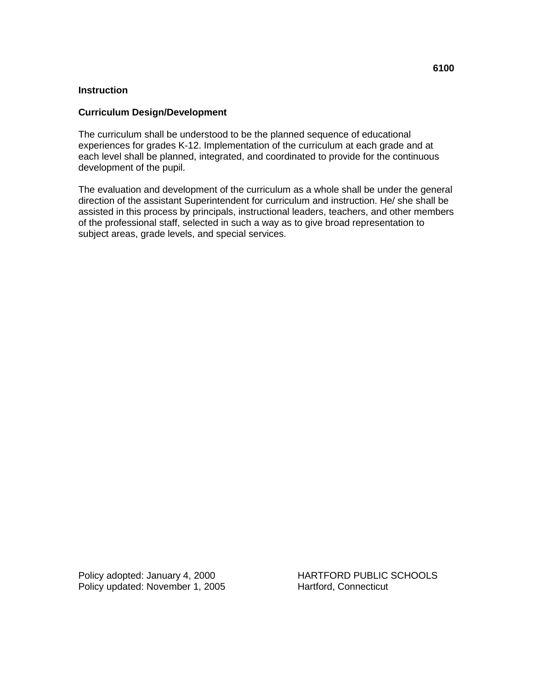# **Curriculum Design/Development**

The curriculum shall be understood to be the planned sequence of educational experiences for grades K-12. Implementation of the curriculum at each grade and at each level shall be planned, integrated, and coordinated to provide for the continuous development of the pupil.

The evaluation and development of the curriculum as a whole shall be under the general direction of the assistant Superintendent for curriculum and instruction. He/ she shall be assisted in this process by principals, instructional leaders, teachers, and other members of the professional staff, selected in such a way as to give broad representation to subject areas, grade levels, and special services.

Policy updated: November 1, 2005 Hartford, Connecticut

Policy adopted: January 4, 2000 HARTFORD PUBLIC SCHOOLS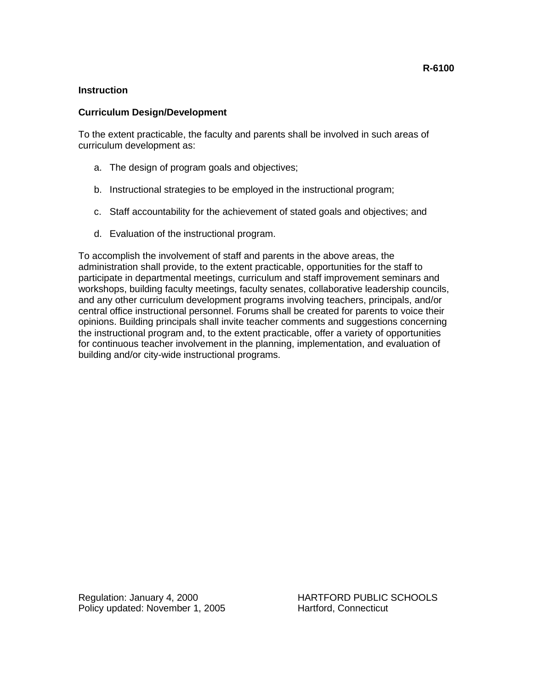# **Curriculum Design/Development**

To the extent practicable, the faculty and parents shall be involved in such areas of curriculum development as:

- a. The design of program goals and objectives;
- b. Instructional strategies to be employed in the instructional program;
- c. Staff accountability for the achievement of stated goals and objectives; and
- d. Evaluation of the instructional program.

To accomplish the involvement of staff and parents in the above areas, the administration shall provide, to the extent practicable, opportunities for the staff to participate in departmental meetings, curriculum and staff improvement seminars and workshops, building faculty meetings, faculty senates, collaborative leadership councils, and any other curriculum development programs involving teachers, principals, and/or central office instructional personnel. Forums shall be created for parents to voice their opinions. Building principals shall invite teacher comments and suggestions concerning the instructional program and, to the extent practicable, offer a variety of opportunities for continuous teacher involvement in the planning, implementation, and evaluation of building and/or city-wide instructional programs.

Regulation: January 4, 2000 HARTFORD PUBLIC SCHOOLS Policy updated: November 1, 2005 Hartford, Connecticut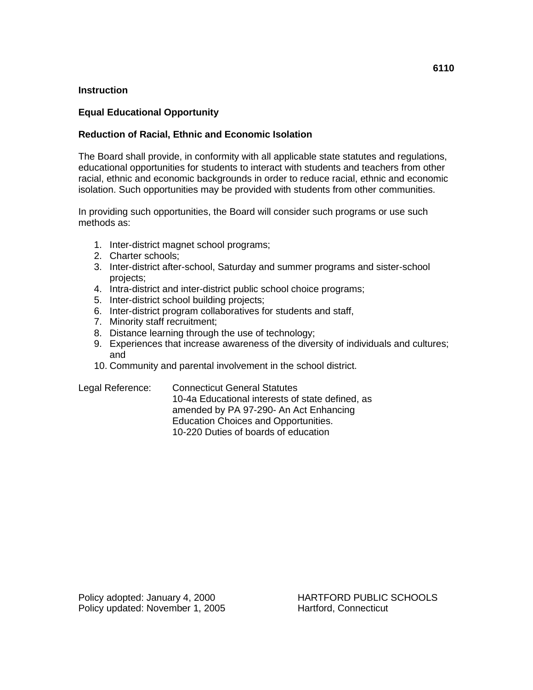# **Equal Educational Opportunity**

# **Reduction of Racial, Ethnic and Economic Isolation**

The Board shall provide, in conformity with all applicable state statutes and regulations, educational opportunities for students to interact with students and teachers from other racial, ethnic and economic backgrounds in order to reduce racial, ethnic and economic isolation. Such opportunities may be provided with students from other communities.

In providing such opportunities, the Board will consider such programs or use such methods as:

- 1. Inter-district magnet school programs;
- 2. Charter schools;
- 3. Inter-district after-school, Saturday and summer programs and sister-school projects;
- 4. Intra-district and inter-district public school choice programs;
- 5. Inter-district school building projects;
- 6. Inter-district program collaboratives for students and staff,
- 7. Minority staff recruitment;
- 8. Distance learning through the use of technology;
- 9. Experiences that increase awareness of the diversity of individuals and cultures; and
- 10. Community and parental involvement in the school district.

Legal Reference: Connecticut General Statutes 10-4a Educational interests of state defined, as amended by PA 97-290- An Act Enhancing Education Choices and Opportunities. 10-220 Duties of boards of education

**6110**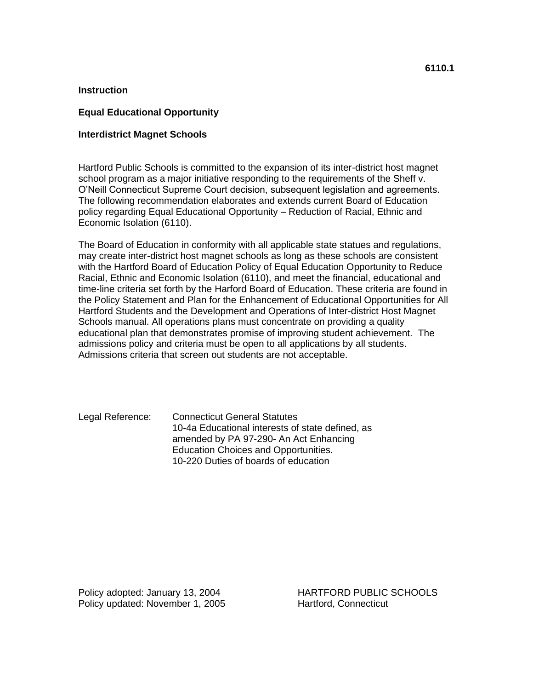#### **Equal Educational Opportunity**

#### **Interdistrict Magnet Schools**

Hartford Public Schools is committed to the expansion of its inter-district host magnet school program as a major initiative responding to the requirements of the Sheff v. O'Neill Connecticut Supreme Court decision, subsequent legislation and agreements. The following recommendation elaborates and extends current Board of Education policy regarding Equal Educational Opportunity – Reduction of Racial, Ethnic and Economic Isolation (6110).

The Board of Education in conformity with all applicable state statues and regulations, may create inter-district host magnet schools as long as these schools are consistent with the Hartford Board of Education Policy of Equal Education Opportunity to Reduce Racial, Ethnic and Economic Isolation (6110), and meet the financial, educational and time-line criteria set forth by the Harford Board of Education. These criteria are found in the Policy Statement and Plan for the Enhancement of Educational Opportunities for All Hartford Students and the Development and Operations of Inter-district Host Magnet Schools manual. All operations plans must concentrate on providing a quality educational plan that demonstrates promise of improving student achievement. The admissions policy and criteria must be open to all applications by all students. Admissions criteria that screen out students are not acceptable.

Legal Reference: Connecticut General Statutes 10-4a Educational interests of state defined, as amended by PA 97-290- An Act Enhancing Education Choices and Opportunities. 10-220 Duties of boards of education

Policy updated: November 1, 2005 Hartford, Connecticut

Policy adopted: January 13, 2004 HARTFORD PUBLIC SCHOOLS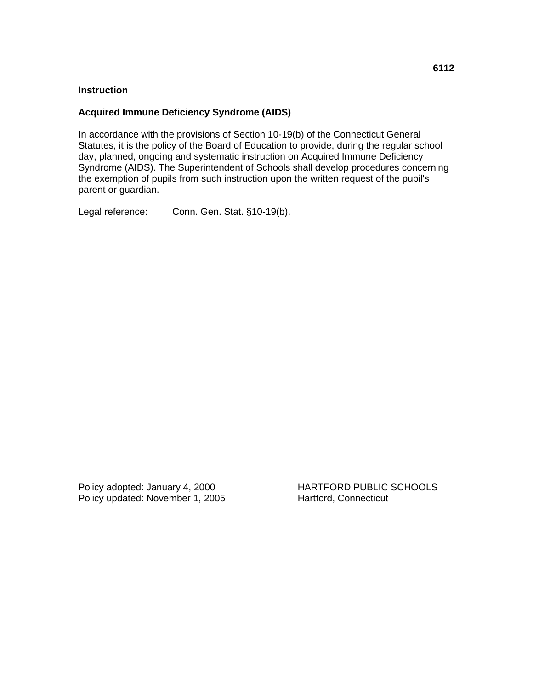# **Acquired Immune Deficiency Syndrome (AIDS)**

In accordance with the provisions of Section 10-19(b) of the Connecticut General Statutes, it is the policy of the Board of Education to provide, during the regular school day, planned, ongoing and systematic instruction on Acquired Immune Deficiency Syndrome (AIDS). The Superintendent of Schools shall develop procedures concerning the exemption of pupils from such instruction upon the written request of the pupil's parent or guardian.

Legal reference: Conn. Gen. Stat. §10-19(b).

Policy adopted: January 4, 2000 HARTFORD PUBLIC SCHOOLS Policy updated: November 1, 2005 Hartford, Connecticut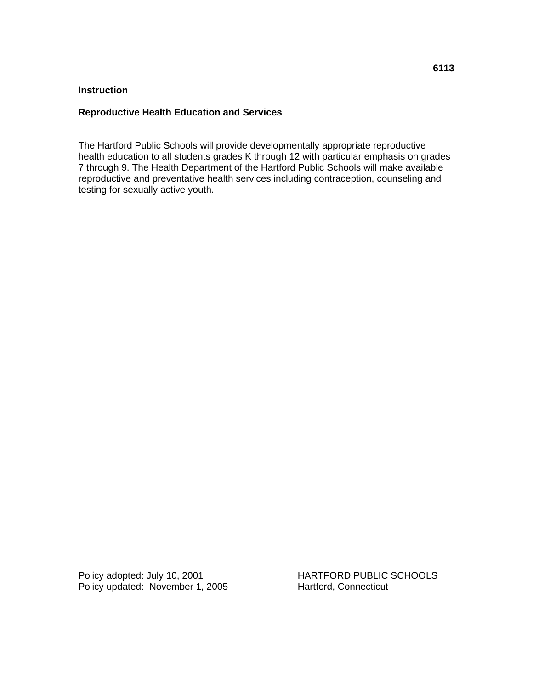# **Reproductive Health Education and Services**

The Hartford Public Schools will provide developmentally appropriate reproductive health education to all students grades K through 12 with particular emphasis on grades 7 through 9. The Health Department of the Hartford Public Schools will make available reproductive and preventative health services including contraception, counseling and testing for sexually active youth.

Policy adopted: July 10, 2001 HARTFORD PUBLIC SCHOOLS Policy updated: November 1, 2005 Hartford, Connecticut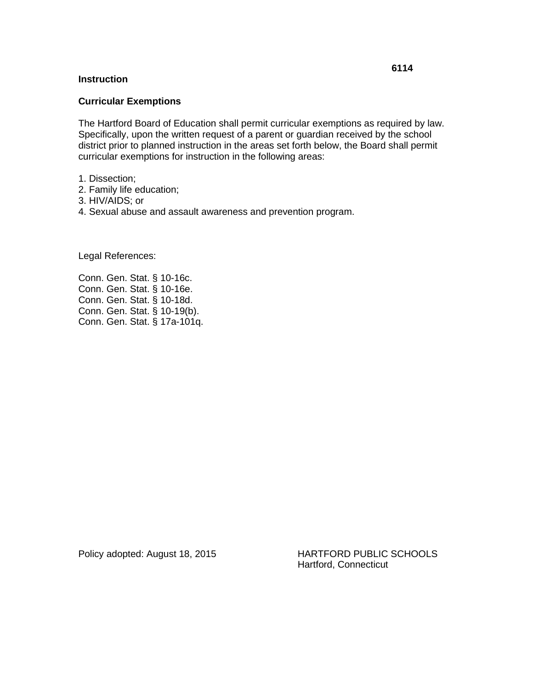#### **Curricular Exemptions**

The Hartford Board of Education shall permit curricular exemptions as required by law. Specifically, upon the written request of a parent or guardian received by the school district prior to planned instruction in the areas set forth below, the Board shall permit curricular exemptions for instruction in the following areas:

- 1. Dissection;
- 2. Family life education;
- 3. HIV/AIDS; or
- 4. Sexual abuse and assault awareness and prevention program.

Legal References:

Conn. Gen. Stat. § 10-16c. Conn. Gen. Stat. § 10-16e. Conn. Gen. Stat. § 10-18d. Conn. Gen. Stat. § 10-19(b). Conn. Gen. Stat. § 17a-101q.

Policy adopted: August 18, 2015 HARTFORD PUBLIC SCHOOLS Hartford, Connecticut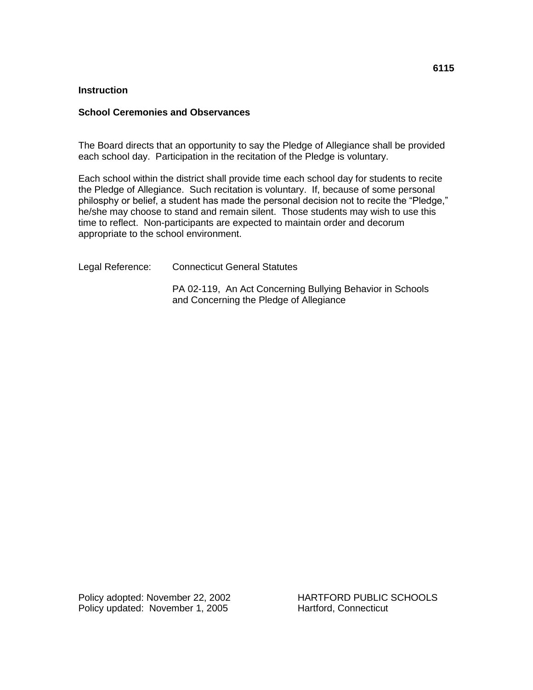#### **School Ceremonies and Observances**

The Board directs that an opportunity to say the Pledge of Allegiance shall be provided each school day. Participation in the recitation of the Pledge is voluntary.

Each school within the district shall provide time each school day for students to recite the Pledge of Allegiance. Such recitation is voluntary. If, because of some personal philosphy or belief, a student has made the personal decision not to recite the "Pledge," he/she may choose to stand and remain silent. Those students may wish to use this time to reflect. Non-participants are expected to maintain order and decorum appropriate to the school environment.

Legal Reference: Connecticut General Statutes

PA 02-119, An Act Concerning Bullying Behavior in Schools and Concerning the Pledge of Allegiance

Policy adopted: November 22, 2002 HARTFORD PUBLIC SCHOOLS Policy updated: November 1, 2005 Hartford, Connecticut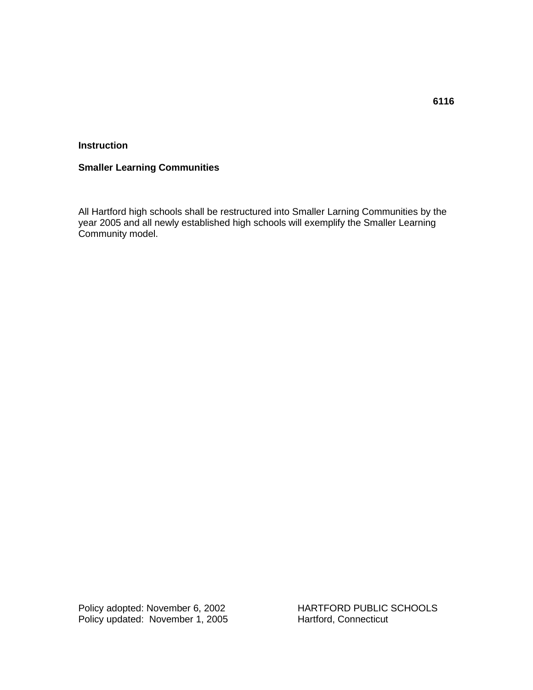# **Smaller Learning Communities**

All Hartford high schools shall be restructured into Smaller Larning Communities by the year 2005 and all newly established high schools will exemplify the Smaller Learning Community model.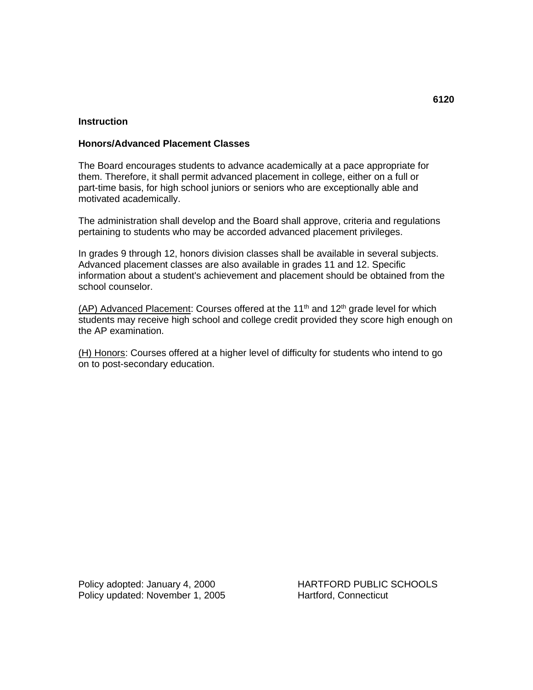# **Honors/Advanced Placement Classes**

The Board encourages students to advance academically at a pace appropriate for them. Therefore, it shall permit advanced placement in college, either on a full or part-time basis, for high school juniors or seniors who are exceptionally able and motivated academically.

The administration shall develop and the Board shall approve, criteria and regulations pertaining to students who may be accorded advanced placement privileges.

In grades 9 through 12, honors division classes shall be available in several subjects. Advanced placement classes are also available in grades 11 and 12. Specific information about a student's achievement and placement should be obtained from the school counselor.

 $(AP)$  Advanced Placement: Courses offered at the 11<sup>th</sup> and 12<sup>th</sup> grade level for which students may receive high school and college credit provided they score high enough on the AP examination.

(H) Honors: Courses offered at a higher level of difficulty for students who intend to go on to post-secondary education.

Policy adopted: January 4, 2000 HARTFORD PUBLIC SCHOOLS Policy updated: November 1, 2005 Hartford, Connecticut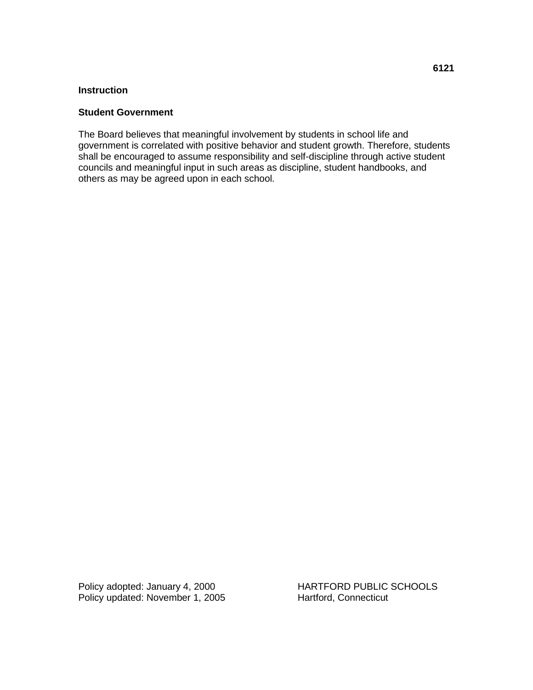## **Student Government**

The Board believes that meaningful involvement by students in school life and government is correlated with positive behavior and student growth. Therefore, students shall be encouraged to assume responsibility and self-discipline through active student councils and meaningful input in such areas as discipline, student handbooks, and others as may be agreed upon in each school.

Policy adopted: January 4, 2000<br>
Policy updated: November 1, 2005<br>
Hartford, Connecticut Policy updated: November 1, 2005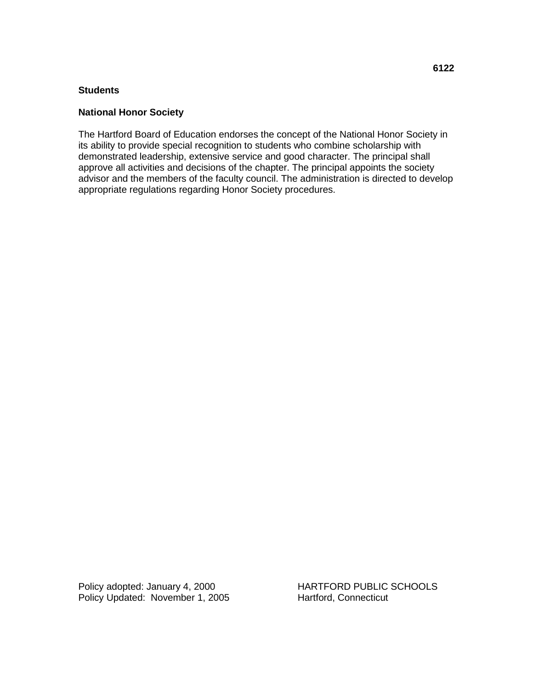#### **Students**

#### **National Honor Society**

The Hartford Board of Education endorses the concept of the National Honor Society in its ability to provide special recognition to students who combine scholarship with demonstrated leadership, extensive service and good character. The principal shall approve all activities and decisions of the chapter. The principal appoints the society advisor and the members of the faculty council. The administration is directed to develop appropriate regulations regarding Honor Society procedures.

Policy adopted: January 4, 2000 HARTFORD PUBLIC SCHOOLS Policy Updated: November 1, 2005 Hartford, Connecticut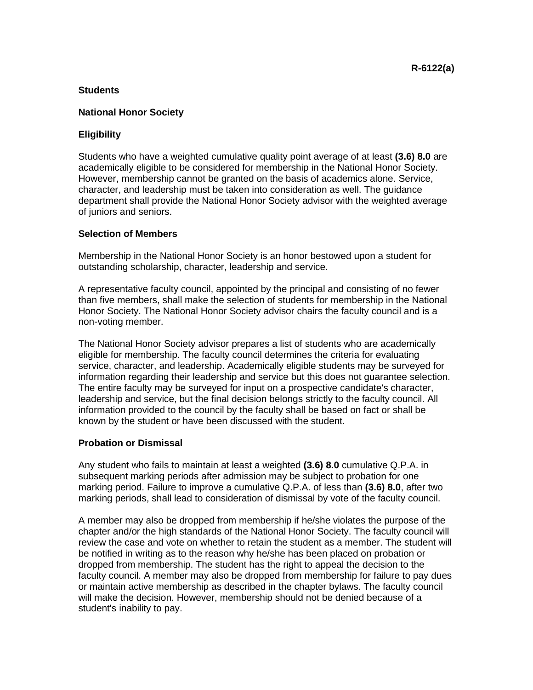# **Students**

#### **National Honor Society**

# **Eligibility**

Students who have a weighted cumulative quality point average of at least **(3.6) 8.0** are academically eligible to be considered for membership in the National Honor Society. However, membership cannot be granted on the basis of academics alone. Service, character, and leadership must be taken into consideration as well. The guidance department shall provide the National Honor Society advisor with the weighted average of juniors and seniors.

# **Selection of Members**

Membership in the National Honor Society is an honor bestowed upon a student for outstanding scholarship, character, leadership and service.

A representative faculty council, appointed by the principal and consisting of no fewer than five members, shall make the selection of students for membership in the National Honor Society. The National Honor Society advisor chairs the faculty council and is a non-voting member.

The National Honor Society advisor prepares a list of students who are academically eligible for membership. The faculty council determines the criteria for evaluating service, character, and leadership. Academically eligible students may be surveyed for information regarding their leadership and service but this does not guarantee selection. The entire faculty may be surveyed for input on a prospective candidate's character, leadership and service, but the final decision belongs strictly to the faculty council. All information provided to the council by the faculty shall be based on fact or shall be known by the student or have been discussed with the student.

#### **Probation or Dismissal**

Any student who fails to maintain at least a weighted **(3.6) 8.0** cumulative Q.P.A. in subsequent marking periods after admission may be subject to probation for one marking period. Failure to improve a cumulative Q.P.A. of less than **(3.6) 8.0**, after two marking periods, shall lead to consideration of dismissal by vote of the faculty council.

A member may also be dropped from membership if he/she violates the purpose of the chapter and/or the high standards of the National Honor Society. The faculty council will review the case and vote on whether to retain the student as a member. The student will be notified in writing as to the reason why he/she has been placed on probation or dropped from membership. The student has the right to appeal the decision to the faculty council. A member may also be dropped from membership for failure to pay dues or maintain active membership as described in the chapter bylaws. The faculty council will make the decision. However, membership should not be denied because of a student's inability to pay.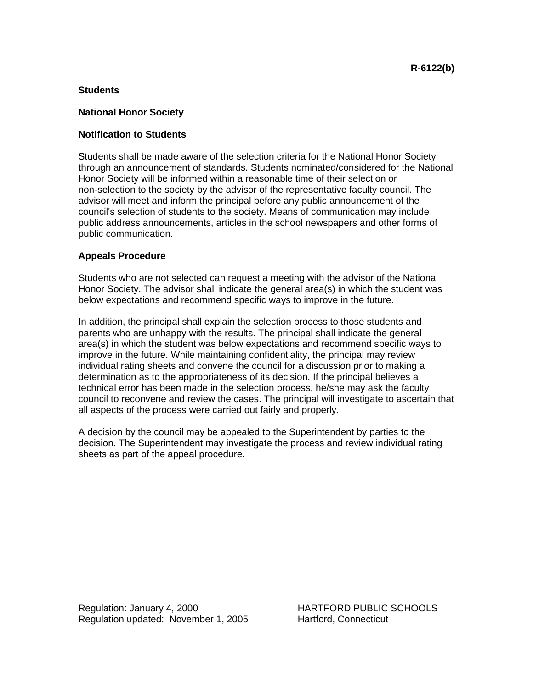# **Students**

#### **National Honor Society**

# **Notification to Students**

Students shall be made aware of the selection criteria for the National Honor Society through an announcement of standards. Students nominated/considered for the National Honor Society will be informed within a reasonable time of their selection or non-selection to the society by the advisor of the representative faculty council. The advisor will meet and inform the principal before any public announcement of the council's selection of students to the society. Means of communication may include public address announcements, articles in the school newspapers and other forms of public communication.

# **Appeals Procedure**

Students who are not selected can request a meeting with the advisor of the National Honor Society. The advisor shall indicate the general area(s) in which the student was below expectations and recommend specific ways to improve in the future.

In addition, the principal shall explain the selection process to those students and parents who are unhappy with the results. The principal shall indicate the general area(s) in which the student was below expectations and recommend specific ways to improve in the future. While maintaining confidentiality, the principal may review individual rating sheets and convene the council for a discussion prior to making a determination as to the appropriateness of its decision. If the principal believes a technical error has been made in the selection process, he/she may ask the faculty council to reconvene and review the cases. The principal will investigate to ascertain that all aspects of the process were carried out fairly and properly.

A decision by the council may be appealed to the Superintendent by parties to the decision. The Superintendent may investigate the process and review individual rating sheets as part of the appeal procedure.

Regulation: January 4, 2000 HARTFORD PUBLIC SCHOOLS Regulation updated: November 1, 2005 Hartford, Connecticut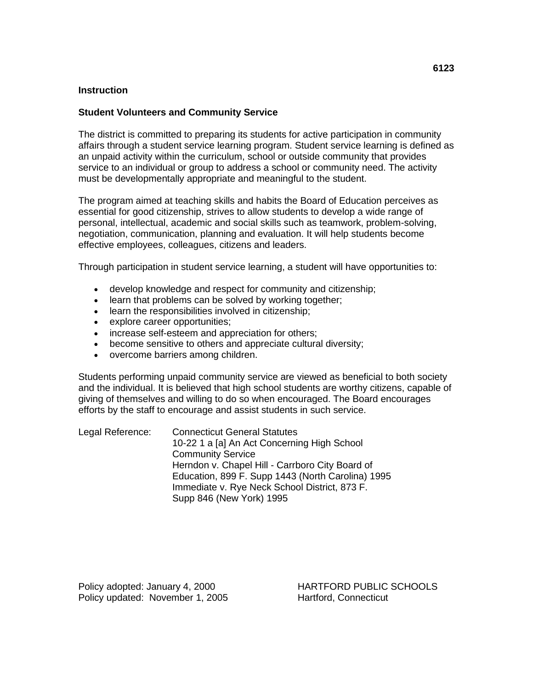#### **Student Volunteers and Community Service**

The district is committed to preparing its students for active participation in community affairs through a student service learning program. Student service learning is defined as an unpaid activity within the curriculum, school or outside community that provides service to an individual or group to address a school or community need. The activity must be developmentally appropriate and meaningful to the student.

The program aimed at teaching skills and habits the Board of Education perceives as essential for good citizenship, strives to allow students to develop a wide range of personal, intellectual, academic and social skills such as teamwork, problem-solving, negotiation, communication, planning and evaluation. It will help students become effective employees, colleagues, citizens and leaders.

Through participation in student service learning, a student will have opportunities to:

- develop knowledge and respect for community and citizenship;
- learn that problems can be solved by working together;
- learn the responsibilities involved in citizenship;
- explore career opportunities;
- increase self-esteem and appreciation for others;
- become sensitive to others and appreciate cultural diversity;
- overcome barriers among children.

Students performing unpaid community service are viewed as beneficial to both society and the individual. It is believed that high school students are worthy citizens, capable of giving of themselves and willing to do so when encouraged. The Board encourages efforts by the staff to encourage and assist students in such service.

| Legal Reference: | <b>Connecticut General Statutes</b>               |  |
|------------------|---------------------------------------------------|--|
|                  | 10-22 1 a [a] An Act Concerning High School       |  |
|                  | <b>Community Service</b>                          |  |
|                  | Herndon v. Chapel Hill - Carrboro City Board of   |  |
|                  | Education, 899 F. Supp 1443 (North Carolina) 1995 |  |
|                  | Immediate v. Rye Neck School District, 873 F.     |  |
|                  | Supp 846 (New York) 1995                          |  |

Policy adopted: January 4, 2000 HARTFORD PUBLIC SCHOOLS Policy updated: November 1, 2005 Hartford, Connecticut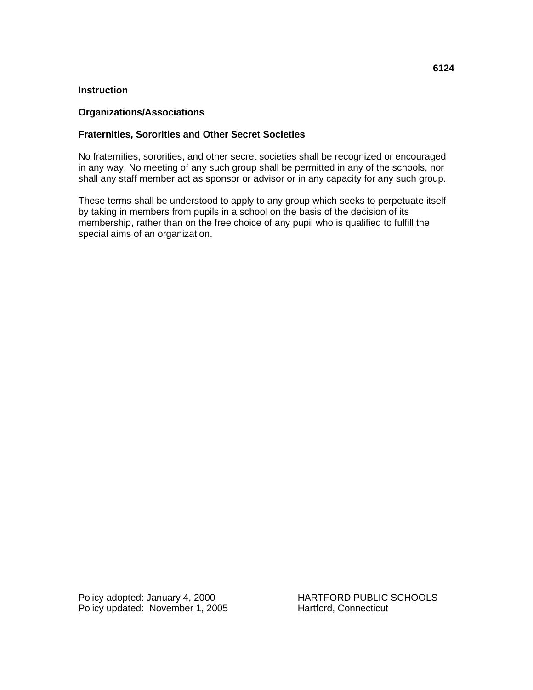#### **Organizations/Associations**

# **Fraternities, Sororities and Other Secret Societies**

No fraternities, sororities, and other secret societies shall be recognized or encouraged in any way. No meeting of any such group shall be permitted in any of the schools, nor shall any staff member act as sponsor or advisor or in any capacity for any such group.

These terms shall be understood to apply to any group which seeks to perpetuate itself by taking in members from pupils in a school on the basis of the decision of its membership, rather than on the free choice of any pupil who is qualified to fulfill the special aims of an organization.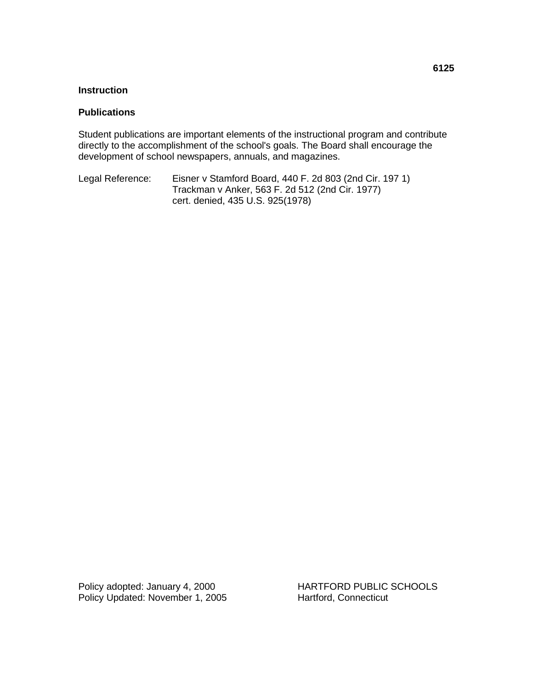#### **Publications**

Student publications are important elements of the instructional program and contribute directly to the accomplishment of the school's goals. The Board shall encourage the development of school newspapers, annuals, and magazines.

Legal Reference: Eisner v Stamford Board, 440 F. 2d 803 (2nd Cir. 197 1) Trackman v Anker, 563 F. 2d 512 (2nd Cir. 1977) cert. denied, 435 U.S. 925(1978)

Policy adopted: January 4, 2000 HARTFORD PUBLIC SCHOOLS Policy Updated: November 1, 2005 Hartford, Connecticut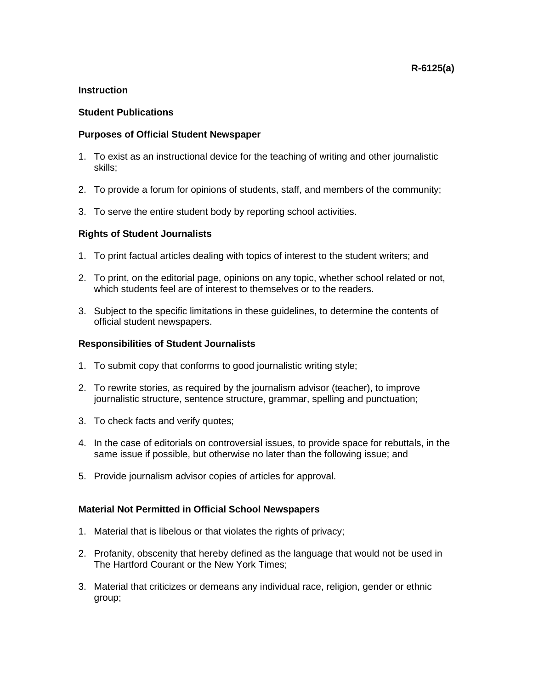# **Student Publications**

#### **Purposes of Official Student Newspaper**

- 1. To exist as an instructional device for the teaching of writing and other journalistic skills;
- 2. To provide a forum for opinions of students, staff, and members of the community;
- 3. To serve the entire student body by reporting school activities.

#### **Rights of Student Journalists**

- 1. To print factual articles dealing with topics of interest to the student writers; and
- 2. To print, on the editorial page, opinions on any topic, whether school related or not, which students feel are of interest to themselves or to the readers.
- 3. Subject to the specific limitations in these guidelines, to determine the contents of official student newspapers.

#### **Responsibilities of Student Journalists**

- 1. To submit copy that conforms to good journalistic writing style;
- 2. To rewrite stories, as required by the journalism advisor (teacher), to improve journalistic structure, sentence structure, grammar, spelling and punctuation;
- 3. To check facts and verify quotes;
- 4. In the case of editorials on controversial issues, to provide space for rebuttals, in the same issue if possible, but otherwise no later than the following issue; and
- 5. Provide journalism advisor copies of articles for approval.

#### **Material Not Permitted in Official School Newspapers**

- 1. Material that is libelous or that violates the rights of privacy;
- 2. Profanity, obscenity that hereby defined as the language that would not be used in The Hartford Courant or the New York Times;
- 3. Material that criticizes or demeans any individual race, religion, gender or ethnic group;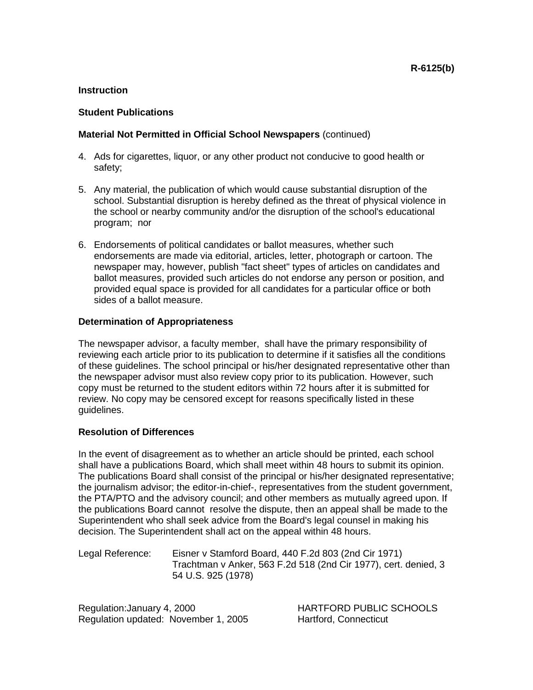# **Student Publications**

# **Material Not Permitted in Official School Newspapers** (continued)

- 4. Ads for cigarettes, liquor, or any other product not conducive to good health or safety;
- 5. Any material, the publication of which would cause substantial disruption of the school. Substantial disruption is hereby defined as the threat of physical violence in the school or nearby community and/or the disruption of the school's educational program; nor
- 6. Endorsements of political candidates or ballot measures, whether such endorsements are made via editorial, articles, letter, photograph or cartoon. The newspaper may, however, publish "fact sheet" types of articles on candidates and ballot measures, provided such articles do not endorse any person or position, and provided equal space is provided for all candidates for a particular office or both sides of a ballot measure.

# **Determination of Appropriateness**

The newspaper advisor, a faculty member, shall have the primary responsibility of reviewing each article prior to its publication to determine if it satisfies all the conditions of these guidelines. The school principal or his/her designated representative other than the newspaper advisor must also review copy prior to its publication. However, such copy must be returned to the student editors within 72 hours after it is submitted for review. No copy may be censored except for reasons specifically listed in these guidelines.

# **Resolution of Differences**

In the event of disagreement as to whether an article should be printed, each school shall have a publications Board, which shall meet within 48 hours to submit its opinion. The publications Board shall consist of the principal or his/her designated representative; the journalism advisor; the editor-in-chief-, representatives from the student government, the PTA/PTO and the advisory council; and other members as mutually agreed upon. If the publications Board cannot resolve the dispute, then an appeal shall be made to the Superintendent who shall seek advice from the Board's legal counsel in making his decision. The Superintendent shall act on the appeal within 48 hours.

Legal Reference: Eisner v Stamford Board, 440 F.2d 803 (2nd Cir 1971) Trachtman v Anker, 563 F.2d 518 (2nd Cir 1977), cert. denied, 3 54 U.S. 925 (1978)

Regulation: January 4, 2000 HARTFORD PUBLIC SCHOOLS Regulation updated: November 1, 2005 Hartford, Connecticut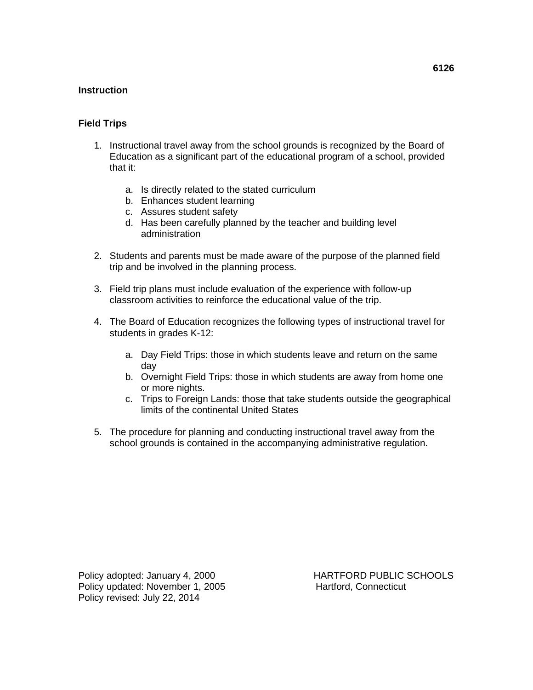# **Field Trips**

- 1. Instructional travel away from the school grounds is recognized by the Board of Education as a significant part of the educational program of a school, provided that it:
	- a. Is directly related to the stated curriculum
	- b. Enhances student learning
	- c. Assures student safety
	- d. Has been carefully planned by the teacher and building level administration
- 2. Students and parents must be made aware of the purpose of the planned field trip and be involved in the planning process.
- 3. Field trip plans must include evaluation of the experience with follow-up classroom activities to reinforce the educational value of the trip.
- 4. The Board of Education recognizes the following types of instructional travel for students in grades K-12:
	- a. Day Field Trips: those in which students leave and return on the same day
	- b. Overnight Field Trips: those in which students are away from home one or more nights.
	- c. Trips to Foreign Lands: those that take students outside the geographical limits of the continental United States
- 5. The procedure for planning and conducting instructional travel away from the school grounds is contained in the accompanying administrative regulation.

**6126**

Policy adopted: January 4, 2000 HARTFORD PUBLIC SCHOOLS Policy updated: November 1, 2005 Hartford, Connecticut Policy revised: July 22, 2014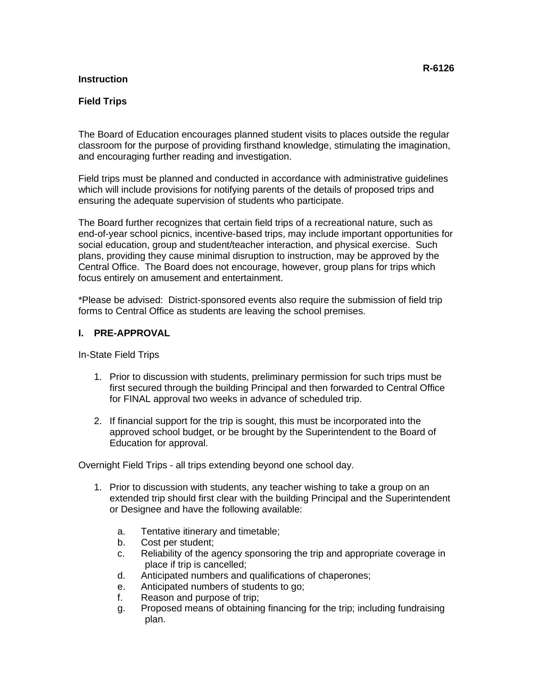# **Field Trips**

The Board of Education encourages planned student visits to places outside the regular classroom for the purpose of providing firsthand knowledge, stimulating the imagination, and encouraging further reading and investigation.

Field trips must be planned and conducted in accordance with administrative guidelines which will include provisions for notifying parents of the details of proposed trips and ensuring the adequate supervision of students who participate.

The Board further recognizes that certain field trips of a recreational nature, such as end-of-year school picnics, incentive-based trips, may include important opportunities for social education, group and student/teacher interaction, and physical exercise. Such plans, providing they cause minimal disruption to instruction, may be approved by the Central Office. The Board does not encourage, however, group plans for trips which focus entirely on amusement and entertainment.

\*Please be advised: District-sponsored events also require the submission of field trip forms to Central Office as students are leaving the school premises.

#### **I. PRE-APPROVAL**

In-State Field Trips

- 1. Prior to discussion with students, preliminary permission for such trips must be first secured through the building Principal and then forwarded to Central Office for FINAL approval two weeks in advance of scheduled trip.
- 2. If financial support for the trip is sought, this must be incorporated into the approved school budget, or be brought by the Superintendent to the Board of Education for approval.

Overnight Field Trips - all trips extending beyond one school day.

- 1. Prior to discussion with students, any teacher wishing to take a group on an extended trip should first clear with the building Principal and the Superintendent or Designee and have the following available:
	- a. Tentative itinerary and timetable;
	- b. Cost per student;
	- c. Reliability of the agency sponsoring the trip and appropriate coverage in place if trip is cancelled;
	- d. Anticipated numbers and qualifications of chaperones;
	- e. Anticipated numbers of students to go;
	- f. Reason and purpose of trip;
	- g. Proposed means of obtaining financing for the trip; including fundraising plan.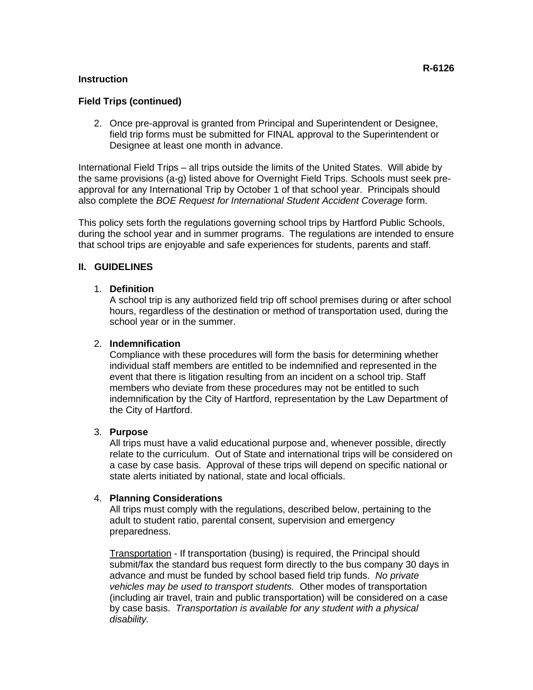# **Field Trips (continued)**

2. Once pre-approval is granted from Principal and Superintendent or Designee, field trip forms must be submitted for FINAL approval to the Superintendent or Designee at least one month in advance.

International Field Trips – all trips outside the limits of the United States. Will abide by the same provisions (a-g) listed above for Overnight Field Trips. Schools must seek preapproval for any International Trip by October 1 of that school year. Principals should also complete the *BOE Request for International Student Accident Coverage* form.

This policy sets forth the regulations governing school trips by Hartford Public Schools, during the school year and in summer programs. The regulations are intended to ensure that school trips are enjoyable and safe experiences for students, parents and staff.

# **II. GUIDELINES**

# 1. **Definition**

A school trip is any authorized field trip off school premises during or after school hours, regardless of the destination or method of transportation used, during the school year or in the summer.

# 2. **Indemnification**

Compliance with these procedures will form the basis for determining whether individual staff members are entitled to be indemnified and represented in the event that there is litigation resulting from an incident on a school trip. Staff members who deviate from these procedures may not be entitled to such indemnification by the City of Hartford, representation by the Law Department of the City of Hartford.

# 3. **Purpose**

All trips must have a valid educational purpose and, whenever possible, directly relate to the curriculum. Out of State and international trips will be considered on a case by case basis. Approval of these trips will depend on specific national or state alerts initiated by national, state and local officials.

#### 4. **Planning Considerations**

All trips must comply with the regulations, described below, pertaining to the adult to student ratio, parental consent, supervision and emergency preparedness.

Transportation - If transportation (busing) is required, the Principal should submit/fax the standard bus request form directly to the bus company 30 days in advance and must be funded by school based field trip funds. *No private vehicles may be used to transport students.* Other modes of transportation (including air travel, train and public transportation) will be considered on a case by case basis. *Transportation is available for any student with a physical disability.*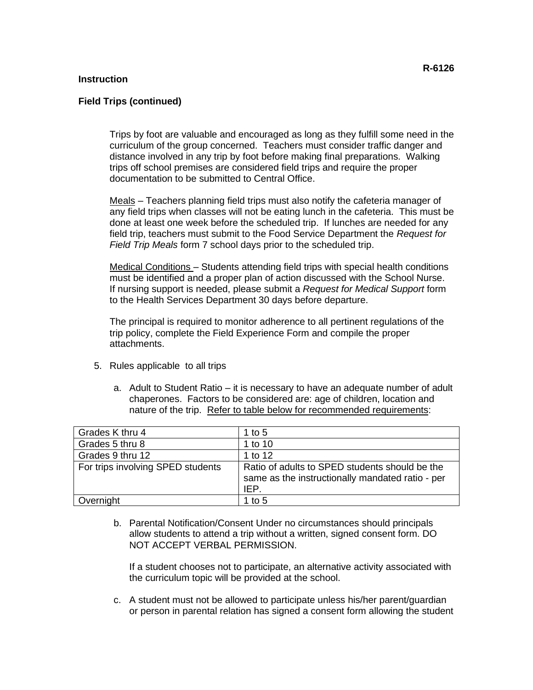#### **Field Trips (continued)**

Trips by foot are valuable and encouraged as long as they fulfill some need in the curriculum of the group concerned. Teachers must consider traffic danger and distance involved in any trip by foot before making final preparations. Walking trips off school premises are considered field trips and require the proper documentation to be submitted to Central Office.

Meals – Teachers planning field trips must also notify the cafeteria manager of any field trips when classes will not be eating lunch in the cafeteria. This must be done at least one week before the scheduled trip. If lunches are needed for any field trip, teachers must submit to the Food Service Department the *Request for Field Trip Meals* form 7 school days prior to the scheduled trip.

Medical Conditions – Students attending field trips with special health conditions must be identified and a proper plan of action discussed with the School Nurse. If nursing support is needed, please submit a *Request for Medical Support* form to the Health Services Department 30 days before departure.

The principal is required to monitor adherence to all pertinent regulations of the trip policy, complete the Field Experience Form and compile the proper attachments.

- 5. Rules applicable to all trips
	- a. Adult to Student Ratio it is necessary to have an adequate number of adult chaperones. Factors to be considered are: age of children, location and nature of the trip. Refer to table below for recommended requirements:

| Grades K thru 4                   | 1 to 5                                                                                                     |
|-----------------------------------|------------------------------------------------------------------------------------------------------------|
| Grades 5 thru 8                   | 1 to 10                                                                                                    |
| Grades 9 thru 12                  | 1 to 12                                                                                                    |
| For trips involving SPED students | Ratio of adults to SPED students should be the<br>same as the instructionally mandated ratio - per<br>IEP. |
| Overnight                         | 1 to $5$                                                                                                   |

b. Parental Notification/Consent Under no circumstances should principals allow students to attend a trip without a written, signed consent form. DO NOT ACCEPT VERBAL PERMISSION.

If a student chooses not to participate, an alternative activity associated with the curriculum topic will be provided at the school.

c. A student must not be allowed to participate unless his/her parent/guardian or person in parental relation has signed a consent form allowing the student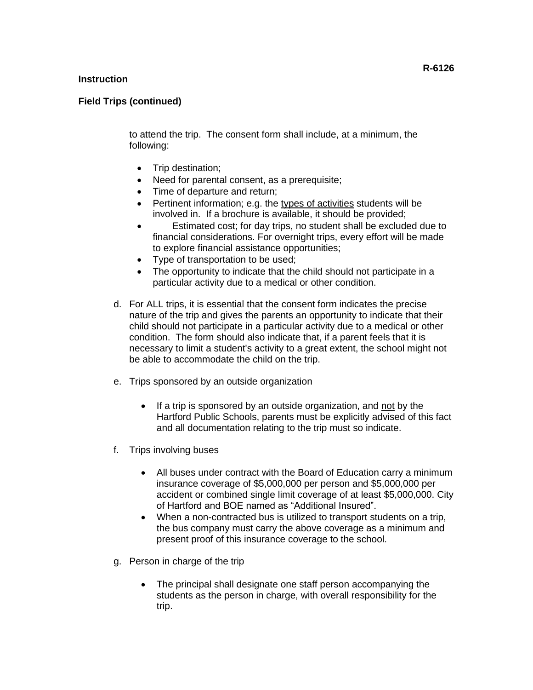# **Field Trips (continued)**

to attend the trip. The consent form shall include, at a minimum, the following:

- Trip destination;
- Need for parental consent, as a prerequisite;
- Time of departure and return;
- Pertinent information; e.g. the types of activities students will be involved in. If a brochure is available, it should be provided;
- Estimated cost; for day trips, no student shall be excluded due to financial considerations. For overnight trips, every effort will be made to explore financial assistance opportunities;
- Type of transportation to be used;
- The opportunity to indicate that the child should not participate in a particular activity due to a medical or other condition.
- d. For ALL trips, it is essential that the consent form indicates the precise nature of the trip and gives the parents an opportunity to indicate that their child should not participate in a particular activity due to a medical or other condition. The form should also indicate that, if a parent feels that it is necessary to limit a student's activity to a great extent, the school might not be able to accommodate the child on the trip.
- e. Trips sponsored by an outside organization
	- If a trip is sponsored by an outside organization, and not by the Hartford Public Schools, parents must be explicitly advised of this fact and all documentation relating to the trip must so indicate.
- f. Trips involving buses
	- All buses under contract with the Board of Education carry a minimum insurance coverage of \$5,000,000 per person and \$5,000,000 per accident or combined single limit coverage of at least \$5,000,000. City of Hartford and BOE named as "Additional Insured".
	- When a non-contracted bus is utilized to transport students on a trip, the bus company must carry the above coverage as a minimum and present proof of this insurance coverage to the school.
- g. Person in charge of the trip
	- The principal shall designate one staff person accompanying the students as the person in charge, with overall responsibility for the trip.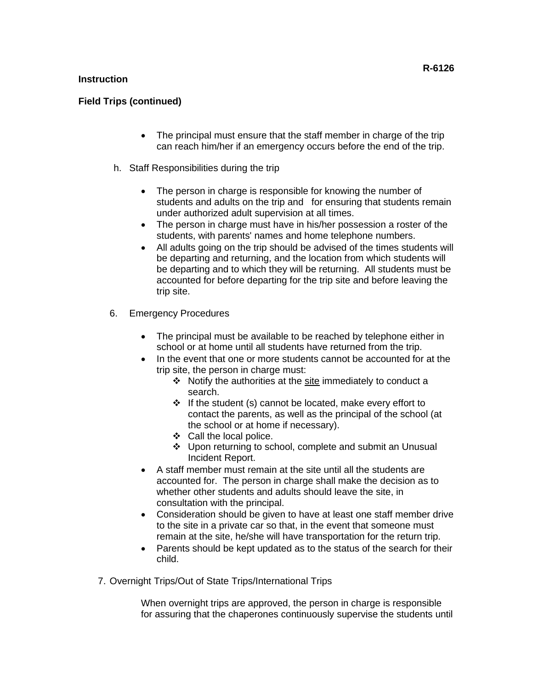# **Field Trips (continued)**

- The principal must ensure that the staff member in charge of the trip can reach him/her if an emergency occurs before the end of the trip.
- h. Staff Responsibilities during the trip
	- The person in charge is responsible for knowing the number of students and adults on the trip and for ensuring that students remain under authorized adult supervision at all times.
	- The person in charge must have in his/her possession a roster of the students, with parents' names and home telephone numbers.
	- All adults going on the trip should be advised of the times students will be departing and returning, and the location from which students will be departing and to which they will be returning. All students must be accounted for before departing for the trip site and before leaving the trip site.
- 6. Emergency Procedures
	- The principal must be available to be reached by telephone either in school or at home until all students have returned from the trip.
	- In the event that one or more students cannot be accounted for at the trip site, the person in charge must:
		- ❖ Notify the authorities at the site immediately to conduct a search.
		- ❖ If the student (s) cannot be located, make every effort to contact the parents, as well as the principal of the school (at the school or at home if necessary).
		- ❖ Call the local police.
		- ❖ Upon returning to school, complete and submit an Unusual Incident Report.
	- A staff member must remain at the site until all the students are accounted for. The person in charge shall make the decision as to whether other students and adults should leave the site, in consultation with the principal.
	- Consideration should be given to have at least one staff member drive to the site in a private car so that, in the event that someone must remain at the site, he/she will have transportation for the return trip.
	- Parents should be kept updated as to the status of the search for their child.
- 7. Overnight Trips/Out of State Trips/International Trips

When overnight trips are approved, the person in charge is responsible for assuring that the chaperones continuously supervise the students until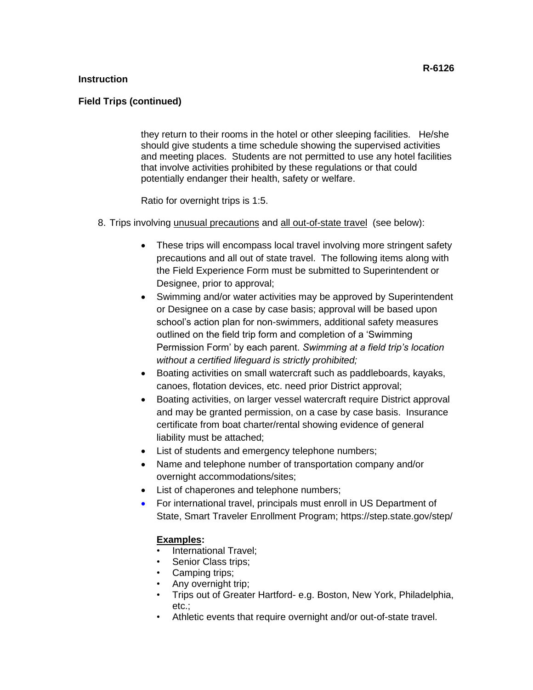# **Field Trips (continued)**

they return to their rooms in the hotel or other sleeping facilities. He/she should give students a time schedule showing the supervised activities and meeting places. Students are not permitted to use any hotel facilities that involve activities prohibited by these regulations or that could potentially endanger their health, safety or welfare.

Ratio for overnight trips is 1:5.

- 8. Trips involving unusual precautions and all out-of-state travel (see below):
	- These trips will encompass local travel involving more stringent safety precautions and all out of state travel. The following items along with the Field Experience Form must be submitted to Superintendent or Designee, prior to approval;
	- Swimming and/or water activities may be approved by Superintendent or Designee on a case by case basis; approval will be based upon school's action plan for non-swimmers, additional safety measures outlined on the field trip form and completion of a 'Swimming Permission Form' by each parent. *Swimming at a field trip's location without a certified lifeguard is strictly prohibited;*
	- Boating activities on small watercraft such as paddleboards, kayaks, canoes, flotation devices, etc. need prior District approval;
	- Boating activities, on larger vessel watercraft require District approval and may be granted permission, on a case by case basis. Insurance certificate from boat charter/rental showing evidence of general liability must be attached;
	- List of students and emergency telephone numbers;
	- Name and telephone number of transportation company and/or overnight accommodations/sites;
	- List of chaperones and telephone numbers;
	- For international travel, principals must enroll in US Department of State, Smart Traveler Enrollment Program; https://step.state.gov/step/

# **Examples:**

- International Travel;
- Senior Class trips;
- Camping trips;
- Any overnight trip;
- Trips out of Greater Hartford- e.g. Boston, New York, Philadelphia, etc.;
- Athletic events that require overnight and/or out-of-state travel.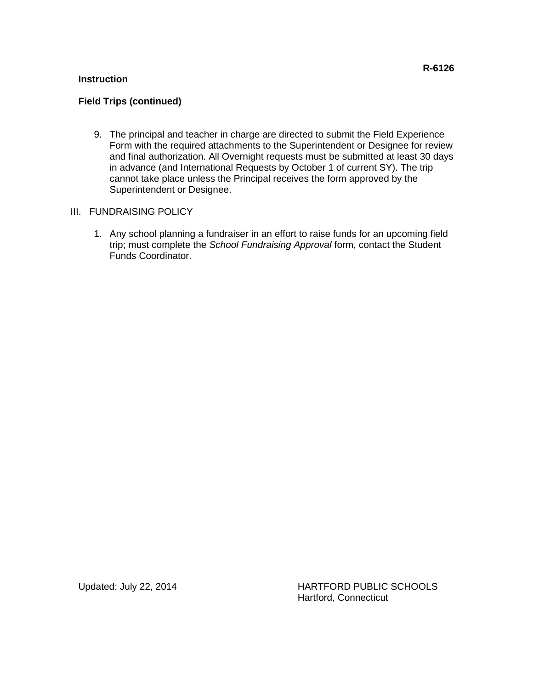# **Field Trips (continued)**

- 9. The principal and teacher in charge are directed to submit the Field Experience Form with the required attachments to the Superintendent or Designee for review and final authorization. All Overnight requests must be submitted at least 30 days in advance (and International Requests by October 1 of current SY). The trip cannot take place unless the Principal receives the form approved by the Superintendent or Designee.
- III. FUNDRAISING POLICY
	- 1. Any school planning a fundraiser in an effort to raise funds for an upcoming field trip; must complete the *School Fundraising Approval* form, contact the Student Funds Coordinator.

Updated: July 22, 2014 HARTFORD PUBLIC SCHOOLS Hartford, Connecticut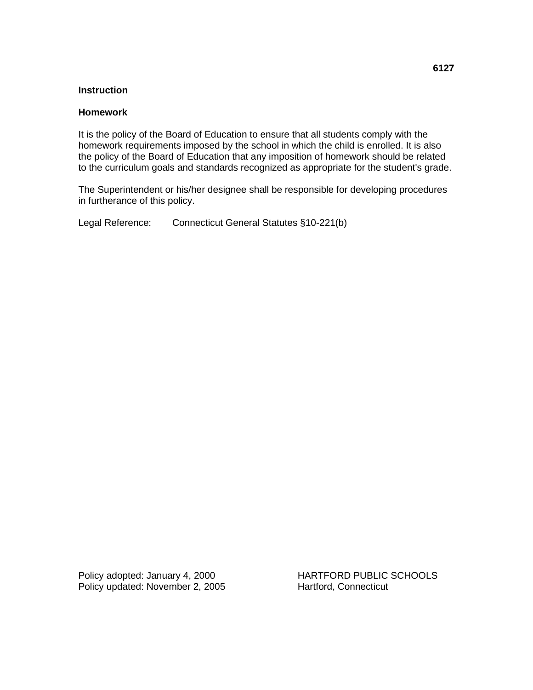#### **Homework**

It is the policy of the Board of Education to ensure that all students comply with the homework requirements imposed by the school in which the child is enrolled. It is also the policy of the Board of Education that any imposition of homework should be related to the curriculum goals and standards recognized as appropriate for the student's grade.

The Superintendent or his/her designee shall be responsible for developing procedures in furtherance of this policy.

Legal Reference: Connecticut General Statutes §10-221(b)

Policy adopted: January 4, 2000 HARTFORD PUBLIC SCHOOLS Policy updated: November 2, 2005 Hartford, Connecticut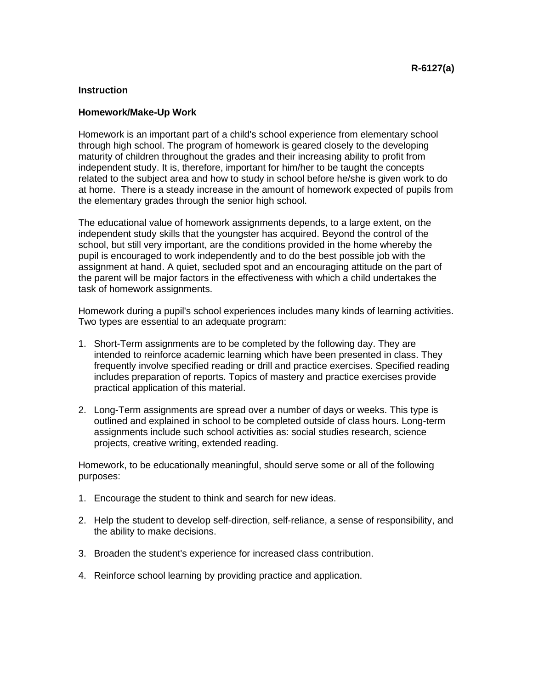#### **Homework/Make-Up Work**

Homework is an important part of a child's school experience from elementary school through high school. The program of homework is geared closely to the developing maturity of children throughout the grades and their increasing ability to profit from independent study. It is, therefore, important for him/her to be taught the concepts related to the subject area and how to study in school before he/she is given work to do at home. There is a steady increase in the amount of homework expected of pupils from the elementary grades through the senior high school.

The educational value of homework assignments depends, to a large extent, on the independent study skills that the youngster has acquired. Beyond the control of the school, but still very important, are the conditions provided in the home whereby the pupil is encouraged to work independently and to do the best possible job with the assignment at hand. A quiet, secluded spot and an encouraging attitude on the part of the parent will be major factors in the effectiveness with which a child undertakes the task of homework assignments.

Homework during a pupil's school experiences includes many kinds of learning activities. Two types are essential to an adequate program:

- 1. Short-Term assignments are to be completed by the following day. They are intended to reinforce academic learning which have been presented in class. They frequently involve specified reading or drill and practice exercises. Specified reading includes preparation of reports. Topics of mastery and practice exercises provide practical application of this material.
- 2. Long-Term assignments are spread over a number of days or weeks. This type is outlined and explained in school to be completed outside of class hours. Long-term assignments include such school activities as: social studies research, science projects, creative writing, extended reading.

Homework, to be educationally meaningful, should serve some or all of the following purposes:

- 1. Encourage the student to think and search for new ideas.
- 2. Help the student to develop self-direction, self-reliance, a sense of responsibility, and the ability to make decisions.
- 3. Broaden the student's experience for increased class contribution.
- 4. Reinforce school learning by providing practice and application.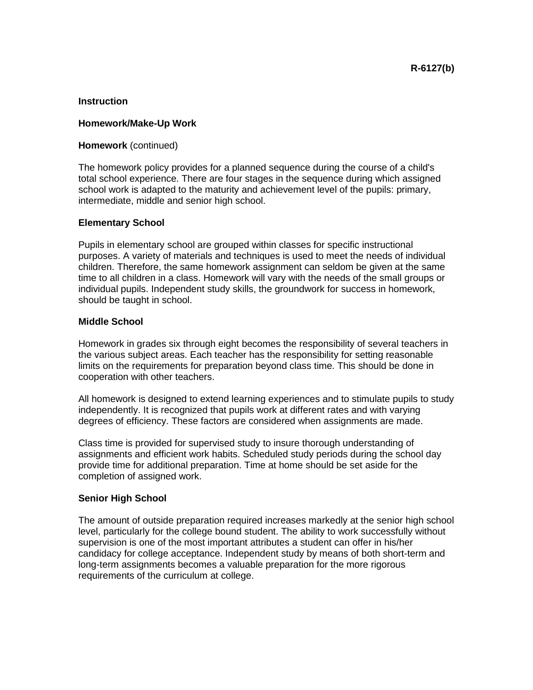#### **Homework/Make-Up Work**

#### **Homework** (continued)

The homework policy provides for a planned sequence during the course of a child's total school experience. There are four stages in the sequence during which assigned school work is adapted to the maturity and achievement level of the pupils: primary, intermediate, middle and senior high school.

#### **Elementary School**

Pupils in elementary school are grouped within classes for specific instructional purposes. A variety of materials and techniques is used to meet the needs of individual children. Therefore, the same homework assignment can seldom be given at the same time to all children in a class. Homework will vary with the needs of the small groups or individual pupils. Independent study skills, the groundwork for success in homework, should be taught in school.

#### **Middle School**

Homework in grades six through eight becomes the responsibility of several teachers in the various subject areas. Each teacher has the responsibility for setting reasonable limits on the requirements for preparation beyond class time. This should be done in cooperation with other teachers.

All homework is designed to extend learning experiences and to stimulate pupils to study independently. It is recognized that pupils work at different rates and with varying degrees of efficiency. These factors are considered when assignments are made.

Class time is provided for supervised study to insure thorough understanding of assignments and efficient work habits. Scheduled study periods during the school day provide time for additional preparation. Time at home should be set aside for the completion of assigned work.

#### **Senior High School**

The amount of outside preparation required increases markedly at the senior high school level, particularly for the college bound student. The ability to work successfully without supervision is one of the most important attributes a student can offer in his/her candidacy for college acceptance. Independent study by means of both short-term and long-term assignments becomes a valuable preparation for the more rigorous requirements of the curriculum at college.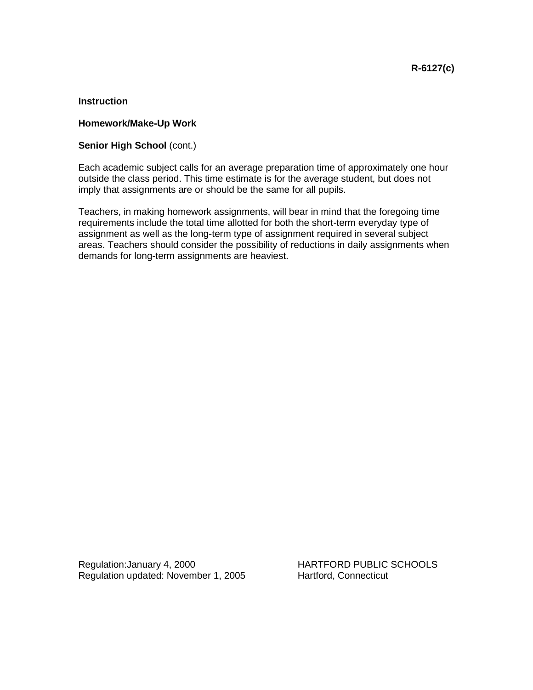#### **Homework/Make-Up Work**

#### **Senior High School** (cont.)

Each academic subject calls for an average preparation time of approximately one hour outside the class period. This time estimate is for the average student, but does not imply that assignments are or should be the same for all pupils.

Teachers, in making homework assignments, will bear in mind that the foregoing time requirements include the total time allotted for both the short-term everyday type of assignment as well as the long-term type of assignment required in several subject areas. Teachers should consider the possibility of reductions in daily assignments when demands for long-term assignments are heaviest.

Regulation: January 4, 2000 HARTFORD PUBLIC SCHOOLS Regulation updated: November 1, 2005 Hartford, Connecticut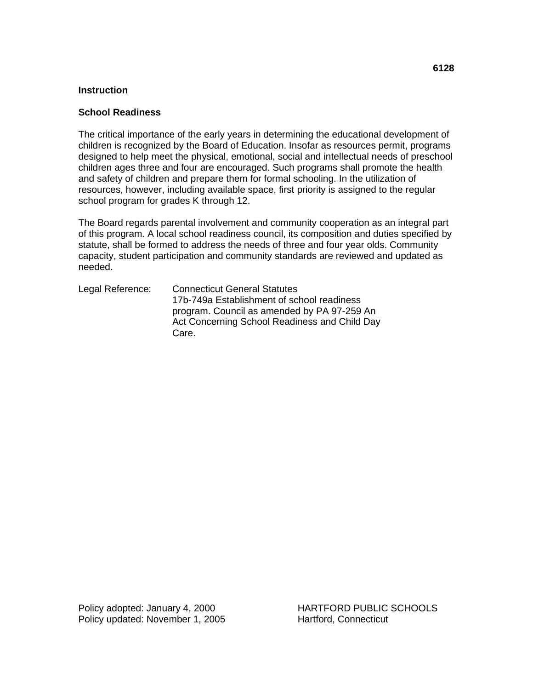# **School Readiness**

The critical importance of the early years in determining the educational development of children is recognized by the Board of Education. Insofar as resources permit, programs designed to help meet the physical, emotional, social and intellectual needs of preschool children ages three and four are encouraged. Such programs shall promote the health and safety of children and prepare them for formal schooling. In the utilization of resources, however, including available space, first priority is assigned to the regular school program for grades K through 12.

The Board regards parental involvement and community cooperation as an integral part of this program. A local school readiness council, its composition and duties specified by statute, shall be formed to address the needs of three and four year olds. Community capacity, student participation and community standards are reviewed and updated as needed.

Legal Reference: Connecticut General Statutes 17b-749a Establishment of school readiness program. Council as amended by PA 97-259 An Act Concerning School Readiness and Child Day Care.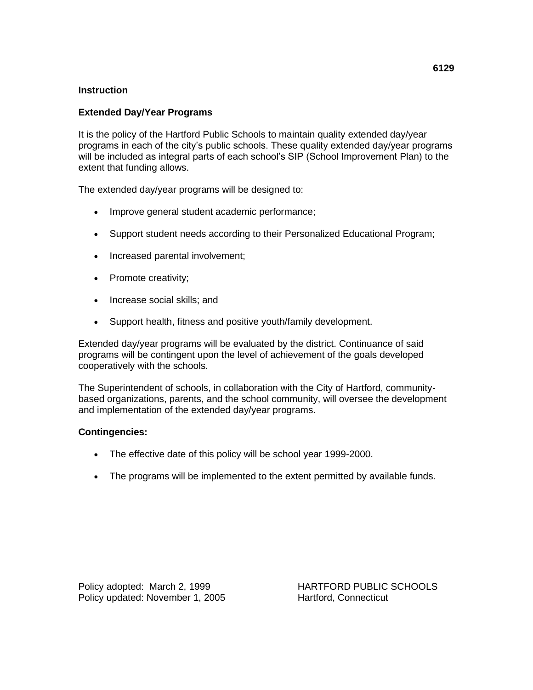# **Extended Day/Year Programs**

It is the policy of the Hartford Public Schools to maintain quality extended day/year programs in each of the city's public schools. These quality extended day/year programs will be included as integral parts of each school's SIP (School Improvement Plan) to the extent that funding allows.

The extended day/year programs will be designed to:

- Improve general student academic performance;
- Support student needs according to their Personalized Educational Program;
- Increased parental involvement;
- Promote creativity;
- Increase social skills; and
- Support health, fitness and positive youth/family development.

Extended day/year programs will be evaluated by the district. Continuance of said programs will be contingent upon the level of achievement of the goals developed cooperatively with the schools.

The Superintendent of schools, in collaboration with the City of Hartford, communitybased organizations, parents, and the school community, will oversee the development and implementation of the extended day/year programs.

# **Contingencies:**

- The effective date of this policy will be school year 1999-2000.
- The programs will be implemented to the extent permitted by available funds.

Policy adopted: March 2, 1999 HARTFORD PUBLIC SCHOOLS Policy updated: November 1, 2005 Hartford, Connecticut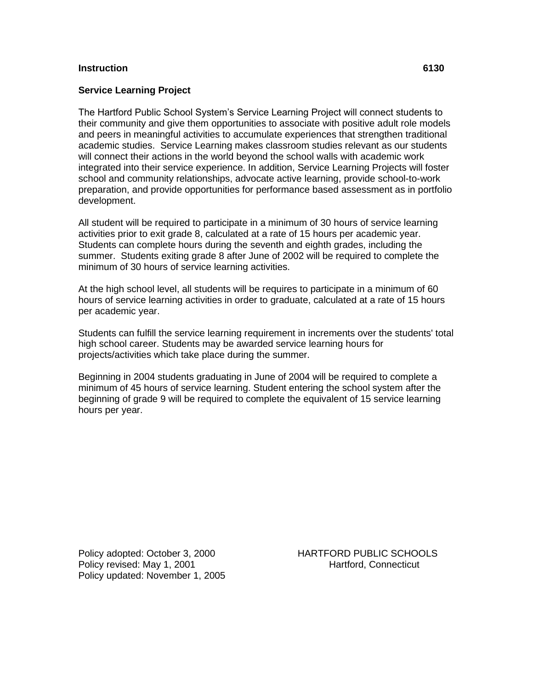#### **Instruction 6130**

#### **Service Learning Project**

The Hartford Public School System's Service Learning Project will connect students to their community and give them opportunities to associate with positive adult role models and peers in meaningful activities to accumulate experiences that strengthen traditional academic studies. Service Learning makes classroom studies relevant as our students will connect their actions in the world beyond the school walls with academic work integrated into their service experience. In addition, Service Learning Projects will foster school and community relationships, advocate active learning, provide school-to-work preparation, and provide opportunities for performance based assessment as in portfolio development.

All student will be required to participate in a minimum of 30 hours of service learning activities prior to exit grade 8, calculated at a rate of 15 hours per academic year. Students can complete hours during the seventh and eighth grades, including the summer. Students exiting grade 8 after June of 2002 will be required to complete the minimum of 30 hours of service learning activities.

At the high school level, all students will be requires to participate in a minimum of 60 hours of service learning activities in order to graduate, calculated at a rate of 15 hours per academic year.

Students can fulfill the service learning requirement in increments over the students' total high school career. Students may be awarded service learning hours for projects/activities which take place during the summer.

Beginning in 2004 students graduating in June of 2004 will be required to complete a minimum of 45 hours of service learning. Student entering the school system after the beginning of grade 9 will be required to complete the equivalent of 15 service learning hours per year.

Policy adopted: October 3, 2000 HARTFORD PUBLIC SCHOOLS Policy revised: May 1, 2001 **Hartford, Connecticut** Policy updated: November 1, 2005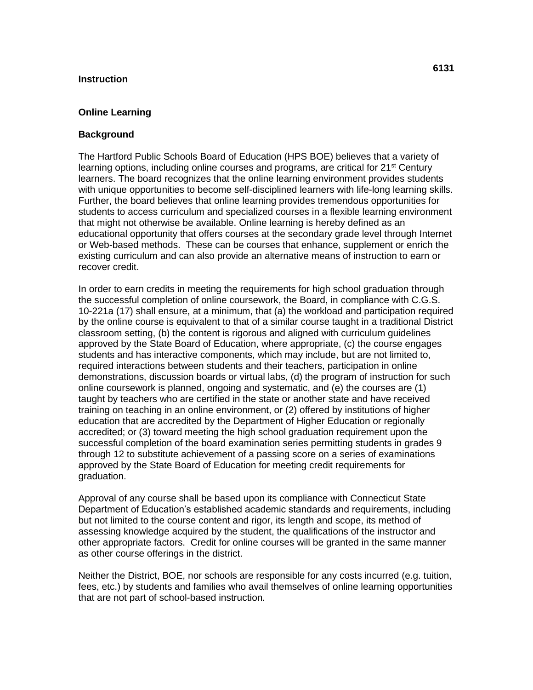#### **Instruction**

#### **Online Learning**

#### **Background**

The Hartford Public Schools Board of Education (HPS BOE) believes that a variety of learning options, including online courses and programs, are critical for 21<sup>st</sup> Century learners. The board recognizes that the online learning environment provides students with unique opportunities to become self-disciplined learners with life-long learning skills. Further, the board believes that online learning provides tremendous opportunities for students to access curriculum and specialized courses in a flexible learning environment that might not otherwise be available. Online learning is hereby defined as an educational opportunity that offers courses at the secondary grade level through Internet or Web-based methods. These can be courses that enhance, supplement or enrich the existing curriculum and can also provide an alternative means of instruction to earn or recover credit.

In order to earn credits in meeting the requirements for high school graduation through the successful completion of online coursework, the Board, in compliance with C.G.S. 10-221a (17) shall ensure, at a minimum, that (a) the workload and participation required by the online course is equivalent to that of a similar course taught in a traditional District classroom setting, (b) the content is rigorous and aligned with curriculum guidelines approved by the State Board of Education, where appropriate, (c) the course engages students and has interactive components, which may include, but are not limited to, required interactions between students and their teachers, participation in online demonstrations, discussion boards or virtual labs, (d) the program of instruction for such online coursework is planned, ongoing and systematic, and (e) the courses are (1) taught by teachers who are certified in the state or another state and have received training on teaching in an online environment, or (2) offered by institutions of higher education that are accredited by the Department of Higher Education or regionally accredited; or (3) toward meeting the high school graduation requirement upon the successful completion of the board examination series permitting students in grades 9 through 12 to substitute achievement of a passing score on a series of examinations approved by the State Board of Education for meeting credit requirements for graduation.

Approval of any course shall be based upon its compliance with Connecticut State Department of Education's established academic standards and requirements, including but not limited to the course content and rigor, its length and scope, its method of assessing knowledge acquired by the student, the qualifications of the instructor and other appropriate factors. Credit for online courses will be granted in the same manner as other course offerings in the district.

Neither the District, BOE, nor schools are responsible for any costs incurred (e.g. tuition, fees, etc.) by students and families who avail themselves of online learning opportunities that are not part of school-based instruction.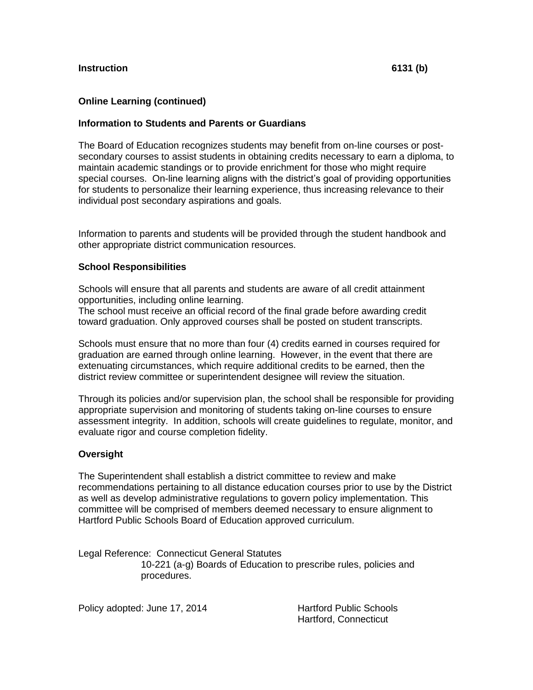# **Online Learning (continued)**

## **Information to Students and Parents or Guardians**

The Board of Education recognizes students may benefit from on-line courses or postsecondary courses to assist students in obtaining credits necessary to earn a diploma, to maintain academic standings or to provide enrichment for those who might require special courses. On-line learning aligns with the district's goal of providing opportunities for students to personalize their learning experience, thus increasing relevance to their individual post secondary aspirations and goals.

Information to parents and students will be provided through the student handbook and other appropriate district communication resources.

## **School Responsibilities**

Schools will ensure that all parents and students are aware of all credit attainment opportunities, including online learning.

The school must receive an official record of the final grade before awarding credit toward graduation. Only approved courses shall be posted on student transcripts.

Schools must ensure that no more than four (4) credits earned in courses required for graduation are earned through online learning. However, in the event that there are extenuating circumstances, which require additional credits to be earned, then the district review committee or superintendent designee will review the situation.

Through its policies and/or supervision plan, the school shall be responsible for providing appropriate supervision and monitoring of students taking on-line courses to ensure assessment integrity. In addition, schools will create guidelines to regulate, monitor, and evaluate rigor and course completion fidelity.

## **Oversight**

The Superintendent shall establish a district committee to review and make recommendations pertaining to all distance education courses prior to use by the District as well as develop administrative regulations to govern policy implementation. This committee will be comprised of members deemed necessary to ensure alignment to Hartford Public Schools Board of Education approved curriculum.

Legal Reference: Connecticut General Statutes 10-221 (a-g) Boards of Education to prescribe rules, policies and procedures.

Policy adopted: June 17, 2014 Hartford Public Schools

Hartford, Connecticut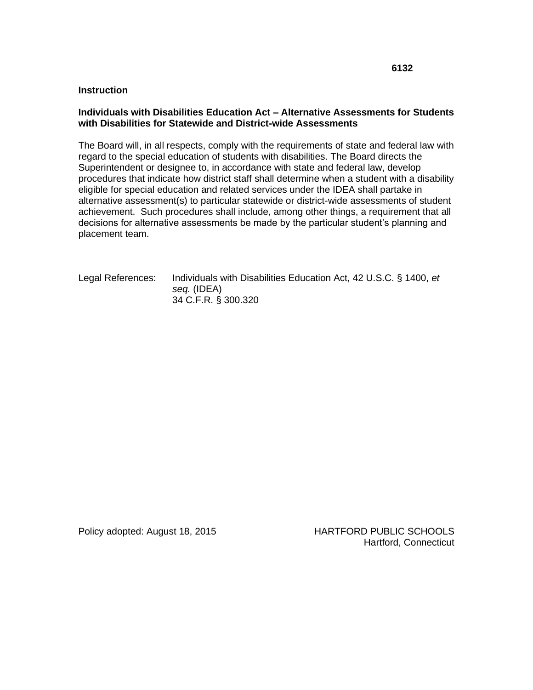#### **Instruction**

## **Individuals with Disabilities Education Act – Alternative Assessments for Students with Disabilities for Statewide and District-wide Assessments**

The Board will, in all respects, comply with the requirements of state and federal law with regard to the special education of students with disabilities. The Board directs the Superintendent or designee to, in accordance with state and federal law, develop procedures that indicate how district staff shall determine when a student with a disability eligible for special education and related services under the IDEA shall partake in alternative assessment(s) to particular statewide or district-wide assessments of student achievement. Such procedures shall include, among other things, a requirement that all decisions for alternative assessments be made by the particular student's planning and placement team.

Legal References: Individuals with Disabilities Education Act, 42 U.S.C. § 1400, *et seq.* (IDEA) 34 C.F.R. § 300.320

Policy adopted: August 18, 2015 HARTFORD PUBLIC SCHOOLS Hartford, Connecticut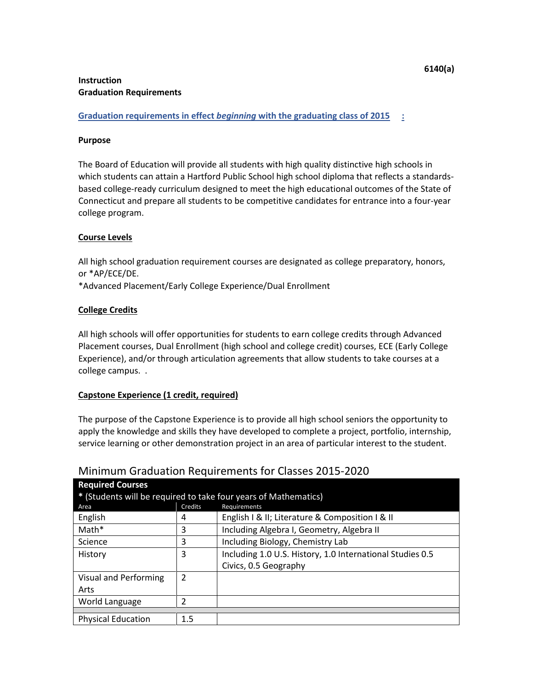**Graduation requirements in effect** *beginning* **with the graduating class of 2015 :** 

## **Purpose**

The Board of Education will provide all students with high quality distinctive high schools in which students can attain a Hartford Public School high school diploma that reflects a standardsbased college-ready curriculum designed to meet the high educational outcomes of the State of Connecticut and prepare all students to be competitive candidates for entrance into a four-year college program.

# **Course Levels**

All high school graduation requirement courses are designated as college preparatory, honors, or \*AP/ECE/DE.

\*Advanced Placement/Early College Experience/Dual Enrollment

# **College Credits**

All high schools will offer opportunities for students to earn college credits through Advanced Placement courses, Dual Enrollment (high school and college credit) courses, ECE (Early College Experience), and/or through articulation agreements that allow students to take courses at a college campus. .

# **Capstone Experience (1 credit, required)**

The purpose of the Capstone Experience is to provide all high school seniors the opportunity to apply the knowledge and skills they have developed to complete a project, portfolio, internship, service learning or other demonstration project in an area of particular interest to the student.

| <b>Required Courses</b>                                         |         |                                                           |  |  |  |  |  |  |  |
|-----------------------------------------------------------------|---------|-----------------------------------------------------------|--|--|--|--|--|--|--|
| * (Students will be required to take four years of Mathematics) |         |                                                           |  |  |  |  |  |  |  |
| Area                                                            | Credits | Requirements                                              |  |  |  |  |  |  |  |
| English                                                         | 4       | English I & II; Literature & Composition I & II           |  |  |  |  |  |  |  |
| Math*                                                           | 3       | Including Algebra I, Geometry, Algebra II                 |  |  |  |  |  |  |  |
| Science                                                         | 3       | Including Biology, Chemistry Lab                          |  |  |  |  |  |  |  |
| History                                                         | 3       | Including 1.0 U.S. History, 1.0 International Studies 0.5 |  |  |  |  |  |  |  |
|                                                                 |         | Civics, 0.5 Geography                                     |  |  |  |  |  |  |  |
| <b>Visual and Performing</b>                                    | 2       |                                                           |  |  |  |  |  |  |  |
| Arts                                                            |         |                                                           |  |  |  |  |  |  |  |
| World Language                                                  | 2       |                                                           |  |  |  |  |  |  |  |
|                                                                 |         |                                                           |  |  |  |  |  |  |  |
| <b>Physical Education</b>                                       | 1.5     |                                                           |  |  |  |  |  |  |  |

# Minimum Graduation Requirements for Classes 2015-2020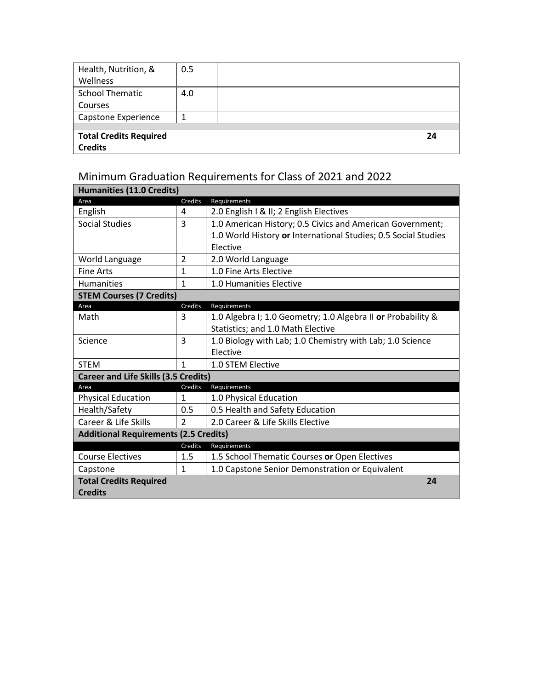| Health, Nutrition, &          | 0.5 |    |
|-------------------------------|-----|----|
| Wellness                      |     |    |
| <b>School Thematic</b>        | 4.0 |    |
| Courses                       |     |    |
| Capstone Experience           |     |    |
|                               |     |    |
| <b>Total Credits Required</b> |     | 24 |
| <b>Credits</b>                |     |    |

# Minimum Graduation Requirements for Class of 2021 and 2022

| <b>Humanities (11.0 Credits)</b>             |                |                                                                |  |  |  |  |
|----------------------------------------------|----------------|----------------------------------------------------------------|--|--|--|--|
| Area                                         | Credits        | Requirements                                                   |  |  |  |  |
| English                                      | 4              | 2.0 English I & II; 2 English Electives                        |  |  |  |  |
| Social Studies                               | 3              | 1.0 American History; 0.5 Civics and American Government;      |  |  |  |  |
|                                              |                | 1.0 World History or International Studies; 0.5 Social Studies |  |  |  |  |
|                                              |                | Elective                                                       |  |  |  |  |
| World Language                               | $\overline{2}$ | 2.0 World Language                                             |  |  |  |  |
| <b>Fine Arts</b>                             | $\mathbf{1}$   | 1.0 Fine Arts Elective                                         |  |  |  |  |
| <b>Humanities</b>                            | $\mathbf{1}$   | 1.0 Humanities Elective                                        |  |  |  |  |
| <b>STEM Courses (7 Credits)</b>              |                |                                                                |  |  |  |  |
| Area                                         | Credits        | Requirements                                                   |  |  |  |  |
| Math                                         | 3              | 1.0 Algebra I; 1.0 Geometry; 1.0 Algebra II or Probability &   |  |  |  |  |
|                                              |                | Statistics; and 1.0 Math Elective                              |  |  |  |  |
| Science                                      | 3              | 1.0 Biology with Lab; 1.0 Chemistry with Lab; 1.0 Science      |  |  |  |  |
|                                              |                | Elective                                                       |  |  |  |  |
| <b>STEM</b>                                  | $\mathbf{1}$   | 1.0 STEM Elective                                              |  |  |  |  |
| <b>Career and Life Skills (3.5 Credits)</b>  |                |                                                                |  |  |  |  |
| Area                                         | Credits        | Requirements                                                   |  |  |  |  |
| <b>Physical Education</b>                    | 1              | 1.0 Physical Education                                         |  |  |  |  |
| Health/Safety                                | 0.5            | 0.5 Health and Safety Education                                |  |  |  |  |
| Career & Life Skills                         | $\overline{2}$ | 2.0 Career & Life Skills Elective                              |  |  |  |  |
| <b>Additional Requirements (2.5 Credits)</b> |                |                                                                |  |  |  |  |
|                                              | Credits        | Requirements                                                   |  |  |  |  |
| <b>Course Electives</b>                      | 1.5            | 1.5 School Thematic Courses or Open Electives                  |  |  |  |  |
| Capstone                                     | $\mathbf{1}$   | 1.0 Capstone Senior Demonstration or Equivalent                |  |  |  |  |
| <b>Total Credits Required</b>                |                | 24                                                             |  |  |  |  |
| <b>Credits</b>                               |                |                                                                |  |  |  |  |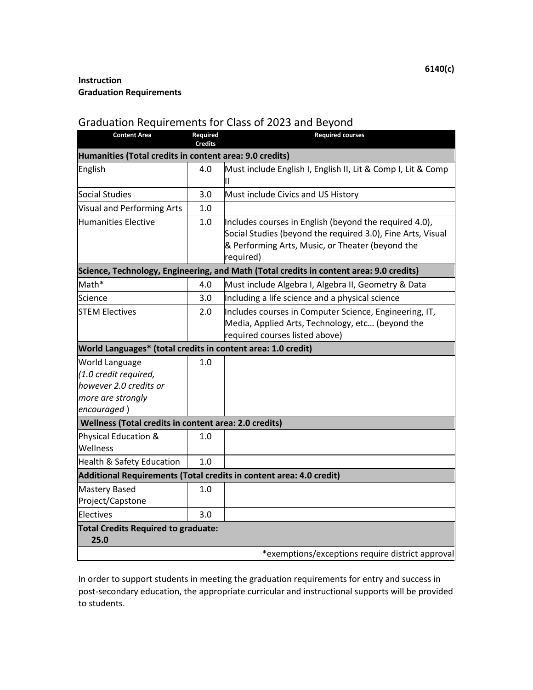# Graduation Requirements for Class of 2023 and Beyond

| <b>Content Area</b>                                                                                          | Required<br><b>Credits</b> | <b>Required courses</b>                                                                                                                                                                |
|--------------------------------------------------------------------------------------------------------------|----------------------------|----------------------------------------------------------------------------------------------------------------------------------------------------------------------------------------|
| Humanities (Total credits in content area: 9.0 credits)                                                      |                            |                                                                                                                                                                                        |
| English                                                                                                      | 4.0                        | Must include English I, English II, Lit & Comp I, Lit & Comp<br>Ш                                                                                                                      |
| Social Studies                                                                                               | 3.0                        | Must include Civics and US History                                                                                                                                                     |
| Visual and Performing Arts                                                                                   | 1.0                        |                                                                                                                                                                                        |
| <b>Humanities Elective</b>                                                                                   | 1.0                        | Includes courses in English (beyond the required 4.0),<br>Social Studies (beyond the required 3.0), Fine Arts, Visual<br>& Performing Arts, Music, or Theater (beyond the<br>required) |
|                                                                                                              |                            | Science, Technology, Engineering, and Math (Total credits in content area: 9.0 credits)                                                                                                |
| Math*                                                                                                        | 4.0                        | Must include Algebra I, Algebra II, Geometry & Data                                                                                                                                    |
| Science                                                                                                      | 3.0                        | Including a life science and a physical science                                                                                                                                        |
| <b>STEM Electives</b>                                                                                        | 2.0                        | Includes courses in Computer Science, Engineering, IT,<br>Media, Applied Arts, Technology, etc (beyond the<br>required courses listed above)                                           |
| World Languages* (total credits in content area: 1.0 credit)                                                 |                            |                                                                                                                                                                                        |
| <b>World Language</b><br>(1.0 credit required,<br>however 2.0 credits or<br>more are strongly<br>encouraged) | 1.0                        |                                                                                                                                                                                        |
| Wellness (Total credits in content area: 2.0 credits)                                                        |                            |                                                                                                                                                                                        |
| Physical Education &<br>Wellness                                                                             | 1.0                        |                                                                                                                                                                                        |
| Health & Safety Education                                                                                    | 1.0                        |                                                                                                                                                                                        |
|                                                                                                              |                            | Additional Requirements (Total credits in content area: 4.0 credit)                                                                                                                    |
| <b>Mastery Based</b><br>Project/Capstone                                                                     | 1.0                        |                                                                                                                                                                                        |
| lElectives                                                                                                   | 3.0                        |                                                                                                                                                                                        |
| <b>Total Credits Required to graduate:</b><br>25.0                                                           |                            | *exemptions/exceptions require district approval                                                                                                                                       |

In order to support students in meeting the graduation requirements for entry and success in post-secondary education, the appropriate curricular and instructional supports will be provided to students.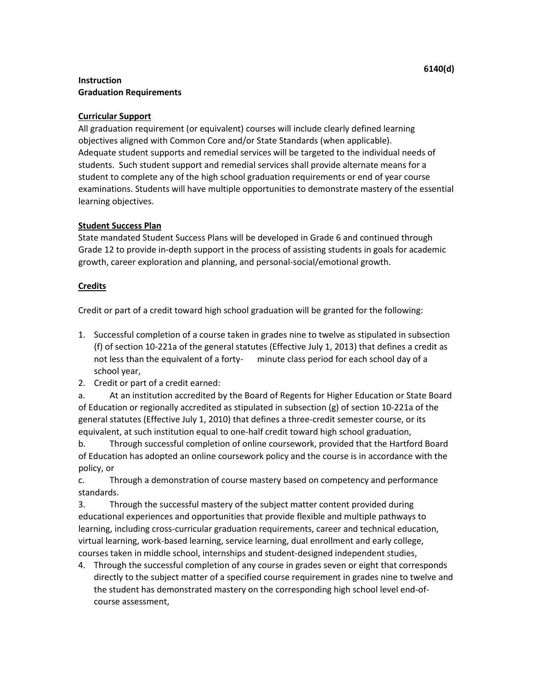# **Curricular Support**

All graduation requirement (or equivalent) courses will include clearly defined learning objectives aligned with Common Core and/or State Standards (when applicable). Adequate student supports and remedial services will be targeted to the individual needs of students. Such student support and remedial services shall provide alternate means for a student to complete any of the high school graduation requirements or end of year course examinations. Students will have multiple opportunities to demonstrate mastery of the essential learning objectives.

## **Student Success Plan**

State mandated Student Success Plans will be developed in Grade 6 and continued through Grade 12 to provide in-depth support in the process of assisting students in goals for academic growth, career exploration and planning, and personal-social/emotional growth.

## **Credits**

Credit or part of a credit toward high school graduation will be granted for the following:

- 1. Successful completion of a course taken in grades nine to twelve as stipulated in subsection (f) of section 10-221a of the general statutes (Effective July 1, 2013) that defines a credit as not less than the equivalent of a forty- minute class period for each school day of a school year,
- 2. Credit or part of a credit earned:

a. At an institution accredited by the Board of Regents for Higher Education or State Board of Education or regionally accredited as stipulated in subsection (g) of section 10-221a of the general statutes (Effective July 1, 2010) that defines a three-credit semester course, or its equivalent, at such institution equal to one-half credit toward high school graduation,

b. Through successful completion of online coursework, provided that the Hartford Board of Education has adopted an online coursework policy and the course is in accordance with the policy, or

c. Through a demonstration of course mastery based on competency and performance standards.

3. Through the successful mastery of the subject matter content provided during educational experiences and opportunities that provide flexible and multiple pathways to learning, including cross-curricular graduation requirements, career and technical education, virtual learning, work-based learning, service learning, dual enrollment and early college, courses taken in middle school, internships and student-designed independent studies,

4. Through the successful completion of any course in grades seven or eight that corresponds directly to the subject matter of a specified course requirement in grades nine to twelve and the student has demonstrated mastery on the corresponding high school level end-ofcourse assessment,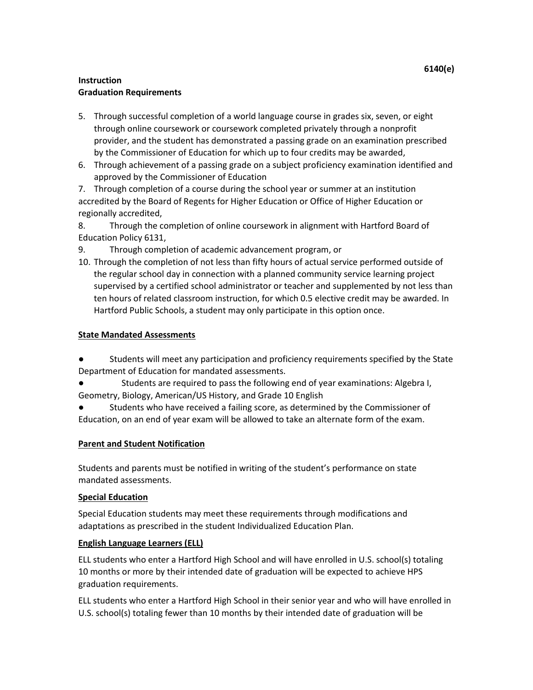- 5. Through successful completion of a world language course in grades six, seven, or eight through online coursework or coursework completed privately through a nonprofit provider, and the student has demonstrated a passing grade on an examination prescribed by the Commissioner of Education for which up to four credits may be awarded,
- 6. Through achievement of a passing grade on a subject proficiency examination identified and approved by the Commissioner of Education

7. Through completion of a course during the school year or summer at an institution accredited by the Board of Regents for Higher Education or Office of Higher Education or regionally accredited,

8. Through the completion of online coursework in alignment with Hartford Board of Education Policy 6131,

- 9. Through completion of academic advancement program, or
- 10. Through the completion of not less than fifty hours of actual service performed outside of the regular school day in connection with a planned community service learning project supervised by a certified school administrator or teacher and supplemented by not less than ten hours of related classroom instruction, for which 0.5 elective credit may be awarded. In Hartford Public Schools, a student may only participate in this option once.

# **State Mandated Assessments**

- Students will meet any participation and proficiency requirements specified by the State Department of Education for mandated assessments.
- Students are required to pass the following end of year examinations: Algebra I, Geometry, Biology, American/US History, and Grade 10 English
- Students who have received a failing score, as determined by the Commissioner of Education, on an end of year exam will be allowed to take an alternate form of the exam.

# **Parent and Student Notification**

Students and parents must be notified in writing of the student's performance on state mandated assessments.

# **Special Education**

Special Education students may meet these requirements through modifications and adaptations as prescribed in the student Individualized Education Plan.

# **English Language Learners (ELL)**

ELL students who enter a Hartford High School and will have enrolled in U.S. school(s) totaling 10 months or more by their intended date of graduation will be expected to achieve HPS graduation requirements.

ELL students who enter a Hartford High School in their senior year and who will have enrolled in U.S. school(s) totaling fewer than 10 months by their intended date of graduation will be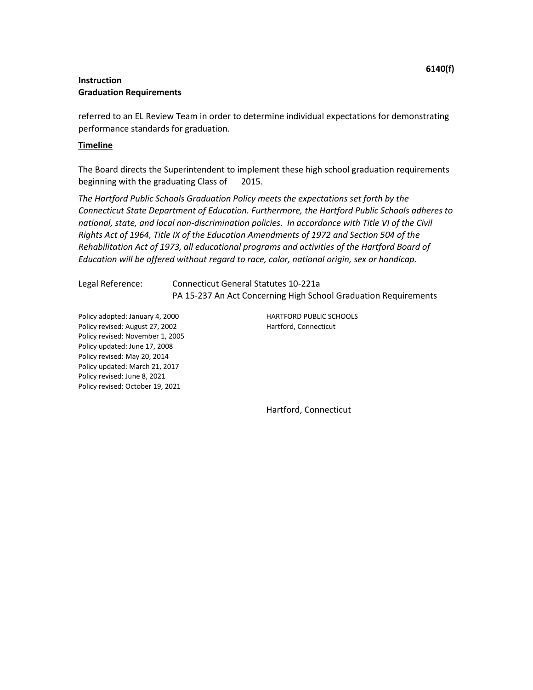referred to an EL Review Team in order to determine individual expectations for demonstrating performance standards for graduation.

#### **Timeline**

The Board directs the Superintendent to implement these high school graduation requirements beginning with the graduating Class of 2015.

*The Hartford Public Schools Graduation Policy meets the expectations set forth by the Connecticut State Department of Education. Furthermore, the Hartford Public Schools adheres to*  national, state, and local non-discrimination policies. In accordance with Title VI of the Civil *Rights Act of 1964, Title IX of the Education Amendments of 1972 and Section 504 of the Rehabilitation Act of 1973, all educational programs and activities of the Hartford Board of Education will be offered without regard to race, color, national origin, sex or handicap.* 

Legal Reference: Connecticut General Statutes 10-221a PA 15-237 An Act Concerning High School Graduation Requirements

Policy adopted: January 4, 2000 HARTFORD PUBLIC SCHOOLS Policy revised: August 27, 2002 Hartford, Connecticut Policy revised: November 1, 2005 Policy updated: June 17, 2008 Policy revised: May 20, 2014 Policy updated: March 21, 2017 Policy revised: June 8, 2021 Policy revised: October 19, 2021

Hartford, Connecticut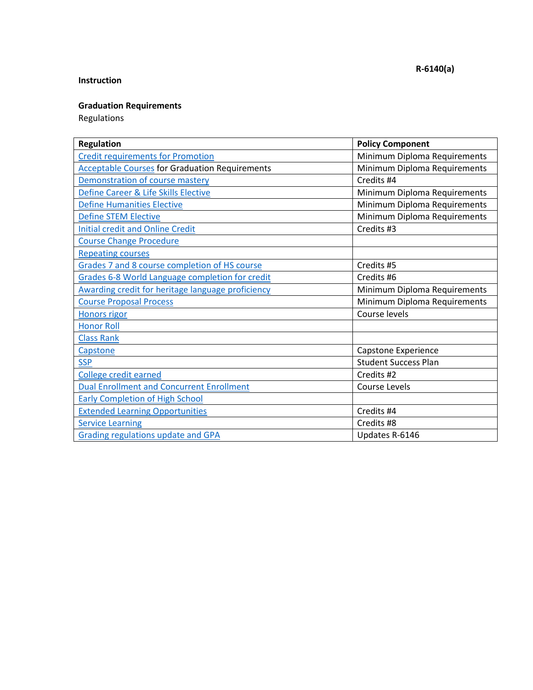# **Instruction**

# **Graduation Requirements**

Regulations

| <b>Regulation</b>                                     | <b>Policy Component</b>      |
|-------------------------------------------------------|------------------------------|
| <b>Credit requirements for Promotion</b>              | Minimum Diploma Requirements |
| <b>Acceptable Courses for Graduation Requirements</b> | Minimum Diploma Requirements |
| Demonstration of course mastery                       | Credits #4                   |
| Define Career & Life Skills Elective                  | Minimum Diploma Requirements |
| <b>Define Humanities Elective</b>                     | Minimum Diploma Requirements |
| <b>Define STEM Elective</b>                           | Minimum Diploma Requirements |
| <b>Initial credit and Online Credit</b>               | Credits #3                   |
| <b>Course Change Procedure</b>                        |                              |
| <b>Repeating courses</b>                              |                              |
| Grades 7 and 8 course completion of HS course         | Credits #5                   |
| Grades 6-8 World Language completion for credit       | Credits #6                   |
| Awarding credit for heritage language proficiency     | Minimum Diploma Requirements |
| <b>Course Proposal Process</b>                        | Minimum Diploma Requirements |
| <b>Honors rigor</b>                                   | Course levels                |
| <b>Honor Roll</b>                                     |                              |
| <b>Class Rank</b>                                     |                              |
| Capstone                                              | Capstone Experience          |
| <b>SSP</b>                                            | <b>Student Success Plan</b>  |
| College credit earned                                 | Credits #2                   |
| <b>Dual Enrollment and Concurrent Enrollment</b>      | Course Levels                |
| <b>Early Completion of High School</b>                |                              |
| <b>Extended Learning Opportunities</b>                | Credits #4                   |
| <b>Service Learning</b>                               | Credits #8                   |
| <b>Grading regulations update and GPA</b>             | Updates R-6146               |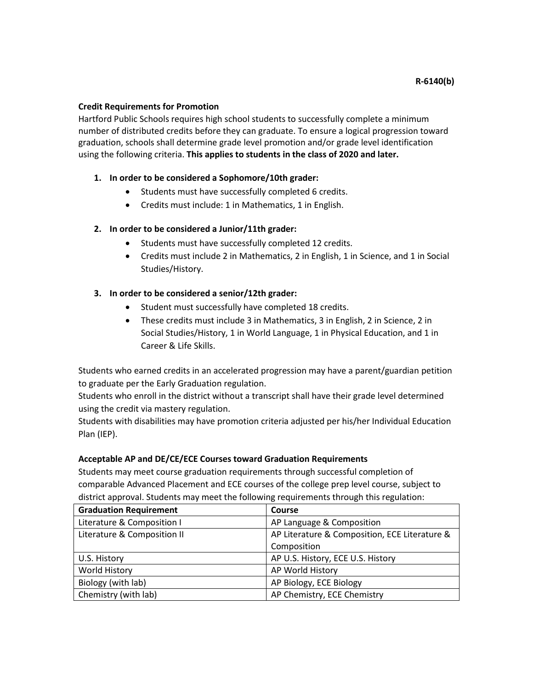## <span id="page-47-0"></span>**Credit Requirements for Promotion**

Hartford Public Schools requires high school students to successfully complete a minimum number of distributed credits before they can graduate. To ensure a logical progression toward graduation, schools shall determine grade level promotion and/or grade level identification using the following criteria. **This applies to students in the class of 2020 and later.**

## **1. In order to be considered a Sophomore/10th grader:**

- Students must have successfully completed 6 credits.
- Credits must include: 1 in Mathematics, 1 in English.

## **2. In order to be considered a Junior/11th grader:**

- Students must have successfully completed 12 credits.
- Credits must include 2 in Mathematics, 2 in English, 1 in Science, and 1 in Social Studies/History.

## **3. In order to be considered a senior/12th grader:**

- Student must successfully have completed 18 credits.
- These credits must include 3 in Mathematics, 3 in English, 2 in Science, 2 in Social Studies/History, 1 in World Language, 1 in Physical Education, and 1 in Career & Life Skills.

Students who earned credits in an accelerated progression may have a parent/guardian petition to graduate per the Early Graduation regulation.

Students who enroll in the district without a transcript shall have their grade level determined using the credit via mastery regulation.

Students with disabilities may have promotion criteria adjusted per his/her Individual Education Plan (IEP).

## **Acceptable AP and DE/CE/ECE Courses toward Graduation Requirements**

Students may meet course graduation requirements through successful completion of comparable Advanced Placement and ECE courses of the college prep level course, subject to district approval. Students may meet the following requirements through this regulation:

<span id="page-47-1"></span>

| <b>Graduation Requirement</b> | Course                                        |
|-------------------------------|-----------------------------------------------|
| Literature & Composition I    | AP Language & Composition                     |
| Literature & Composition II   | AP Literature & Composition, ECE Literature & |
|                               | Composition                                   |
| U.S. History                  | AP U.S. History, ECE U.S. History             |
| <b>World History</b>          | AP World History                              |
| Biology (with lab)            | AP Biology, ECE Biology                       |
| Chemistry (with lab)          | AP Chemistry, ECE Chemistry                   |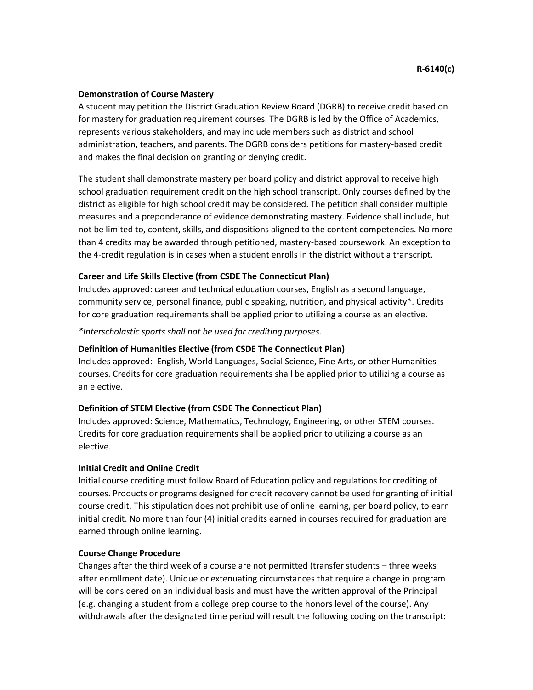#### **Demonstration of Course Mastery**

A student may petition the District Graduation Review Board (DGRB) to receive credit based on for mastery for graduation requirement courses. The DGRB is led by the Office of Academics, represents various stakeholders, and may include members such as district and school administration, teachers, and parents. The DGRB considers petitions for mastery-based credit and makes the final decision on granting or denying credit.

The student shall demonstrate mastery per board policy and district approval to receive high school graduation requirement credit on the high school transcript. Only courses defined by the district as eligible for high school credit may be considered. The petition shall consider multiple measures and a preponderance of evidence demonstrating mastery. Evidence shall include, but not be limited to, content, skills, and dispositions aligned to the content competencies. No more than 4 credits may be awarded through petitioned, mastery-based coursework. An exception to the 4-credit regulation is in cases when a student enrolls in the district without a transcript.

## **Career and Life Skills Elective (from CSDE The Connecticut Plan)**

Includes approved: career and technical education courses, English as a second language, community service, personal finance, public speaking, nutrition, and physical activity\*. Credits for core graduation requirements shall be applied prior to utilizing a course as an elective.

*\*Interscholastic sports shall not be used for crediting purposes.*

#### <span id="page-48-0"></span>**Definition of Humanities Elective (from CSDE The Connecticut Plan)**

Includes approved: English, World Languages, Social Science, Fine Arts, or other Humanities courses. Credits for core graduation requirements shall be applied prior to utilizing a course as an elective.

## <span id="page-48-1"></span>**Definition of STEM Elective (from CSDE The Connecticut Plan)**

Includes approved: Science, Mathematics, Technology, Engineering, or other STEM courses. Credits for core graduation requirements shall be applied prior to utilizing a course as an elective.

#### <span id="page-48-2"></span>**Initial Credit and Online Credit**

Initial course crediting must follow Board of Education policy and regulations for crediting of courses. Products or programs designed for credit recovery cannot be used for granting of initial course credit. This stipulation does not prohibit use of online learning, per board policy, to earn initial credit. No more than four (4) initial credits earned in courses required for graduation are earned through online learning.

#### <span id="page-48-3"></span>**Course Change Procedure**

Changes after the third week of a course are not permitted (transfer students – three weeks after enrollment date). Unique or extenuating circumstances that require a change in program will be considered on an individual basis and must have the written approval of the Principal (e.g. changing a student from a college prep course to the honors level of the course). Any withdrawals after the designated time period will result the following coding on the transcript: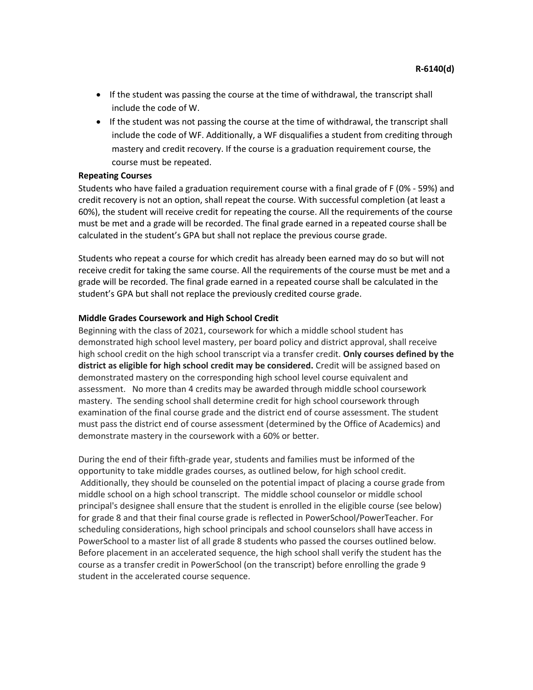- If the student was passing the course at the time of withdrawal, the transcript shall include the code of W.
- If the student was not passing the course at the time of withdrawal, the transcript shall include the code of WF. Additionally, a WF disqualifies a student from crediting through mastery and credit recovery. If the course is a graduation requirement course, the course must be repeated.

#### <span id="page-49-0"></span>**Repeating Courses**

Students who have failed a graduation requirement course with a final grade of F (0% - 59%) and credit recovery is not an option, shall repeat the course. With successful completion (at least a 60%), the student will receive credit for repeating the course. All the requirements of the course must be met and a grade will be recorded. The final grade earned in a repeated course shall be calculated in the student's GPA but shall not replace the previous course grade.

Students who repeat a course for which credit has already been earned may do so but will not receive credit for taking the same course. All the requirements of the course must be met and a grade will be recorded. The final grade earned in a repeated course shall be calculated in the student's GPA but shall not replace the previously credited course grade.

#### <span id="page-49-1"></span>**Middle Grades Coursework and High School Credit**

Beginning with the class of 2021, coursework for which a middle school student has demonstrated high school level mastery, per board policy and district approval, shall receive high school credit on the high school transcript via a transfer credit. **Only courses defined by the district as eligible for high school credit may be considered.** Credit will be assigned based on demonstrated mastery on the corresponding high school level course equivalent and assessment. No more than 4 credits may be awarded through middle school coursework mastery. The sending school shall determine credit for high school coursework through examination of the final course grade and the district end of course assessment. The student must pass the district end of course assessment (determined by the Office of Academics) and demonstrate mastery in the coursework with a 60% or better.

During the end of their fifth-grade year, students and families must be informed of the opportunity to take middle grades courses, as outlined below, for high school credit. Additionally, they should be counseled on the potential impact of placing a course grade from middle school on a high school transcript. The middle school counselor or middle school principal's designee shall ensure that the student is enrolled in the eligible course (see below) for grade 8 and that their final course grade is reflected in PowerSchool/PowerTeacher. For scheduling considerations, high school principals and school counselors shall have access in PowerSchool to a master list of all grade 8 students who passed the courses outlined below. Before placement in an accelerated sequence, the high school shall verify the student has the course as a transfer credit in PowerSchool (on the transcript) before enrolling the grade 9 student in the accelerated course sequence.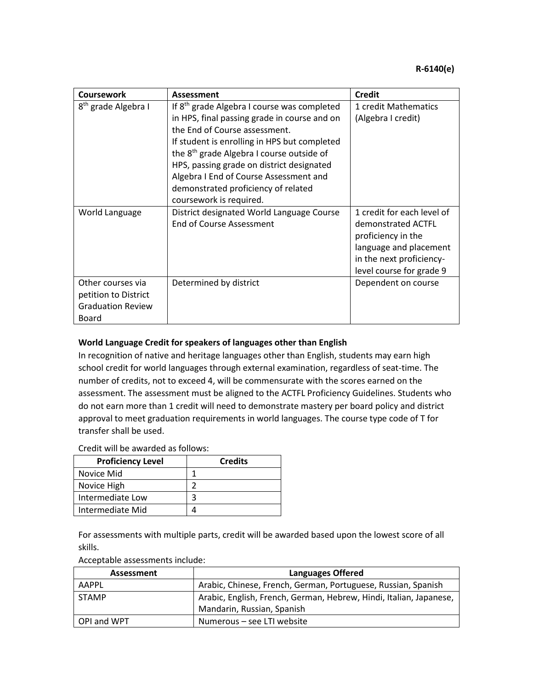| Coursework                                                                     | Assessment                                                                                                                                                                                                                                                                                                                                                                                                 | Credit                                                                                                                                                   |
|--------------------------------------------------------------------------------|------------------------------------------------------------------------------------------------------------------------------------------------------------------------------------------------------------------------------------------------------------------------------------------------------------------------------------------------------------------------------------------------------------|----------------------------------------------------------------------------------------------------------------------------------------------------------|
| 8 <sup>th</sup> grade Algebra I                                                | If 8 <sup>th</sup> grade Algebra I course was completed<br>in HPS, final passing grade in course and on<br>the End of Course assessment.<br>If student is enrolling in HPS but completed<br>the 8 <sup>th</sup> grade Algebra I course outside of<br>HPS, passing grade on district designated<br>Algebra I End of Course Assessment and<br>demonstrated proficiency of related<br>coursework is required. | 1 credit Mathematics<br>(Algebra I credit)                                                                                                               |
| World Language                                                                 | District designated World Language Course<br>End of Course Assessment                                                                                                                                                                                                                                                                                                                                      | 1 credit for each level of<br>demonstrated ACTFL<br>proficiency in the<br>language and placement<br>in the next proficiency-<br>level course for grade 9 |
| Other courses via<br>petition to District<br><b>Graduation Review</b><br>Board | Determined by district                                                                                                                                                                                                                                                                                                                                                                                     | Dependent on course                                                                                                                                      |

# <span id="page-50-0"></span>**World Language Credit for speakers of languages other than English**

In recognition of native and heritage languages other than English, students may earn high school credit for world languages through external examination, regardless of seat-time. The number of credits, not to exceed 4, will be commensurate with the scores earned on the assessment. The assessment must be aligned to the ACTFL Proficiency Guidelines. Students who do not earn more than 1 credit will need to demonstrate mastery per board policy and district approval to meet graduation requirements in world languages. The course type code of T for transfer shall be used.

## Credit will be awarded as follows:

| <b>Proficiency Level</b> | <b>Credits</b> |
|--------------------------|----------------|
| Novice Mid               |                |
| Novice High              |                |
| Intermediate Low         |                |
| Intermediate Mid         |                |

For assessments with multiple parts, credit will be awarded based upon the lowest score of all skills.

| Acceptable assessments include: |  |
|---------------------------------|--|
|---------------------------------|--|

| Assessment   | <b>Languages Offered</b>                                           |
|--------------|--------------------------------------------------------------------|
| AAPPL        | Arabic, Chinese, French, German, Portuguese, Russian, Spanish      |
| <b>STAMP</b> | Arabic, English, French, German, Hebrew, Hindi, Italian, Japanese, |
|              | Mandarin, Russian, Spanish                                         |
| OPI and WPT  | Numerous – see LTI website                                         |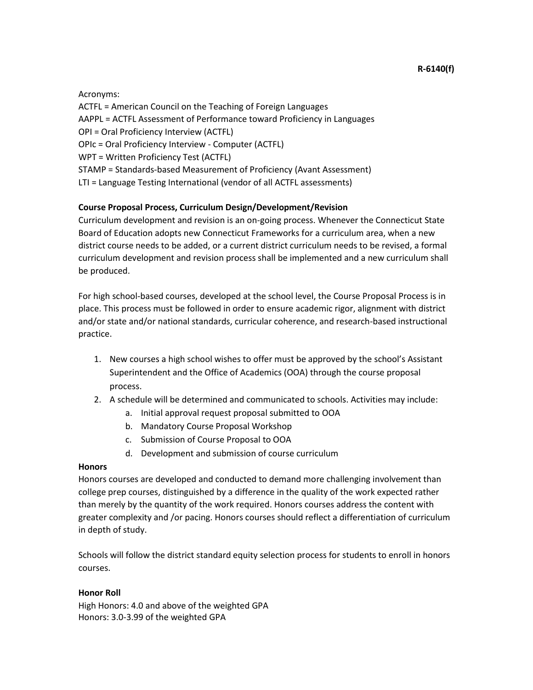Acronyms:

ACTFL = American Council on the Teaching of Foreign Languages AAPPL = ACTFL Assessment of Performance toward Proficiency in Languages OPI = Oral Proficiency Interview (ACTFL) OPIc = Oral Proficiency Interview - Computer (ACTFL) WPT = Written Proficiency Test (ACTFL) STAMP = Standards-based Measurement of Proficiency (Avant Assessment) LTI = Language Testing International (vendor of all ACTFL assessments)

# <span id="page-51-0"></span>**Course Proposal Process, Curriculum Design/Development/Revision**

Curriculum development and revision is an on-going process. Whenever the Connecticut State Board of Education adopts new Connecticut Frameworks for a curriculum area, when a new district course needs to be added, or a current district curriculum needs to be revised, a formal curriculum development and revision process shall be implemented and a new curriculum shall be produced.

For high school-based courses, developed at the school level, the Course Proposal Process is in place. This process must be followed in order to ensure academic rigor, alignment with district and/or state and/or national standards, curricular coherence, and research-based instructional practice.

- 1. New courses a high school wishes to offer must be approved by the school's Assistant Superintendent and the Office of Academics (OOA) through the course proposal process.
- <span id="page-51-2"></span>2. A schedule will be determined and communicated to schools. Activities may include:
	- a. Initial approval request proposal submitted to OOA
	- b. Mandatory Course Proposal Workshop
	- c. Submission of Course Proposal to OOA
	- d. Development and submission of course curriculum

## <span id="page-51-1"></span>**Honors**

Honors courses are developed and conducted to demand more challenging involvement than college prep courses, distinguished by a difference in the quality of the work expected rather than merely by the quantity of the work required. Honors courses address the content with greater complexity and /or pacing. Honors courses should reflect a differentiation of curriculum in depth of study.

Schools will follow the district standard equity selection process for students to enroll in honors courses.

## **Honor Roll**

High Honors: 4.0 and above of the weighted GPA Honors: 3.0-3.99 of the weighted GPA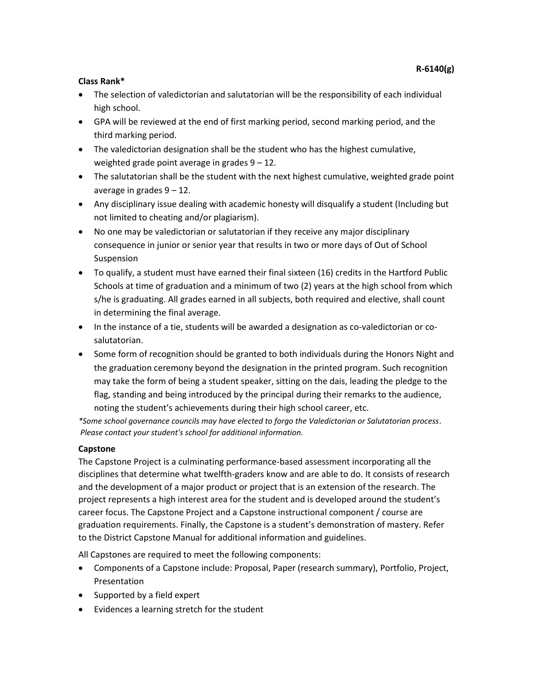# <span id="page-52-0"></span>**Class Rank\***

- The selection of valedictorian and salutatorian will be the responsibility of each individual high school.
- GPA will be reviewed at the end of first marking period, second marking period, and the third marking period.
- The valedictorian designation shall be the student who has the highest cumulative, weighted grade point average in grades 9 – 12.
- The salutatorian shall be the student with the next highest cumulative, weighted grade point average in grades  $9 - 12$ .
- Any disciplinary issue dealing with academic honesty will disqualify a student (Including but not limited to cheating and/or plagiarism).
- No one may be valedictorian or salutatorian if they receive any major disciplinary consequence in junior or senior year that results in two or more days of Out of School Suspension
- To qualify, a student must have earned their final sixteen (16) credits in the Hartford Public Schools at time of graduation and a minimum of two (2) years at the high school from which s/he is graduating. All grades earned in all subjects, both required and elective, shall count in determining the final average.
- In the instance of a tie, students will be awarded a designation as co-valedictorian or cosalutatorian.
- Some form of recognition should be granted to both individuals during the Honors Night and the graduation ceremony beyond the designation in the printed program. Such recognition may take the form of being a student speaker, sitting on the dais, leading the pledge to the flag, standing and being introduced by the principal during their remarks to the audience, noting the student's achievements during their high school career, etc.

*\*Some school governance councils may have elected to forgo the Valedictorian or Salutatorian process. Please contact your student's school for additional information.*

## <span id="page-52-1"></span>**Capstone**

The Capstone Project is a culminating performance-based assessment incorporating all the disciplines that determine what twelfth-graders know and are able to do. It consists of research and the development of a major product or project that is an extension of the research. The project represents a high interest area for the student and is developed around the student's career focus. The Capstone Project and a Capstone instructional component / course are graduation requirements. Finally, the Capstone is a student's demonstration of mastery. Refer to the District Capstone Manual for additional information and guidelines.

All Capstones are required to meet the following components:

- Components of a Capstone include: Proposal, Paper (research summary), Portfolio, Project, Presentation
- Supported by a field expert
- Evidences a learning stretch for the student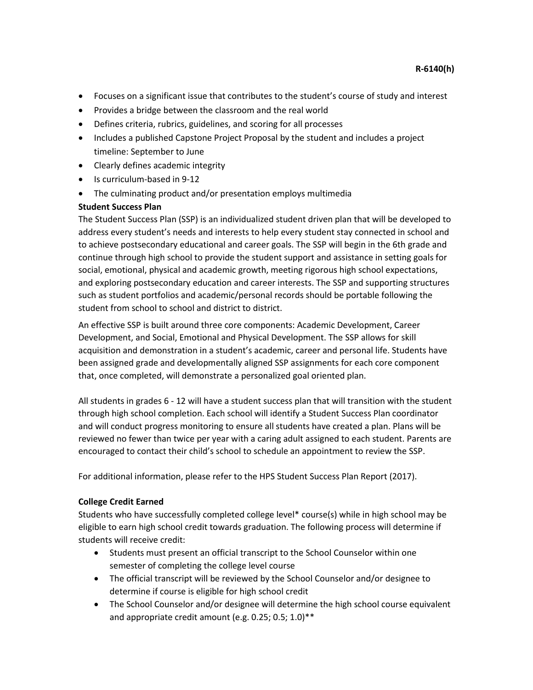- Focuses on a significant issue that contributes to the student's course of study and interest
- Provides a bridge between the classroom and the real world
- Defines criteria, rubrics, guidelines, and scoring for all processes
- Includes a published Capstone Project Proposal by the student and includes a project timeline: September to June
- Clearly defines academic integrity
- Is curriculum-based in 9-12
- The culminating product and/or presentation employs multimedia

## **Student Success Plan**

The Student Success Plan (SSP) is an individualized student driven plan that will be developed to address every student's needs and interests to help every student stay connected in school and to achieve postsecondary educational and career goals. The SSP will begin in the 6th grade and continue through high school to provide the student support and assistance in setting goals for social, emotional, physical and academic growth, meeting rigorous high school expectations, and exploring postsecondary education and career interests. The SSP and supporting structures such as student portfolios and academic/personal records should be portable following the student from school to school and district to district.

An effective SSP is built around three core components: Academic Development, Career Development, and Social, Emotional and Physical Development. The SSP allows for skill acquisition and demonstration in a student's academic, career and personal life. Students have been assigned grade and developmentally aligned SSP assignments for each core component that, once completed, will demonstrate a personalized goal oriented plan.

All students in grades 6 - 12 will have a student success plan that will transition with the student through high school completion. Each school will identify a Student Success Plan coordinator and will conduct progress monitoring to ensure all students have created a plan. Plans will be reviewed no fewer than twice per year with a caring adult assigned to each student. Parents are encouraged to contact their child's school to schedule an appointment to review the SSP.

For additional information, please refer to the HPS Student Success Plan Report (2017).

## <span id="page-53-0"></span>**College Credit Earned**

Students who have successfully completed college level\* course(s) while in high school may be eligible to earn high school credit towards graduation. The following process will determine if students will receive credit:

- Students must present an official transcript to the School Counselor within one semester of completing the college level course
- The official transcript will be reviewed by the School Counselor and/or designee to determine if course is eligible for high school credit
- The School Counselor and/or designee will determine the high school course equivalent and appropriate credit amount (e.g. 0.25; 0.5; 1.0)\*\*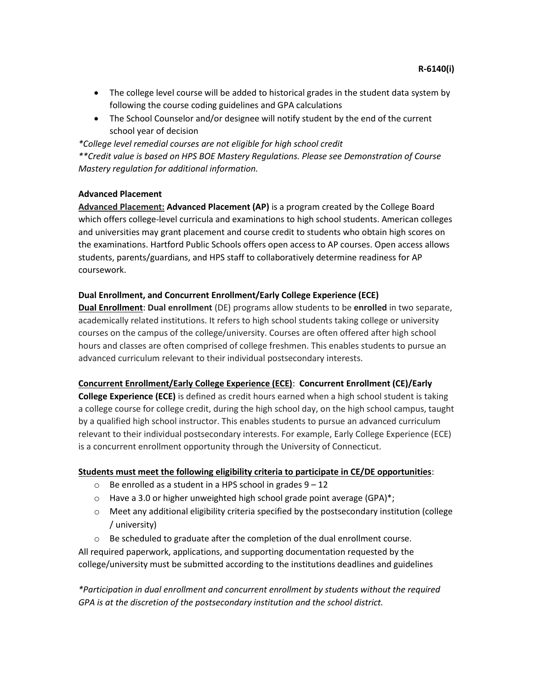- The college level course will be added to historical grades in the student data system by following the course coding guidelines and GPA calculations
- The School Counselor and/or designee will notify student by the end of the current school year of decision

*\*College level remedial courses are not eligible for high school credit \*\*Credit value is based on HPS BOE Mastery Regulations. Please see Demonstration of Course Mastery regulation for additional information.* 

## <span id="page-54-0"></span>**Advanced Placement**

**Advanced Placement: Advanced Placement (AP)** is a program created by the College Board which offers college-level curricula and examinations to high school students. American colleges and universities may grant placement and course credit to students who obtain high scores on the examinations. Hartford Public Schools offers open access to AP courses. Open access allows students, parents/guardians, and HPS staff to collaboratively determine readiness for AP coursework.

## **Dual Enrollment, and Concurrent Enrollment/Early College Experience (ECE)**

**Dual Enrollment**: **Dual enrollment** (DE) programs allow students to be **enrolled** in two separate, academically related institutions. It refers to high school students taking college or university courses on the campus of the college/university. Courses are often offered after high school hours and classes are often comprised of college freshmen. This enables students to pursue an advanced curriculum relevant to their individual postsecondary interests.

# **Concurrent Enrollment/Early College Experience (ECE)**: **Concurrent Enrollment (CE)/Early**

**College Experience (ECE)** is defined as credit hours earned when a high school student is taking a college course for college credit, during the high school day, on the high school campus, taught by a qualified high school instructor. This enables students to pursue an advanced curriculum relevant to their individual postsecondary interests. For example, Early College Experience (ECE) is a concurrent enrollment opportunity through the University of Connecticut.

# **Students must meet the following eligibility criteria to participate in CE/DE opportunities**:

- $\circ$  Be enrolled as a student in a HPS school in grades  $9-12$
- $\circ$  Have a 3.0 or higher unweighted high school grade point average (GPA)\*;
- $\circ$  Meet any additional eligibility criteria specified by the postsecondary institution (college / university)

 $\circ$  Be scheduled to graduate after the completion of the dual enrollment course. All required paperwork, applications, and supporting documentation requested by the college/university must be submitted according to the institutions deadlines and guidelines

*\*Participation in dual enrollment and concurrent enrollment by students without the required GPA is at the discretion of the postsecondary institution and the school district.*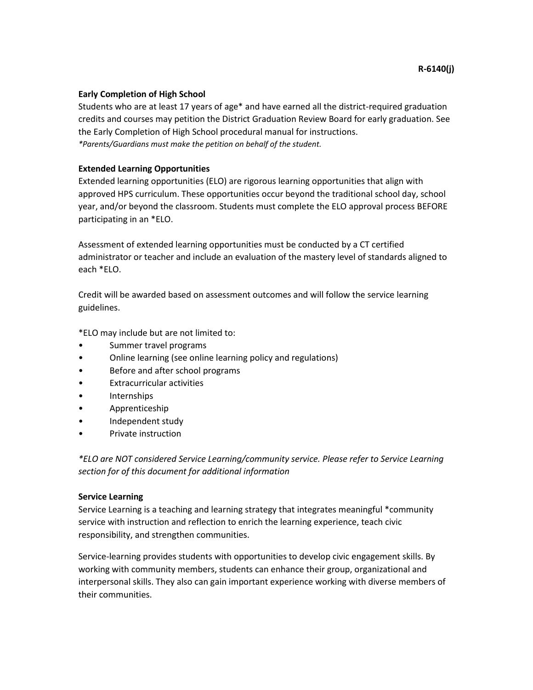#### <span id="page-55-0"></span>**Early Completion of High School**

Students who are at least 17 years of age\* and have earned all the district-required graduation credits and courses may petition the District Graduation Review Board for early graduation. See the Early Completion of High School procedural manual for instructions. *\*Parents/Guardians must make the petition on behalf of the student.*

#### <span id="page-55-1"></span>**Extended Learning Opportunities**

Extended learning opportunities (ELO) are rigorous learning opportunities that align with approved HPS curriculum. These opportunities occur beyond the traditional school day, school year, and/or beyond the classroom. Students must complete the ELO approval process BEFORE participating in an \*ELO.

Assessment of extended learning opportunities must be conducted by a CT certified administrator or teacher and include an evaluation of the mastery level of standards aligned to each \*ELO.

Credit will be awarded based on assessment outcomes and will follow the service learning guidelines.

\*ELO may include but are not limited to:

- Summer travel programs
- Online learning (see online learning policy and regulations)
- Before and after school programs
- Extracurricular activities
- Internships
- Apprenticeship
- Independent study
- Private instruction

*\*ELO are NOT considered Service Learning/community service. Please refer to Service Learning section for of this document for additional information*

#### <span id="page-55-2"></span>**Service Learning**

Service Learning is a teaching and learning strategy that integrates meaningful \*community service with instruction and reflection to enrich the learning experience, teach civic responsibility, and strengthen communities.

Service-learning provides students with opportunities to develop civic engagement skills. By working with community members, students can enhance their group, organizational and interpersonal skills. They also can gain important experience working with diverse members of their communities.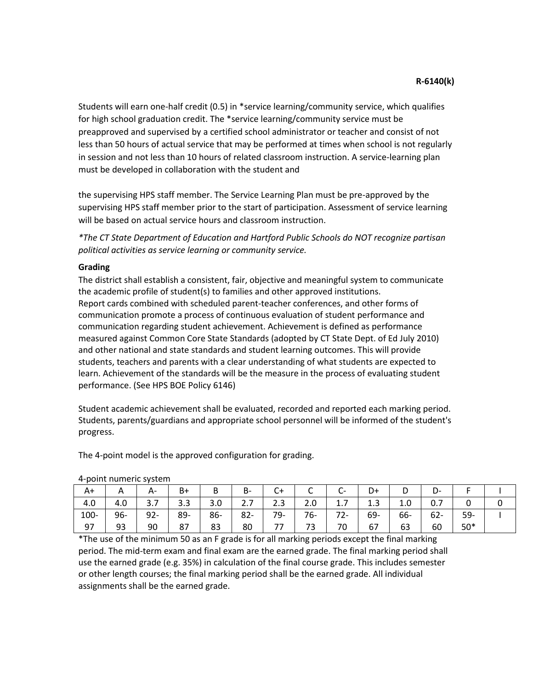Students will earn one-half credit (0.5) in \*service learning/community service, which qualifies for high school graduation credit. The \*service learning/community service must be preapproved and supervised by a certified school administrator or teacher and consist of not less than 50 hours of actual service that may be performed at times when school is not regularly in session and not less than 10 hours of related classroom instruction. A service-learning plan must be developed in collaboration with the student and

the supervising HPS staff member. The Service Learning Plan must be pre-approved by the supervising HPS staff member prior to the start of participation. Assessment of service learning will be based on actual service hours and classroom instruction.

*\*The CT State Department of Education and Hartford Public Schools do NOT recognize partisan political activities as service learning or community service.*

## <span id="page-56-0"></span>**Grading**

The district shall establish a consistent, fair, objective and meaningful system to communicate the academic profile of student(s) to families and other approved institutions. Report cards combined with scheduled parent-teacher conferences, and other forms of communication promote a process of continuous evaluation of student performance and communication regarding student achievement. Achievement is defined as performance measured against Common Core State Standards (adopted by CT State Dept. of Ed July 2010) and other national and state standards and student learning outcomes. This will provide students, teachers and parents with a clear understanding of what students are expected to learn. Achievement of the standards will be the measure in the process of evaluating student performance. (See HPS BOE Policy 6146)

Student academic achievement shall be evaluated, recorded and reported each marking period. Students, parents/guardians and appropriate school personnel will be informed of the student's progress.

The 4-point model is the approved configuration for grading.

| A+      | A   | А-                     | $B+$ |     | B-                                          | U+        | ֊     | ⌒<br>◡   | D+  |     | D-     |       |  |
|---------|-----|------------------------|------|-----|---------------------------------------------|-----------|-------|----------|-----|-----|--------|-------|--|
| 4.0     | 4.0 | $\mathbf{\tau}$<br>3.7 | 3.3  | 3.0 | $\overline{\phantom{a}}$<br>$\mathcal{L}$ . | າລ<br>د.ء | 2.0   | $\pm$ ./ | 1.3 | 1.0 | 0.7    |       |  |
| $100 -$ | 96- | $92 -$                 | 89-  | 86- | $82 -$                                      | 79-       | $76-$ | $72 -$   | 69- | 66- | $62 -$ | 59-   |  |
| 97      | 93  | 90                     | 87   | 83  | 80                                          | --        | 73    | 70       | 67  | 63  | 60     | $50*$ |  |

4-point numeric system

\*The use of the minimum 50 as an F grade is for all marking periods except the final marking period. The mid-term exam and final exam are the earned grade. The final marking period shall use the earned grade (e.g. 35%) in calculation of the final course grade. This includes semester or other length courses; the final marking period shall be the earned grade. All individual assignments shall be the earned grade.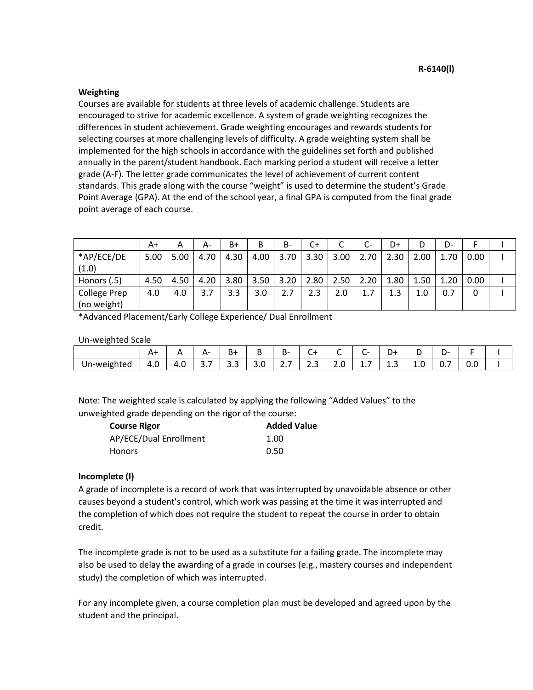#### **Weighting**

Courses are available for students at three levels of academic challenge. Students are encouraged to strive for academic excellence. A system of grade weighting recognizes the differences in student achievement. Grade weighting encourages and rewards students for selecting courses at more challenging levels of difficulty. A grade weighting system shall be implemented for the high schools in accordance with the guidelines set forth and published annually in the parent/student handbook. Each marking period a student will receive a letter grade (A-F). The letter grade communicates the level of achievement of current content standards. This grade along with the course "weight" is used to determine the student's Grade Point Average (GPA). At the end of the school year, a final GPA is computed from the final grade point average of each course.

|                                    | A+   | A    | А-   | B+   | B    | B-                | C+   |      | $C-$ | D+   |      | D-   |      |  |
|------------------------------------|------|------|------|------|------|-------------------|------|------|------|------|------|------|------|--|
| *AP/ECE/DE<br>(1.0)                | 5.00 | 5.00 | 4.70 | 4.30 | 4.00 | 3.70 <sub>1</sub> | 3.30 | 3.00 | 2.70 | 2.30 | 2.00 | 1.70 | 0.00 |  |
| Honors (.5)                        | 4.50 | 4.50 | 4.20 | 3.80 | 3.50 | 3.20              | 2.80 | 2.50 | 2.20 | 1.80 | 1.50 | 1.20 | 0.00 |  |
| <b>College Prep</b><br>(no weight) | 4.0  | 4.0  | 3.7  | 3.3  | 3.0  | 2.7               | 2.3  | 2.0  | 1.7  | 1.3  | 1.0  | 0.7  | 0    |  |

\*Advanced Placement/Early College Experience/ Dual Enrollment

Un-weighted Scale

| $\sim$<br>-<br>∽<br>В-<br>-<br>B+<br>-<br>⌒<br>$\mathbf{v}$<br>Δ.<br>+ر,<br><br>י<br>┑.<br>. J<br>◡<br>$\overline{\phantom{0}}$<br>$\overline{\phantom{0}}$<br>-<br>-<br>-<br>$\overline{\phantom{a}}$<br>-<br>$\overline{\phantom{a}}$ |             |     |     |      |  |     |          |      |     |         |         |      |     |  |
|-----------------------------------------------------------------------------------------------------------------------------------------------------------------------------------------------------------------------------------------|-------------|-----|-----|------|--|-----|----------|------|-----|---------|---------|------|-----|--|
|                                                                                                                                                                                                                                         |             |     |     |      |  |     |          |      |     |         |         |      |     |  |
| __<br>__                                                                                                                                                                                                                                | Un-weighted | 4.U | 4.U | J. 1 |  | J.U | <u>.</u> | ر .ر | z.u | <b></b> | <br>1.0 | . U. | 0.0 |  |

Note: The weighted scale is calculated by applying the following "Added Values" to the unweighted grade depending on the rigor of the course:

| <b>Course Rigor</b>    | <b>Added Value</b> |
|------------------------|--------------------|
| AP/ECE/Dual Enrollment | 1.00               |
| <b>Honors</b>          | 0.50               |

## **Incomplete (I)**

A grade of incomplete is a record of work that was interrupted by unavoidable absence or other causes beyond a student's control, which work was passing at the time it was interrupted and the completion of which does not require the student to repeat the course in order to obtain credit.

The incomplete grade is not to be used as a substitute for a failing grade. The incomplete may also be used to delay the awarding of a grade in courses (e.g., mastery courses and independent study) the completion of which was interrupted.

For any incomplete given, a course completion plan must be developed and agreed upon by the student and the principal.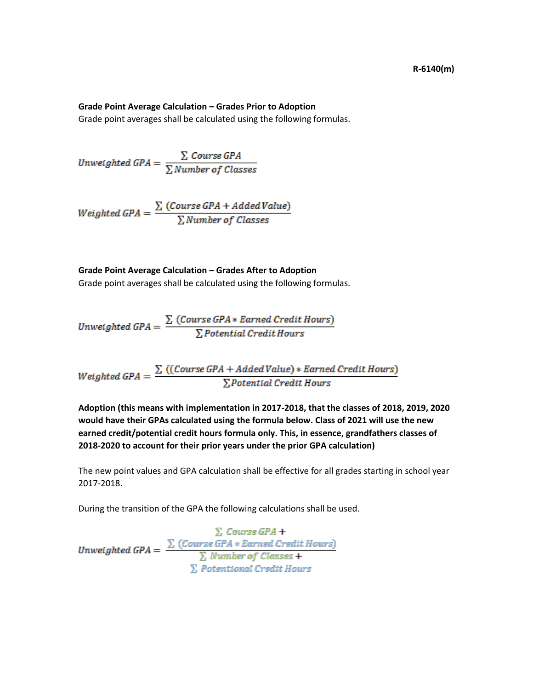#### **Grade Point Average Calculation – Grades Prior to Adoption**

Grade point averages shall be calculated using the following formulas.

Unweighted GPA =  $\frac{\sum \text{Course GPA}}{\sum \text{Number of Classes}}$ 

$$
Weighted\ GPA = \frac{\sum (Course\ GPA + AidedValue)}{\sum Number\ of\ Classes}
$$

**Grade Point Average Calculation – Grades After to Adoption**

Grade point averages shall be calculated using the following formulas.

Unweighted GPA =  $\frac{\sum (Course\, GPA * Earned\, Credit\, Hours)}{\sum Potential\, Credit\, Hours}$ 

 $Weighted GPA = \frac{\sum ((Course GPA + Added Value) * Earned Credit Hours)}{\sum Potential Credit Hours}$ 

**Adoption (this means with implementation in 2017-2018, that the classes of 2018, 2019, 2020 would have their GPAs calculated using the formula below. Class of 2021 will use the new earned credit/potential credit hours formula only. This, in essence, grandfathers classes of 2018-2020 to account for their prior years under the prior GPA calculation)**

The new point values and GPA calculation shall be effective for all grades starting in school year 2017-2018.

During the transition of the GPA the following calculations shall be used.

 $\sum$  Course GPA +<br>Unweighted GPA =  $\frac{\sum (Course\ GPA * Earned\ Credit\ Hours)}{\sum Number\ of\ Classes} +$  $\Sigma$ . Potentional Credit.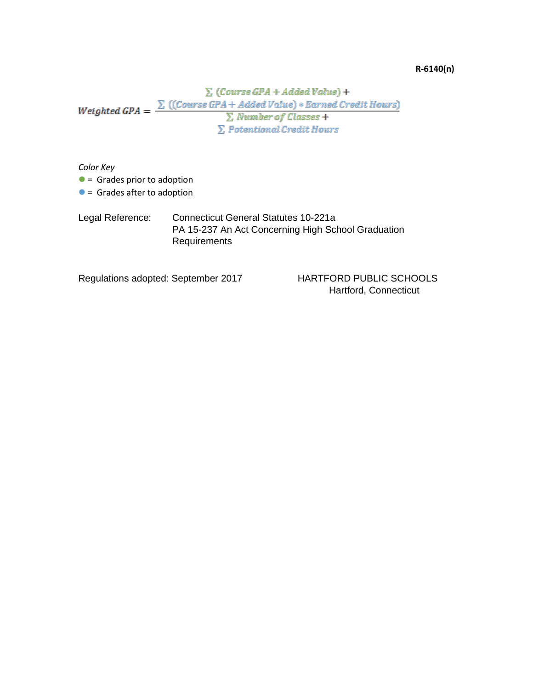#### **R-6140(n)**

 $\sum$  (Course GPA + Added Value) +  $\sum$  (Course GPA + Added Value) + Earned Credit Hours)<br>Weighted GPA =  $\frac{\sum$  ((Course GPA + Added Value) + Earned Credit Hours)  $\sum$  Number of Classes +  $\Sigma$  Potentional Credit Hours

*Color Key*

 $\bullet$  = Grades prior to adoption

 $\bullet$  = Grades after to adoption

Legal Reference: Connecticut General Statutes 10-221a PA 15-237 An Act Concerning High School Graduation Requirements

Regulations adopted: September 2017 HARTFORD PUBLIC SCHOOLS

Hartford, Connecticut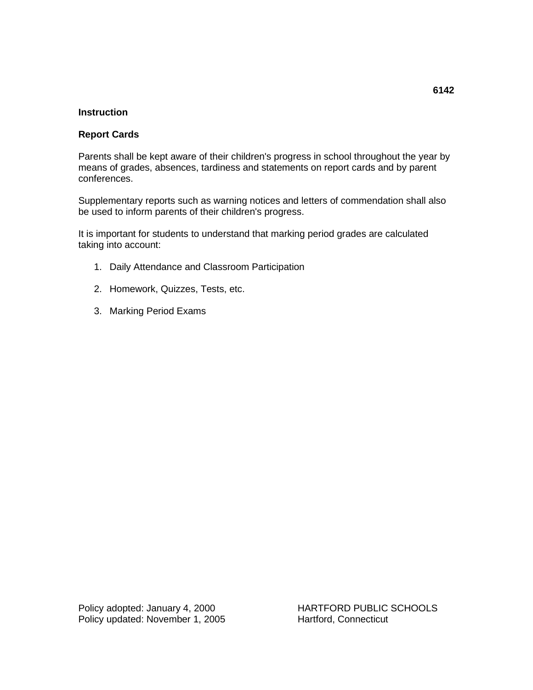# **Instruction**

# **Report Cards**

Parents shall be kept aware of their children's progress in school throughout the year by means of grades, absences, tardiness and statements on report cards and by parent conferences.

Supplementary reports such as warning notices and letters of commendation shall also be used to inform parents of their children's progress.

It is important for students to understand that marking period grades are calculated taking into account:

- 1. Daily Attendance and Classroom Participation
- 2. Homework, Quizzes, Tests, etc.
- 3. Marking Period Exams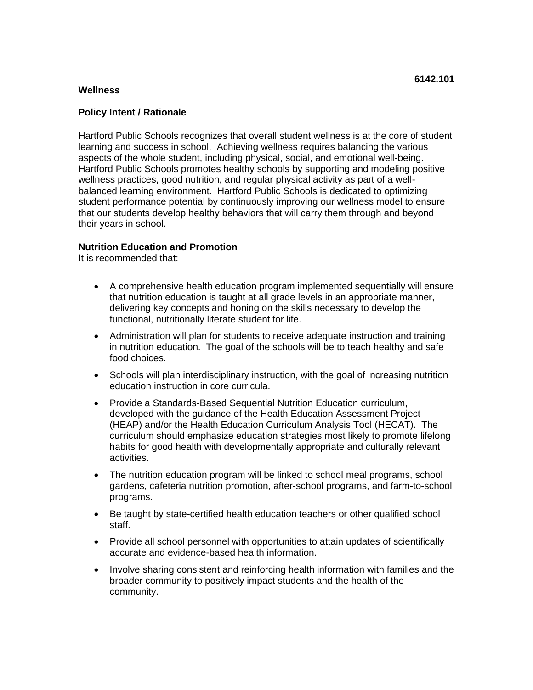# **Policy Intent / Rationale**

Hartford Public Schools recognizes that overall student wellness is at the core of student learning and success in school. Achieving wellness requires balancing the various aspects of the whole student, including physical, social, and emotional well-being. Hartford Public Schools promotes healthy schools by supporting and modeling positive wellness practices, good nutrition, and regular physical activity as part of a wellbalanced learning environment. Hartford Public Schools is dedicated to optimizing student performance potential by continuously improving our wellness model to ensure that our students develop healthy behaviors that will carry them through and beyond their years in school.

## **Nutrition Education and Promotion**

It is recommended that:

- A comprehensive health education program implemented sequentially will ensure that nutrition education is taught at all grade levels in an appropriate manner, delivering key concepts and honing on the skills necessary to develop the functional, nutritionally literate student for life.
- Administration will plan for students to receive adequate instruction and training in nutrition education. The goal of the schools will be to teach healthy and safe food choices.
- Schools will plan interdisciplinary instruction, with the goal of increasing nutrition education instruction in core curricula.
- Provide a Standards-Based Sequential Nutrition Education curriculum, developed with the guidance of the Health Education Assessment Project (HEAP) and/or the Health Education Curriculum Analysis Tool (HECAT). The curriculum should emphasize education strategies most likely to promote lifelong habits for good health with developmentally appropriate and culturally relevant activities.
- The nutrition education program will be linked to school meal programs, school gardens, cafeteria nutrition promotion, after-school programs, and farm-to-school programs.
- Be taught by state-certified health education teachers or other qualified school staff.
- Provide all school personnel with opportunities to attain updates of scientifically accurate and evidence-based health information.
- Involve sharing consistent and reinforcing health information with families and the broader community to positively impact students and the health of the community.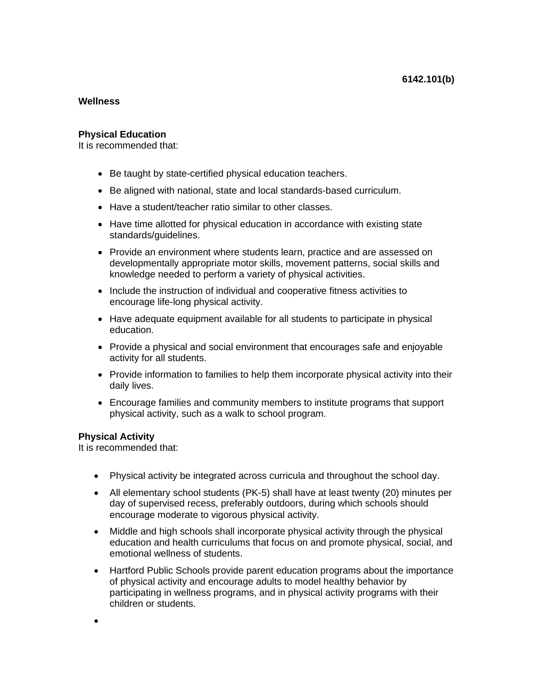#### **Physical Education**

It is recommended that:

- Be taught by state-certified physical education teachers.
- Be aligned with national, state and local standards-based curriculum.
- Have a student/teacher ratio similar to other classes.
- Have time allotted for physical education in accordance with existing state standards/guidelines.
- Provide an environment where students learn, practice and are assessed on developmentally appropriate motor skills, movement patterns, social skills and knowledge needed to perform a variety of physical activities.
- Include the instruction of individual and cooperative fitness activities to encourage life-long physical activity.
- Have adequate equipment available for all students to participate in physical education.
- Provide a physical and social environment that encourages safe and enjoyable activity for all students.
- Provide information to families to help them incorporate physical activity into their daily lives.
- Encourage families and community members to institute programs that support physical activity, such as a walk to school program.

## **Physical Activity**

It is recommended that:

- Physical activity be integrated across curricula and throughout the school day.
- All elementary school students (PK-5) shall have at least twenty (20) minutes per day of supervised recess, preferably outdoors, during which schools should encourage moderate to vigorous physical activity.
- Middle and high schools shall incorporate physical activity through the physical education and health curriculums that focus on and promote physical, social, and emotional wellness of students.
- Hartford Public Schools provide parent education programs about the importance of physical activity and encourage adults to model healthy behavior by participating in wellness programs, and in physical activity programs with their children or students.

•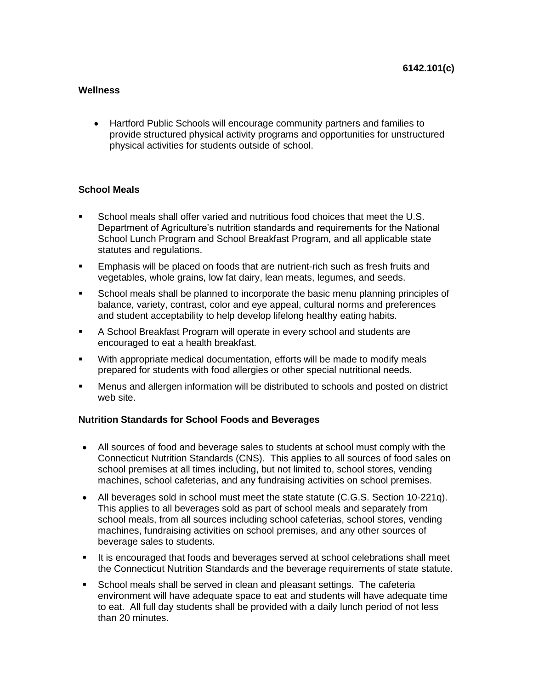• Hartford Public Schools will encourage community partners and families to provide structured physical activity programs and opportunities for unstructured physical activities for students outside of school.

# **School Meals**

- School meals shall offer varied and nutritious food choices that meet the U.S. Department of Agriculture's nutrition standards and requirements for the National School Lunch Program and School Breakfast Program, and all applicable state statutes and regulations.
- Emphasis will be placed on foods that are nutrient-rich such as fresh fruits and vegetables, whole grains, low fat dairy, lean meats, legumes, and seeds.
- School meals shall be planned to incorporate the basic menu planning principles of balance, variety, contrast, color and eye appeal, cultural norms and preferences and student acceptability to help develop lifelong healthy eating habits.
- A School Breakfast Program will operate in every school and students are encouraged to eat a health breakfast.
- With appropriate medical documentation, efforts will be made to modify meals prepared for students with food allergies or other special nutritional needs.
- **■** Menus and allergen information will be distributed to schools and posted on district web site.

# **Nutrition Standards for School Foods and Beverages**

- All sources of food and beverage sales to students at school must comply with the Connecticut Nutrition Standards (CNS). This applies to all sources of food sales on school premises at all times including, but not limited to, school stores, vending machines, school cafeterias, and any fundraising activities on school premises.
- All beverages sold in school must meet the state statute (C.G.S. Section 10-221q). This applies to all beverages sold as part of school meals and separately from school meals, from all sources including school cafeterias, school stores, vending machines, fundraising activities on school premises, and any other sources of beverage sales to students.
- It is encouraged that foods and beverages served at school celebrations shall meet the Connecticut Nutrition Standards and the beverage requirements of state statute.
- **EXECT School meals shall be served in clean and pleasant settings. The cafeteria** environment will have adequate space to eat and students will have adequate time to eat. All full day students shall be provided with a daily lunch period of not less than 20 minutes.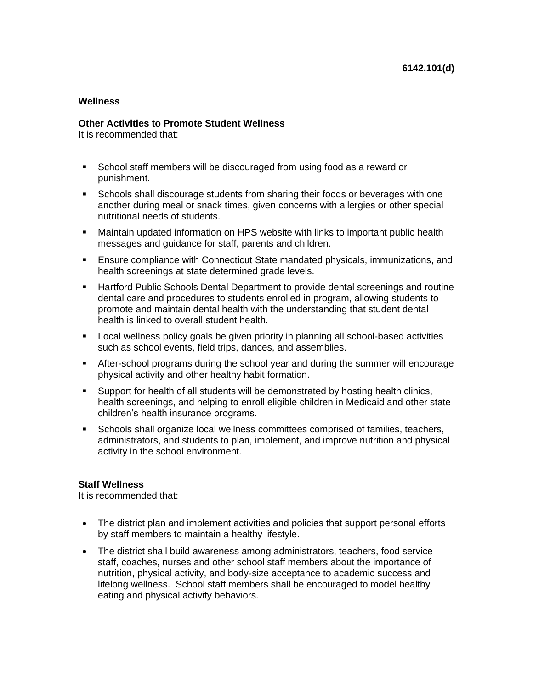#### **Other Activities to Promote Student Wellness**

It is recommended that:

- School staff members will be discouraged from using food as a reward or punishment.
- **EXECT** Schools shall discourage students from sharing their foods or beverages with one another during meal or snack times, given concerns with allergies or other special nutritional needs of students.
- Maintain updated information on HPS website with links to important public health messages and guidance for staff, parents and children.
- Ensure compliance with Connecticut State mandated physicals, immunizations, and health screenings at state determined grade levels.
- **Hartford Public Schools Dental Department to provide dental screenings and routine** dental care and procedures to students enrolled in program, allowing students to promote and maintain dental health with the understanding that student dental health is linked to overall student health.
- **EXEC** Local wellness policy goals be given priority in planning all school-based activities such as school events, field trips, dances, and assemblies.
- **EXTER-SCHOOL programs during the school year and during the summer will encourage** physical activity and other healthy habit formation.
- Support for health of all students will be demonstrated by hosting health clinics, health screenings, and helping to enroll eligible children in Medicaid and other state children's health insurance programs.
- Schools shall organize local wellness committees comprised of families, teachers, administrators, and students to plan, implement, and improve nutrition and physical activity in the school environment.

## **Staff Wellness**

It is recommended that:

- The district plan and implement activities and policies that support personal efforts by staff members to maintain a healthy lifestyle.
- The district shall build awareness among administrators, teachers, food service staff, coaches, nurses and other school staff members about the importance of nutrition, physical activity, and body-size acceptance to academic success and lifelong wellness. School staff members shall be encouraged to model healthy eating and physical activity behaviors.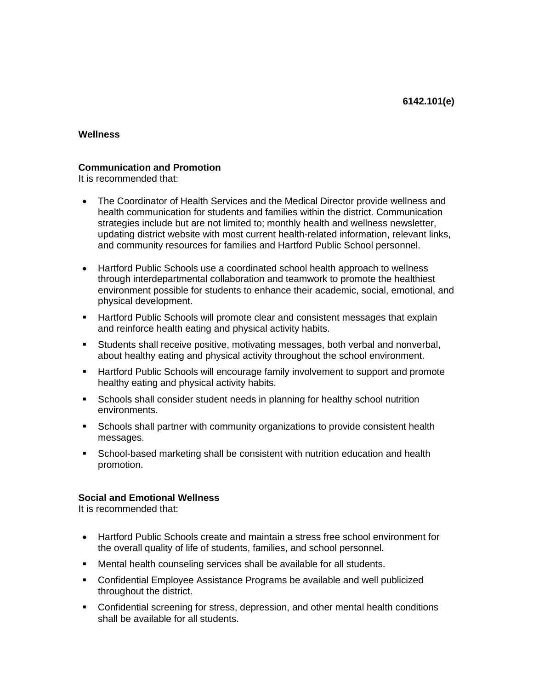# **Communication and Promotion**

It is recommended that:

- The Coordinator of Health Services and the Medical Director provide wellness and health communication for students and families within the district. Communication strategies include but are not limited to; monthly health and wellness newsletter, updating district website with most current health-related information, relevant links, and community resources for families and Hartford Public School personnel.
- Hartford Public Schools use a coordinated school health approach to wellness through interdepartmental collaboration and teamwork to promote the healthiest environment possible for students to enhance their academic, social, emotional, and physical development.
- **E** Hartford Public Schools will promote clear and consistent messages that explain and reinforce health eating and physical activity habits.
- Students shall receive positive, motivating messages, both verbal and nonverbal, about healthy eating and physical activity throughout the school environment.
- Hartford Public Schools will encourage family involvement to support and promote healthy eating and physical activity habits.
- Schools shall consider student needs in planning for healthy school nutrition environments.
- **EXECT** Schools shall partner with community organizations to provide consistent health messages.
- School-based marketing shall be consistent with nutrition education and health promotion.

## **Social and Emotional Wellness**

It is recommended that:

- Hartford Public Schools create and maintain a stress free school environment for the overall quality of life of students, families, and school personnel.
- Mental health counseling services shall be available for all students.
- Confidential Employee Assistance Programs be available and well publicized throughout the district.
- Confidential screening for stress, depression, and other mental health conditions shall be available for all students.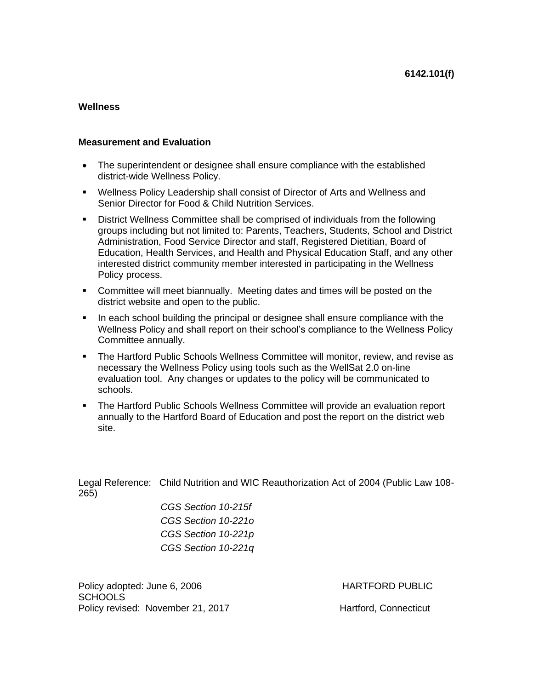#### **Measurement and Evaluation**

- The superintendent or designee shall ensure compliance with the established district-wide Wellness Policy.
- Wellness Policy Leadership shall consist of Director of Arts and Wellness and Senior Director for Food & Child Nutrition Services.
- District Wellness Committee shall be comprised of individuals from the following groups including but not limited to: Parents, Teachers, Students, School and District Administration, Food Service Director and staff, Registered Dietitian, Board of Education, Health Services, and Health and Physical Education Staff, and any other interested district community member interested in participating in the Wellness Policy process.
- Committee will meet biannually. Meeting dates and times will be posted on the district website and open to the public.
- **•** In each school building the principal or designee shall ensure compliance with the Wellness Policy and shall report on their school's compliance to the Wellness Policy Committee annually.
- **The Hartford Public Schools Wellness Committee will monitor, review, and revise as** necessary the Wellness Policy using tools such as the WellSat 2.0 on-line evaluation tool. Any changes or updates to the policy will be communicated to schools.
- The Hartford Public Schools Wellness Committee will provide an evaluation report annually to the Hartford Board of Education and post the report on the district web site.

Legal Reference: Child Nutrition and WIC Reauthorization Act of 2004 (Public Law 108- 265)

*CGS Section 10-215f CGS Section 10-221o CGS Section 10-221p CGS Section 10-221q*

Policy adopted: June 6, 2006 **HARTFORD PUBLIC SCHOOLS** Policy revised: November 21, 2017 Hartford, Connecticut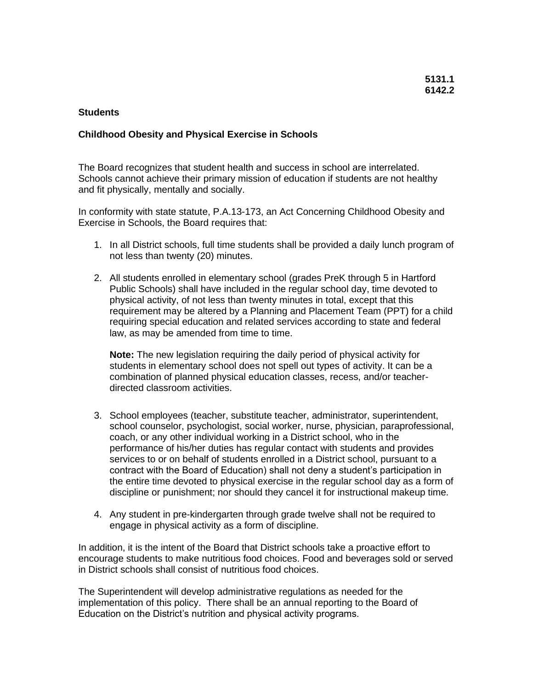## **Students**

## **Childhood Obesity and Physical Exercise in Schools**

The Board recognizes that student health and success in school are interrelated. Schools cannot achieve their primary mission of education if students are not healthy and fit physically, mentally and socially.

In conformity with state statute, P.A.13-173, an Act Concerning Childhood Obesity and Exercise in Schools, the Board requires that:

- 1. In all District schools, full time students shall be provided a daily lunch program of not less than twenty (20) minutes.
- 2. All students enrolled in elementary school (grades PreK through 5 in Hartford Public Schools) shall have included in the regular school day, time devoted to physical activity, of not less than twenty minutes in total, except that this requirement may be altered by a Planning and Placement Team (PPT) for a child requiring special education and related services according to state and federal law, as may be amended from time to time.

**Note:** The new legislation requiring the daily period of physical activity for students in elementary school does not spell out types of activity. It can be a combination of planned physical education classes, recess, and/or teacherdirected classroom activities.

- 3. School employees (teacher, substitute teacher, administrator, superintendent, school counselor, psychologist, social worker, nurse, physician, paraprofessional, coach, or any other individual working in a District school, who in the performance of his/her duties has regular contact with students and provides services to or on behalf of students enrolled in a District school, pursuant to a contract with the Board of Education) shall not deny a student's participation in the entire time devoted to physical exercise in the regular school day as a form of discipline or punishment; nor should they cancel it for instructional makeup time.
- 4. Any student in pre-kindergarten through grade twelve shall not be required to engage in physical activity as a form of discipline.

In addition, it is the intent of the Board that District schools take a proactive effort to encourage students to make nutritious food choices. Food and beverages sold or served in District schools shall consist of nutritious food choices.

The Superintendent will develop administrative regulations as needed for the implementation of this policy. There shall be an annual reporting to the Board of Education on the District's nutrition and physical activity programs.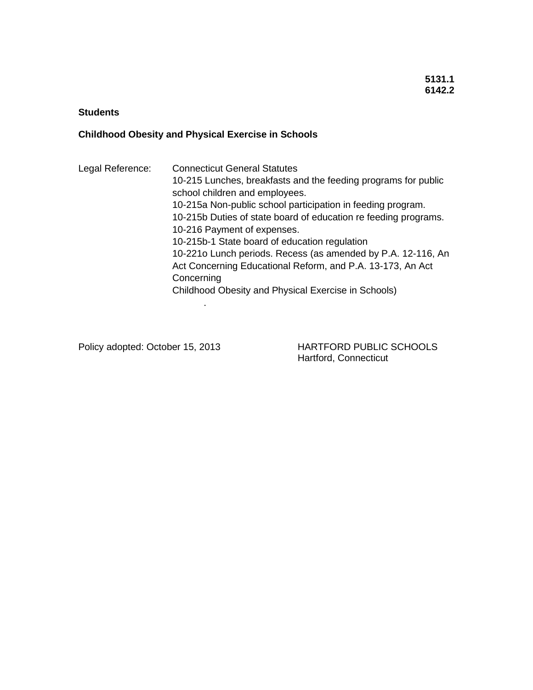# **Students**

# **Childhood Obesity and Physical Exercise in Schools**

.

Legal Reference: Connecticut General Statutes 10-215 Lunches, breakfasts and the feeding programs for public school children and employees. 10-215a Non-public school participation in feeding program. 10-215b Duties of state board of education re feeding programs. 10-216 Payment of expenses. 10-215b-1 State board of education regulation 10-221o Lunch periods. Recess (as amended by P.A. 12-116, An Act Concerning Educational Reform, and P.A. 13-173, An Act **Concerning** Childhood Obesity and Physical Exercise in Schools)

Policy adopted: October 15, 2013 HARTFORD PUBLIC SCHOOLS Hartford, Connecticut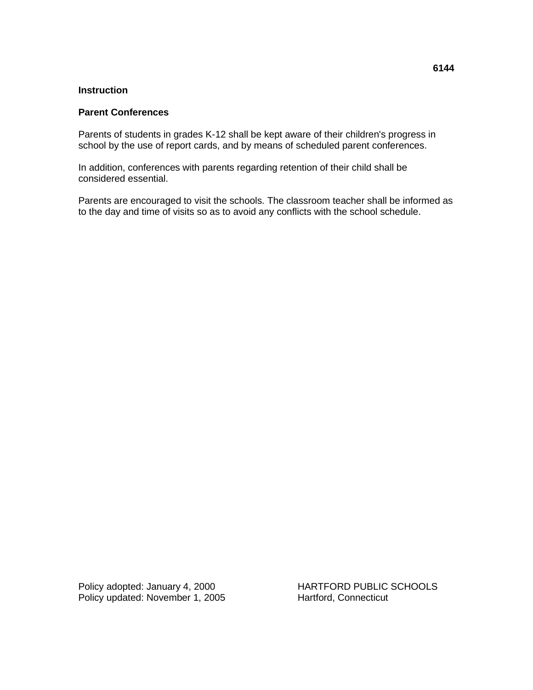## **Instruction**

## **Parent Conferences**

Parents of students in grades K-12 shall be kept aware of their children's progress in school by the use of report cards, and by means of scheduled parent conferences.

In addition, conferences with parents regarding retention of their child shall be considered essential.

Parents are encouraged to visit the schools. The classroom teacher shall be informed as to the day and time of visits so as to avoid any conflicts with the school schedule.

Policy adopted: January 4, 2000<br>
Policy updated: November 1, 2005<br>
Hartford, Connecticut Policy updated: November 1, 2005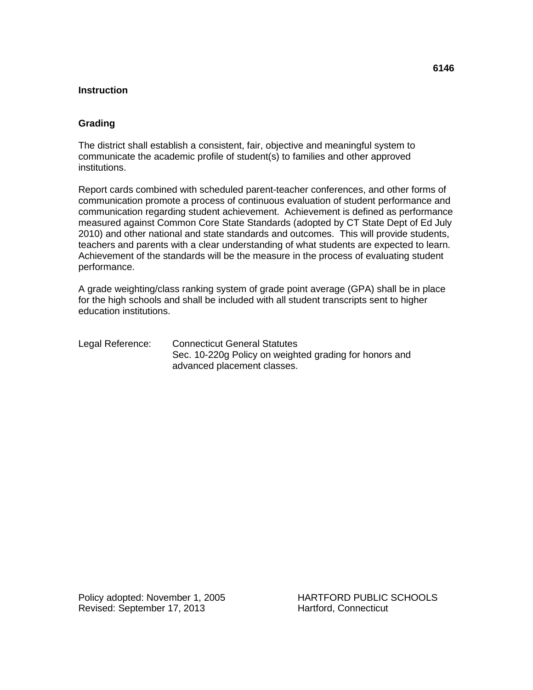#### **Instruction**

## **Grading**

The district shall establish a consistent, fair, objective and meaningful system to communicate the academic profile of student(s) to families and other approved institutions.

Report cards combined with scheduled parent-teacher conferences, and other forms of communication promote a process of continuous evaluation of student performance and communication regarding student achievement. Achievement is defined as performance measured against Common Core State Standards (adopted by CT State Dept of Ed July 2010) and other national and state standards and outcomes. This will provide students, teachers and parents with a clear understanding of what students are expected to learn. Achievement of the standards will be the measure in the process of evaluating student performance.

A grade weighting/class ranking system of grade point average (GPA) shall be in place for the high schools and shall be included with all student transcripts sent to higher education institutions.

Legal Reference: Connecticut General Statutes Sec. 10-220g Policy on weighted grading for honors and advanced placement classes.

Policy adopted: November 1, 2005 HARTFORD PUBLIC SCHOOLS Revised: September 17, 2013 Hartford, Connecticut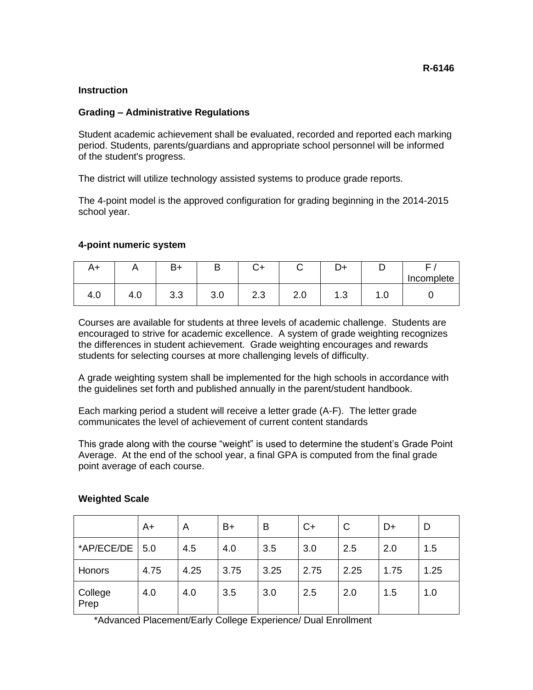#### **R-6146**

## **Instruction**

## **Grading – Administrative Regulations**

Student academic achievement shall be evaluated, recorded and reported each marking period. Students, parents/guardians and appropriate school personnel will be informed of the student's progress.

The district will utilize technology assisted systems to produce grade reports.

The 4-point model is the approved configuration for grading beginning in the 2014-2015 school year.

#### **4-point numeric system**

| A+  |     | B+  | ┕   | $\sim$ .<br>◡+       | $\sim$        | D+        |                 |            |
|-----|-----|-----|-----|----------------------|---------------|-----------|-----------------|------------|
|     |     |     |     |                      |               |           |                 | Incomplete |
| 4.V | 4.0 | 3.3 | J.U | $\sim$ $\sim$<br>د.ء | $\sim$<br>Z.U | ⌒<br>ں. ا | $\cdot$ $\cdot$ |            |

Courses are available for students at three levels of academic challenge. Students are encouraged to strive for academic excellence. A system of grade weighting recognizes the differences in student achievement. Grade weighting encourages and rewards students for selecting courses at more challenging levels of difficulty.

A grade weighting system shall be implemented for the high schools in accordance with the guidelines set forth and published annually in the parent/student handbook.

Each marking period a student will receive a letter grade (A-F). The letter grade communicates the level of achievement of current content standards

This grade along with the course "weight" is used to determine the student's Grade Point Average. At the end of the school year, a final GPA is computed from the final grade point average of each course.

|                 | $A+$ | A    | $B+$ | в    | $C+$ | C    | $D+$ | D    |
|-----------------|------|------|------|------|------|------|------|------|
| *AP/ECE/DE 5.0  |      | 4.5  | 4.0  | 3.5  | 3.0  | 2.5  | 2.0  | 1.5  |
| Honors          | 4.75 | 4.25 | 3.75 | 3.25 | 2.75 | 2.25 | 1.75 | 1.25 |
| College<br>Prep | 4.0  | 4.0  | 3.5  | 3.0  | 2.5  | 2.0  | 1.5  | 1.0  |

#### **Weighted Scale**

\*Advanced Placement/Early College Experience/ Dual Enrollment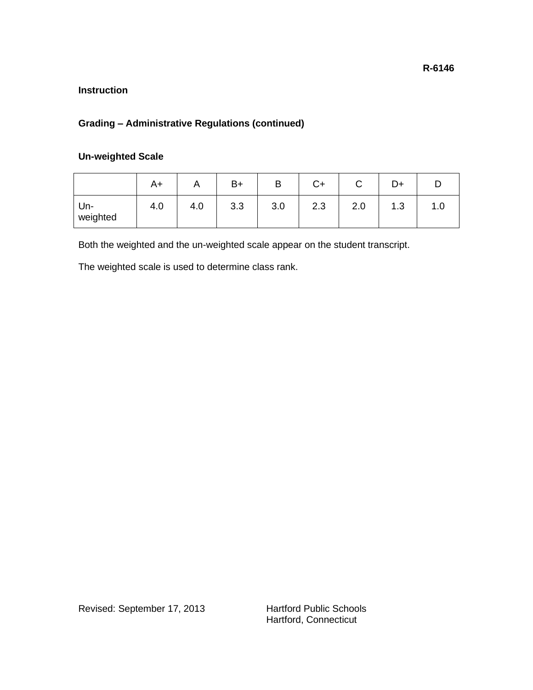# **Grading – Administrative Regulations (continued)**

# **Un-weighted Scale**

|                 | A+  | $\cdots$ | $B+$ | B   | C+  | ⌒<br>$\checkmark$ | D+        |   |
|-----------------|-----|----------|------|-----|-----|-------------------|-----------|---|
| Un-<br>weighted | 4.0 | 4.0      | 3.3  | 3.0 | 2.3 | 2.0               | ົ<br>ن. ا | . |

Both the weighted and the un-weighted scale appear on the student transcript.

The weighted scale is used to determine class rank.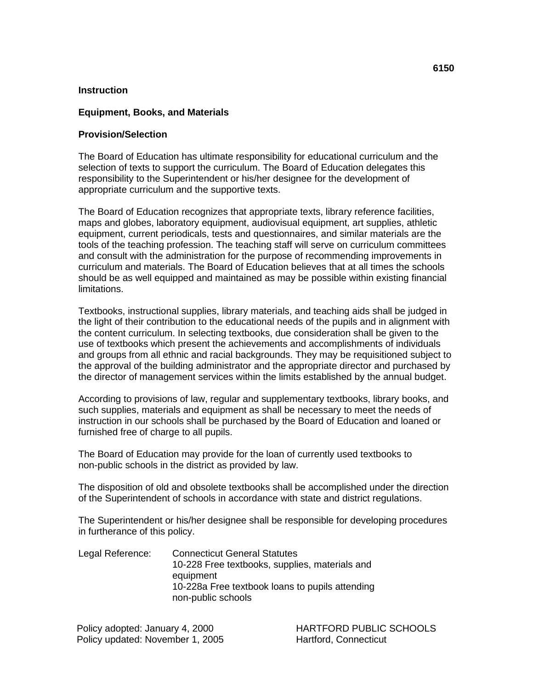#### **Equipment, Books, and Materials**

## **Provision/Selection**

The Board of Education has ultimate responsibility for educational curriculum and the selection of texts to support the curriculum. The Board of Education delegates this responsibility to the Superintendent or his/her designee for the development of appropriate curriculum and the supportive texts.

The Board of Education recognizes that appropriate texts, library reference facilities, maps and globes, laboratory equipment, audiovisual equipment, art supplies, athletic equipment, current periodicals, tests and questionnaires, and similar materials are the tools of the teaching profession. The teaching staff will serve on curriculum committees and consult with the administration for the purpose of recommending improvements in curriculum and materials. The Board of Education believes that at all times the schools should be as well equipped and maintained as may be possible within existing financial limitations.

Textbooks, instructional supplies, library materials, and teaching aids shall be judged in the light of their contribution to the educational needs of the pupils and in alignment with the content curriculum. In selecting textbooks, due consideration shall be given to the use of textbooks which present the achievements and accomplishments of individuals and groups from all ethnic and racial backgrounds. They may be requisitioned subject to the approval of the building administrator and the appropriate director and purchased by the director of management services within the limits established by the annual budget.

According to provisions of law, regular and supplementary textbooks, library books, and such supplies, materials and equipment as shall be necessary to meet the needs of instruction in our schools shall be purchased by the Board of Education and loaned or furnished free of charge to all pupils.

The Board of Education may provide for the loan of currently used textbooks to non-public schools in the district as provided by law.

The disposition of old and obsolete textbooks shall be accomplished under the direction of the Superintendent of schools in accordance with state and district regulations.

The Superintendent or his/her designee shall be responsible for developing procedures in furtherance of this policy.

| <b>Connecticut General Statutes</b>                                   |
|-----------------------------------------------------------------------|
| 10-228 Free textbooks, supplies, materials and                        |
| equipment                                                             |
| 10-228a Free textbook loans to pupils attending<br>non-public schools |
|                                                                       |

Policy updated: November 1, 2005 Hartford, Connecticut

Policy adopted: January 4, 2000 HARTFORD PUBLIC SCHOOLS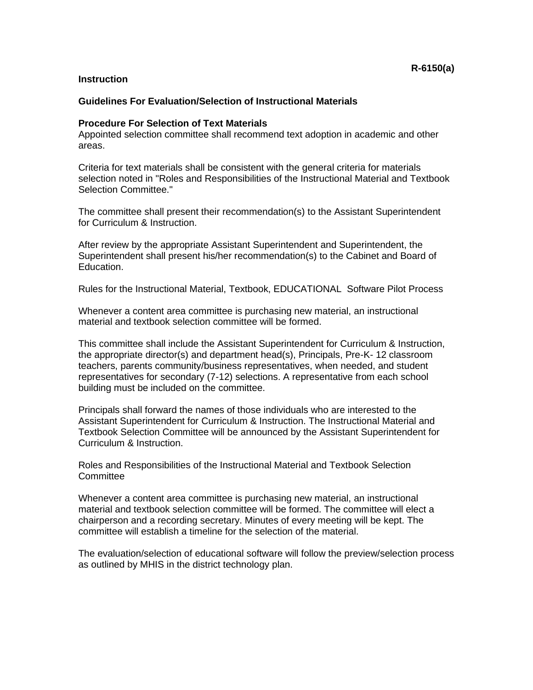#### **Guidelines For Evaluation/Selection of Instructional Materials**

#### **Procedure For Selection of Text Materials**

Appointed selection committee shall recommend text adoption in academic and other areas.

Criteria for text materials shall be consistent with the general criteria for materials selection noted in "Roles and Responsibilities of the Instructional Material and Textbook Selection Committee."

The committee shall present their recommendation(s) to the Assistant Superintendent for Curriculum & Instruction.

After review by the appropriate Assistant Superintendent and Superintendent, the Superintendent shall present his/her recommendation(s) to the Cabinet and Board of Education.

Rules for the Instructional Material, Textbook, EDUCATIONAL Software Pilot Process

Whenever a content area committee is purchasing new material, an instructional material and textbook selection committee will be formed.

This committee shall include the Assistant Superintendent for Curriculum & Instruction, the appropriate director(s) and department head(s), Principals, Pre-K- 12 classroom teachers, parents community/business representatives, when needed, and student representatives for secondary (7-12) selections. A representative from each school building must be included on the committee.

Principals shall forward the names of those individuals who are interested to the Assistant Superintendent for Curriculum & Instruction. The Instructional Material and Textbook Selection Committee will be announced by the Assistant Superintendent for Curriculum & Instruction.

Roles and Responsibilities of the Instructional Material and Textbook Selection **Committee** 

Whenever a content area committee is purchasing new material, an instructional material and textbook selection committee will be formed. The committee will elect a chairperson and a recording secretary. Minutes of every meeting will be kept. The committee will establish a timeline for the selection of the material.

The evaluation/selection of educational software will follow the preview/selection process as outlined by MHIS in the district technology plan.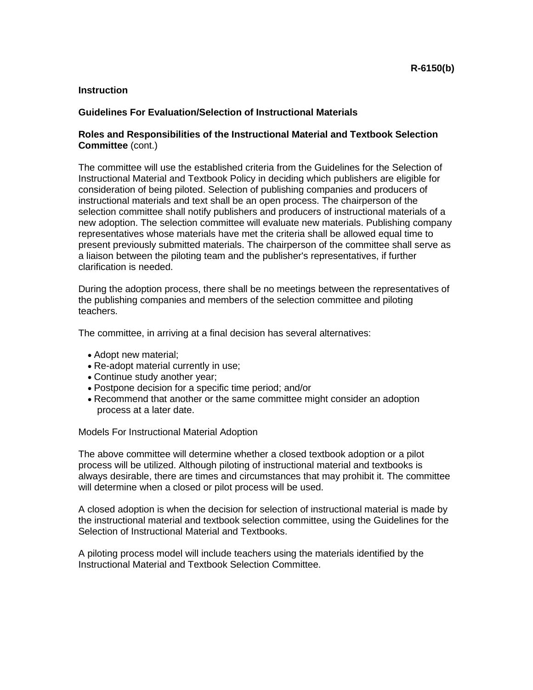### **Guidelines For Evaluation/Selection of Instructional Materials**

## **Roles and Responsibilities of the Instructional Material and Textbook Selection Committee** (cont.)

The committee will use the established criteria from the Guidelines for the Selection of Instructional Material and Textbook Policy in deciding which publishers are eligible for consideration of being piloted. Selection of publishing companies and producers of instructional materials and text shall be an open process. The chairperson of the selection committee shall notify publishers and producers of instructional materials of a new adoption. The selection committee will evaluate new materials. Publishing company representatives whose materials have met the criteria shall be allowed equal time to present previously submitted materials. The chairperson of the committee shall serve as a liaison between the piloting team and the publisher's representatives, if further clarification is needed.

During the adoption process, there shall be no meetings between the representatives of the publishing companies and members of the selection committee and piloting teachers.

The committee, in arriving at a final decision has several alternatives:

- Adopt new material;
- Re-adopt material currently in use;
- Continue study another year;
- Postpone decision for a specific time period; and/or
- Recommend that another or the same committee might consider an adoption process at a later date.

Models For Instructional Material Adoption

The above committee will determine whether a closed textbook adoption or a pilot process will be utilized. Although piloting of instructional material and textbooks is always desirable, there are times and circumstances that may prohibit it. The committee will determine when a closed or pilot process will be used.

A closed adoption is when the decision for selection of instructional material is made by the instructional material and textbook selection committee, using the Guidelines for the Selection of Instructional Material and Textbooks.

A piloting process model will include teachers using the materials identified by the Instructional Material and Textbook Selection Committee.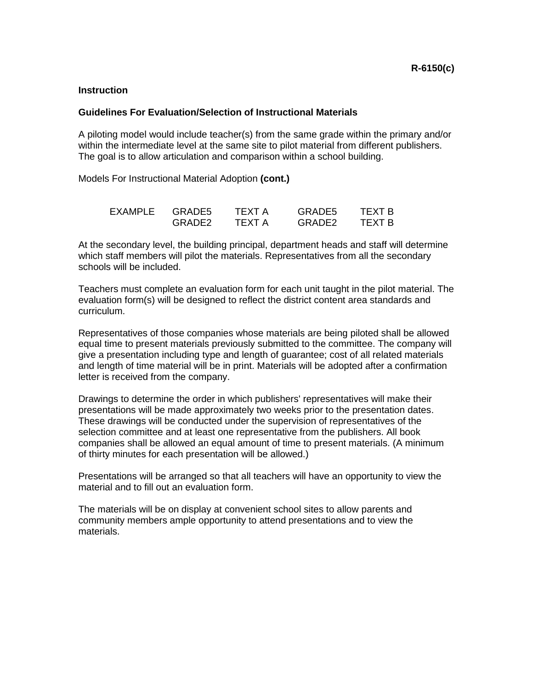#### **Guidelines For Evaluation/Selection of Instructional Materials**

A piloting model would include teacher(s) from the same grade within the primary and/or within the intermediate level at the same site to pilot material from different publishers. The goal is to allow articulation and comparison within a school building.

Models For Instructional Material Adoption **(cont.)**

| EXAMPLE | GRADE5             | TFXT A | GRADE5             | TFXT B |
|---------|--------------------|--------|--------------------|--------|
|         | GRADE <sub>2</sub> | TFXT A | GRADE <sub>2</sub> | TFXT B |

At the secondary level, the building principal, department heads and staff will determine which staff members will pilot the materials. Representatives from all the secondary schools will be included.

Teachers must complete an evaluation form for each unit taught in the pilot material. The evaluation form(s) will be designed to reflect the district content area standards and curriculum.

Representatives of those companies whose materials are being piloted shall be allowed equal time to present materials previously submitted to the committee. The company will give a presentation including type and length of guarantee; cost of all related materials and length of time material will be in print. Materials will be adopted after a confirmation letter is received from the company.

Drawings to determine the order in which publishers' representatives will make their presentations will be made approximately two weeks prior to the presentation dates. These drawings will be conducted under the supervision of representatives of the selection committee and at least one representative from the publishers. All book companies shall be allowed an equal amount of time to present materials. (A minimum of thirty minutes for each presentation will be allowed.)

Presentations will be arranged so that all teachers will have an opportunity to view the material and to fill out an evaluation form.

The materials will be on display at convenient school sites to allow parents and community members ample opportunity to attend presentations and to view the materials.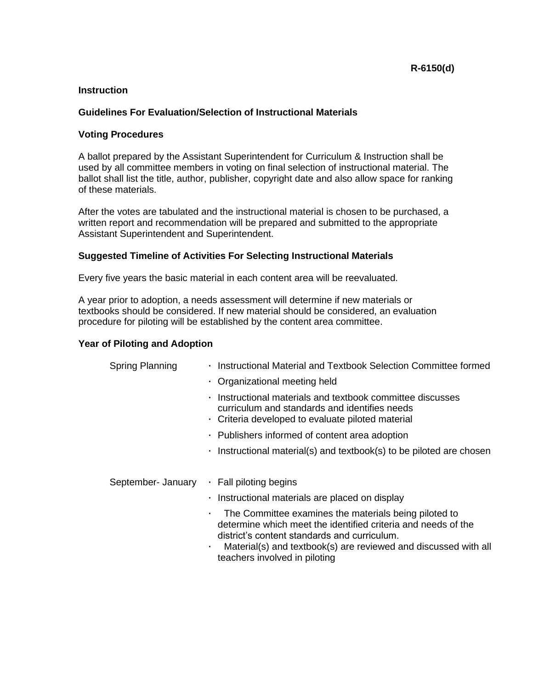## **Guidelines For Evaluation/Selection of Instructional Materials**

## **Voting Procedures**

A ballot prepared by the Assistant Superintendent for Curriculum & Instruction shall be used by all committee members in voting on final selection of instructional material. The ballot shall list the title, author, publisher, copyright date and also allow space for ranking of these materials.

After the votes are tabulated and the instructional material is chosen to be purchased, a written report and recommendation will be prepared and submitted to the appropriate Assistant Superintendent and Superintendent.

## **Suggested Timeline of Activities For Selecting Instructional Materials**

Every five years the basic material in each content area will be reevaluated.

A year prior to adoption, a needs assessment will determine if new materials or textbooks should be considered. If new material should be considered, an evaluation procedure for piloting will be established by the content area committee.

#### **Year of Piloting and Adoption**

| <b>Spring Planning</b> | · Instructional Material and Textbook Selection Committee formed                                                                                                                                                                                                                     |
|------------------------|--------------------------------------------------------------------------------------------------------------------------------------------------------------------------------------------------------------------------------------------------------------------------------------|
|                        | • Organizational meeting held                                                                                                                                                                                                                                                        |
|                        | Instructional materials and textbook committee discusses<br>$\blacksquare$<br>curriculum and standards and identifies needs<br>Criteria developed to evaluate piloted material                                                                                                       |
|                        | • Publishers informed of content area adoption                                                                                                                                                                                                                                       |
|                        | $\cdot$ Instructional material(s) and textbook(s) to be piloted are chosen                                                                                                                                                                                                           |
|                        |                                                                                                                                                                                                                                                                                      |
| September- January     | · Fall piloting begins                                                                                                                                                                                                                                                               |
|                        | · Instructional materials are placed on display                                                                                                                                                                                                                                      |
|                        | The Committee examines the materials being piloted to<br>٠<br>determine which meet the identified criteria and needs of the<br>district's content standards and curriculum.<br>Material(s) and textbook(s) are reviewed and discussed with all<br>٠<br>teachers involved in piloting |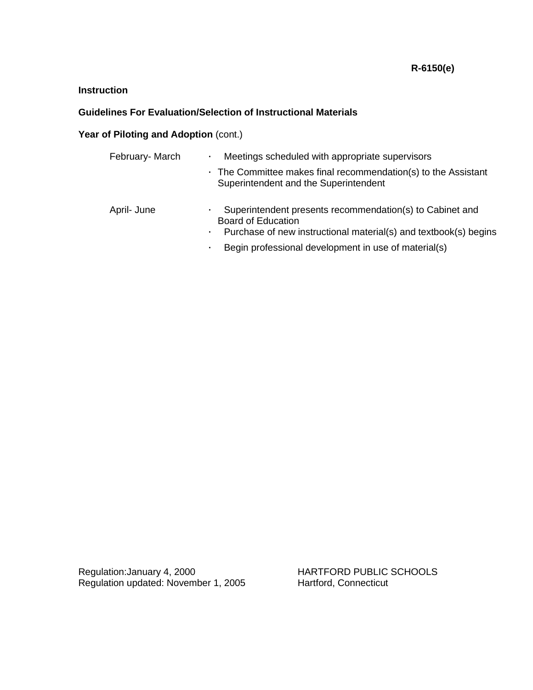# **Guidelines For Evaluation/Selection of Instructional Materials**

## Year of Piloting and Adoption (cont.)

| February- March | Meetings scheduled with appropriate supervisors                                                                                                                              |
|-----------------|------------------------------------------------------------------------------------------------------------------------------------------------------------------------------|
|                 | $\cdot$ The Committee makes final recommendation(s) to the Assistant<br>Superintendent and the Superintendent                                                                |
| April- June     | Superintendent presents recommendation(s) to Cabinet and<br>٠<br><b>Board of Education</b><br>Purchase of new instructional material(s) and textbook(s) begins<br>$\sim 100$ |
|                 | Begin professional development in use of material(s)<br>٠                                                                                                                    |

Regulation:January 4, 2000 **HARTFORD PUBLIC SCHOOLS** Regulation updated: November 1, 2005 Hartford, Connecticut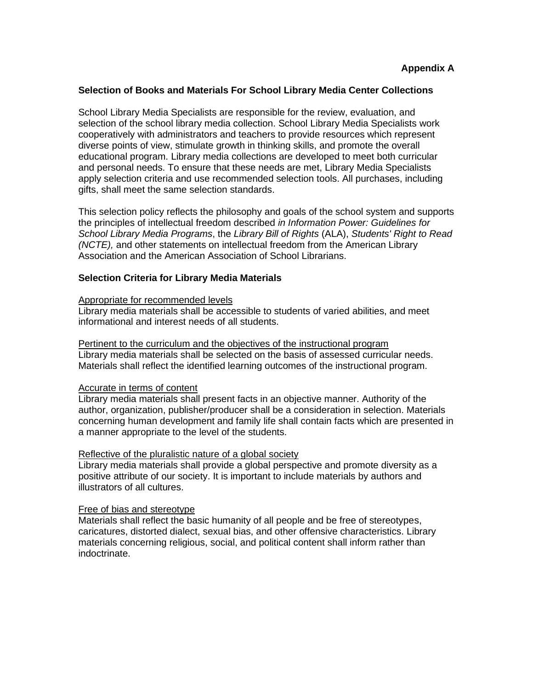#### **Selection of Books and Materials For School Library Media Center Collections**

School Library Media Specialists are responsible for the review, evaluation, and selection of the school library media collection. School Library Media Specialists work cooperatively with administrators and teachers to provide resources which represent diverse points of view, stimulate growth in thinking skills, and promote the overall educational program. Library media collections are developed to meet both curricular and personal needs. To ensure that these needs are met, Library Media Specialists apply selection criteria and use recommended selection tools. All purchases, including gifts, shall meet the same selection standards.

This selection policy reflects the philosophy and goals of the school system and supports the principles of intellectual freedom described *in Information Power: Guidelines for School Library Media Programs*, the *Library Bill of Rights* (ALA), *Students' Right to Read (NCTE),* and other statements on intellectual freedom from the American Library Association and the American Association of School Librarians.

## **Selection Criteria for Library Media Materials**

#### Appropriate for recommended levels

Library media materials shall be accessible to students of varied abilities, and meet informational and interest needs of all students.

#### Pertinent to the curriculum and the objectives of the instructional program

Library media materials shall be selected on the basis of assessed curricular needs. Materials shall reflect the identified learning outcomes of the instructional program.

#### Accurate in terms of content

Library media materials shall present facts in an objective manner. Authority of the author, organization, publisher/producer shall be a consideration in selection. Materials concerning human development and family life shall contain facts which are presented in a manner appropriate to the level of the students.

#### Reflective of the pluralistic nature of a global society

Library media materials shall provide a global perspective and promote diversity as a positive attribute of our society. It is important to include materials by authors and illustrators of all cultures.

#### Free of bias and stereotype

Materials shall reflect the basic humanity of all people and be free of stereotypes, caricatures, distorted dialect, sexual bias, and other offensive characteristics. Library materials concerning religious, social, and political content shall inform rather than indoctrinate.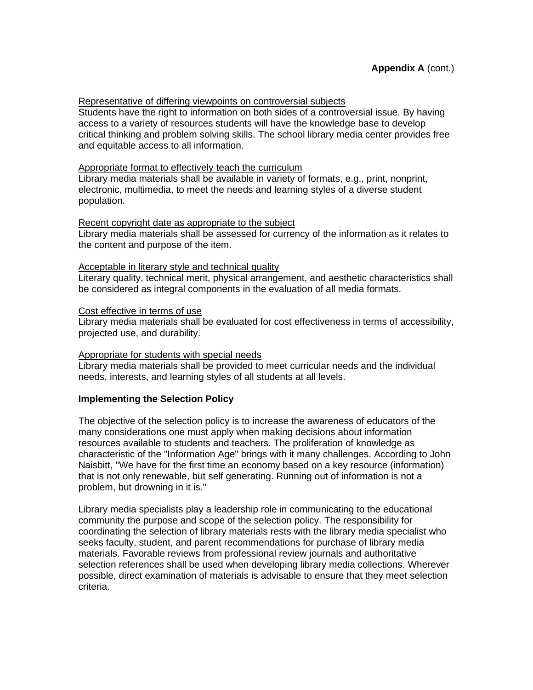### Representative of differing viewpoints on controversial subjects

Students have the right to information on both sides of a controversial issue. By having access to a variety of resources students will have the knowledge base to develop critical thinking and problem solving skills. The school library media center provides free and equitable access to all information.

## Appropriate format to effectively teach the curriculum

Library media materials shall be available in variety of formats, e.g., print, nonprint, electronic, multimedia, to meet the needs and learning styles of a diverse student population.

## Recent copyright date as appropriate to the subject

Library media materials shall be assessed for currency of the information as it relates to the content and purpose of the item.

## Acceptable in literary style and technical quality

Literary quality, technical merit, physical arrangement, and aesthetic characteristics shall be considered as integral components in the evaluation of all media formats.

## Cost effective in terms of use

Library media materials shall be evaluated for cost effectiveness in terms of accessibility, projected use, and durability.

#### Appropriate for students with special needs

Library media materials shall be provided to meet curricular needs and the individual needs, interests, and learning styles of all students at all levels.

## **Implementing the Selection Policy**

The objective of the selection policy is to increase the awareness of educators of the many considerations one must apply when making decisions about information resources available to students and teachers. The proliferation of knowledge as characteristic of the "Information Age" brings with it many challenges. According to John Naisbitt, "We have for the first time an economy based on a key resource (information) that is not only renewable, but self generating. Running out of information is not a problem, but drowning in it is."

Library media specialists play a leadership role in communicating to the educational community the purpose and scope of the selection policy. The responsibility for coordinating the selection of library materials rests with the library media specialist who seeks faculty, student, and parent recommendations for purchase of library media materials. Favorable reviews from professional review journals and authoritative selection references shall be used when developing library media collections. Wherever possible, direct examination of materials is advisable to ensure that they meet selection criteria.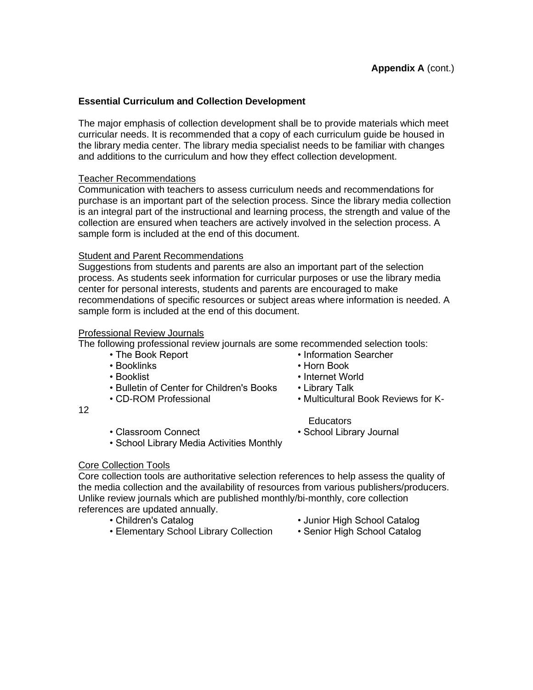## **Essential Curriculum and Collection Development**

The major emphasis of collection development shall be to provide materials which meet curricular needs. It is recommended that a copy of each curriculum guide be housed in the library media center. The library media specialist needs to be familiar with changes and additions to the curriculum and how they effect collection development.

## Teacher Recommendations

Communication with teachers to assess curriculum needs and recommendations for purchase is an important part of the selection process. Since the library media collection is an integral part of the instructional and learning process, the strength and value of the collection are ensured when teachers are actively involved in the selection process. A sample form is included at the end of this document.

## Student and Parent Recommendations

Suggestions from students and parents are also an important part of the selection process. As students seek information for curricular purposes or use the library media center for personal interests, students and parents are encouraged to make recommendations of specific resources or subject areas where information is needed. A sample form is included at the end of this document.

## Professional Review Journals

The following professional review journals are some recommended selection tools:

- The Book Report Information Searcher
- Booklinks Horn Book
- 
- Bulletin of Center for Children's Books Library Talk
- 
- Booklist Internet World
	-
- CD-ROM Professional Multicultural Book Reviews for K-
- 12

• School Library Media Activities Monthly

## Core Collection Tools

Core collection tools are authoritative selection references to help assess the quality of the media collection and the availability of resources from various publishers/producers. Unlike review journals which are published monthly/bi-monthly, core collection references are updated annually.

- 
- Elementary School Library Collection Senior High School Catalog
- Children's Catalog  **Junior High School Catalog** 
	-
- -
- Educators • Classroom Connect • School Library Journal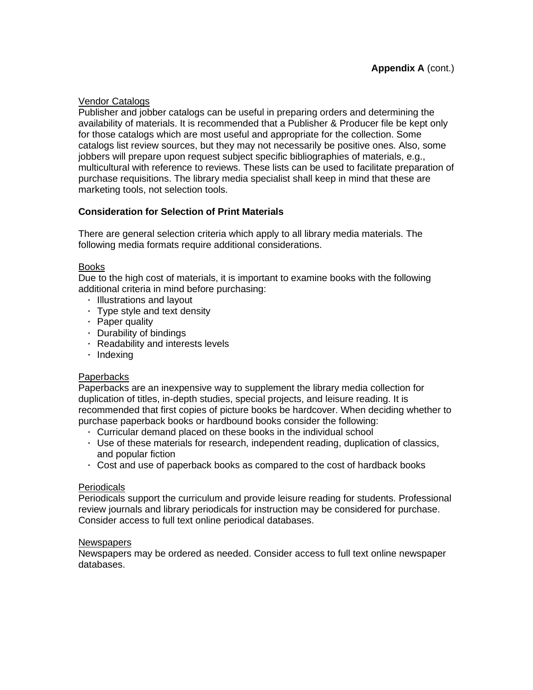## Vendor Catalogs

Publisher and jobber catalogs can be useful in preparing orders and determining the availability of materials. It is recommended that a Publisher & Producer file be kept only for those catalogs which are most useful and appropriate for the collection. Some catalogs list review sources, but they may not necessarily be positive ones. Also, some jobbers will prepare upon request subject specific bibliographies of materials, e.g., multicultural with reference to reviews. These lists can be used to facilitate preparation of purchase requisitions. The library media specialist shall keep in mind that these are marketing tools, not selection tools.

## **Consideration for Selection of Print Materials**

There are general selection criteria which apply to all library media materials. The following media formats require additional considerations.

## Books

Due to the high cost of materials, it is important to examine books with the following additional criteria in mind before purchasing:

- **Illustrations and layout**
- Type style and text density
- · Paper quality
- Durability of bindings
- Readability and interests levels
- · Indexing

## Paperbacks

Paperbacks are an inexpensive way to supplement the library media collection for duplication of titles, in-depth studies, special projects, and leisure reading. It is recommended that first copies of picture books be hardcover. When deciding whether to purchase paperback books or hardbound books consider the following:

- Curricular demand placed on these books in the individual school
- Use of these materials for research, independent reading, duplication of classics, and popular fiction
- Cost and use of paperback books as compared to the cost of hardback books

## Periodicals

Periodicals support the curriculum and provide leisure reading for students. Professional review journals and library periodicals for instruction may be considered for purchase. Consider access to full text online periodical databases.

## **Newspapers**

Newspapers may be ordered as needed. Consider access to full text online newspaper databases.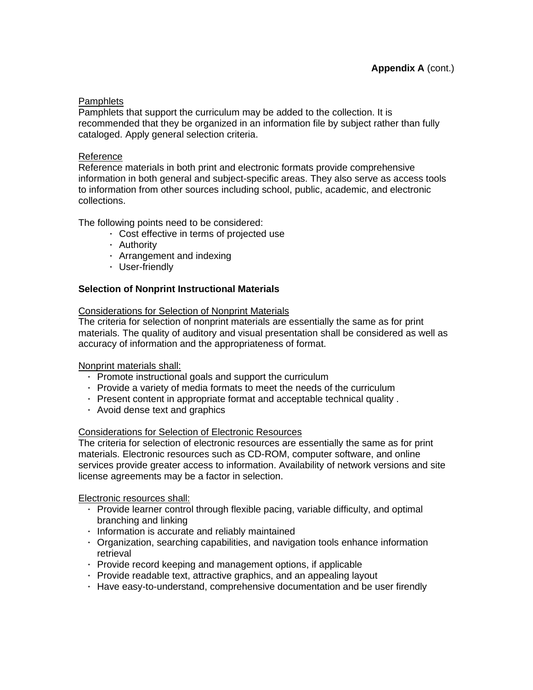### **Pamphlets**

Pamphlets that support the curriculum may be added to the collection. It is recommended that they be organized in an information file by subject rather than fully cataloged. Apply general selection criteria.

## Reference

Reference materials in both print and electronic formats provide comprehensive information in both general and subject-specific areas. They also serve as access tools to information from other sources including school, public, academic, and electronic collections.

The following points need to be considered:

- Cost effective in terms of projected use
- Authority
- Arrangement and indexing
- User-friendly

## **Selection of Nonprint Instructional Materials**

#### Considerations for Selection of Nonprint Materials

The criteria for selection of nonprint materials are essentially the same as for print materials. The quality of auditory and visual presentation shall be considered as well as accuracy of information and the appropriateness of format.

#### Nonprint materials shall:

- Promote instructional goals and support the curriculum
- Provide a variety of media formats to meet the needs of the curriculum
- Present content in appropriate format and acceptable technical quality .
- Avoid dense text and graphics

#### Considerations for Selection of Electronic Resources

The criteria for selection of electronic resources are essentially the same as for print materials. Electronic resources such as CD-ROM, computer software, and online services provide greater access to information. Availability of network versions and site license agreements may be a factor in selection.

Electronic resources shall:

- Provide learner control through flexible pacing, variable difficulty, and optimal branching and linking
- Information is accurate and reliably maintained
- Organization, searching capabilities, and navigation tools enhance information retrieval
- Provide record keeping and management options, if applicable
- Provide readable text, attractive graphics, and an appealing layout
- Have easy-to-understand, comprehensive documentation and be user firendly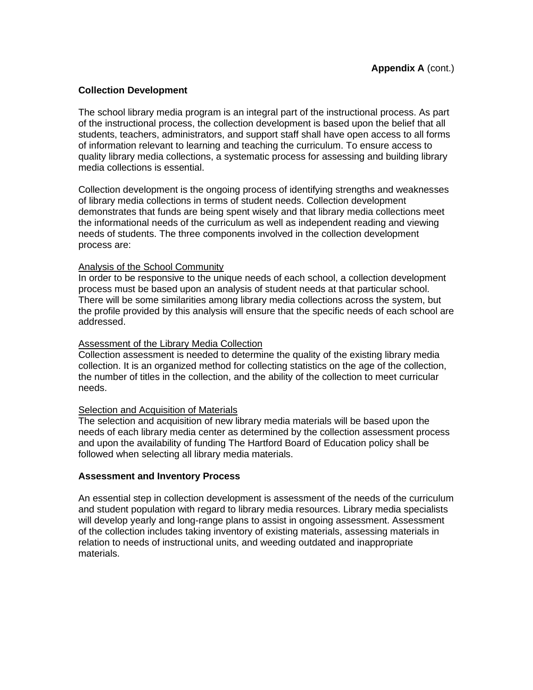## **Collection Development**

The school library media program is an integral part of the instructional process. As part of the instructional process, the collection development is based upon the belief that all students, teachers, administrators, and support staff shall have open access to all forms of information relevant to learning and teaching the curriculum. To ensure access to quality library media collections, a systematic process for assessing and building library media collections is essential.

Collection development is the ongoing process of identifying strengths and weaknesses of library media collections in terms of student needs. Collection development demonstrates that funds are being spent wisely and that library media collections meet the informational needs of the curriculum as well as independent reading and viewing needs of students. The three components involved in the collection development process are:

## Analysis of the School Community

In order to be responsive to the unique needs of each school, a collection development process must be based upon an analysis of student needs at that particular school. There will be some similarities among library media collections across the system, but the profile provided by this analysis will ensure that the specific needs of each school are addressed.

### Assessment of the Library Media Collection

Collection assessment is needed to determine the quality of the existing library media collection. It is an organized method for collecting statistics on the age of the collection, the number of titles in the collection, and the ability of the collection to meet curricular needs.

### **Selection and Acquisition of Materials**

The selection and acquisition of new library media materials will be based upon the needs of each library media center as determined by the collection assessment process and upon the availability of funding The Hartford Board of Education policy shall be followed when selecting all library media materials.

## **Assessment and Inventory Process**

An essential step in collection development is assessment of the needs of the curriculum and student population with regard to library media resources. Library media specialists will develop yearly and long-range plans to assist in ongoing assessment. Assessment of the collection includes taking inventory of existing materials, assessing materials in relation to needs of instructional units, and weeding outdated and inappropriate materials.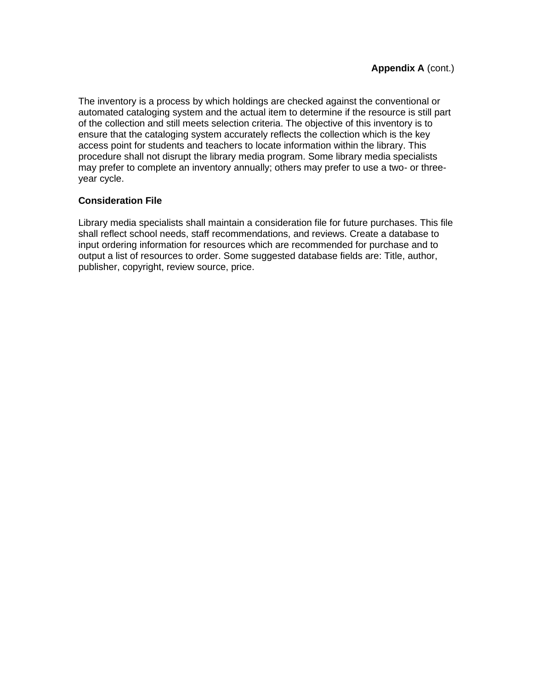The inventory is a process by which holdings are checked against the conventional or automated cataloging system and the actual item to determine if the resource is still part of the collection and still meets selection criteria. The objective of this inventory is to ensure that the cataloging system accurately reflects the collection which is the key access point for students and teachers to locate information within the library. This procedure shall not disrupt the library media program. Some library media specialists may prefer to complete an inventory annually; others may prefer to use a two- or threeyear cycle.

## **Consideration File**

Library media specialists shall maintain a consideration file for future purchases. This file shall reflect school needs, staff recommendations, and reviews. Create a database to input ordering information for resources which are recommended for purchase and to output a list of resources to order. Some suggested database fields are: Title, author, publisher, copyright, review source, price.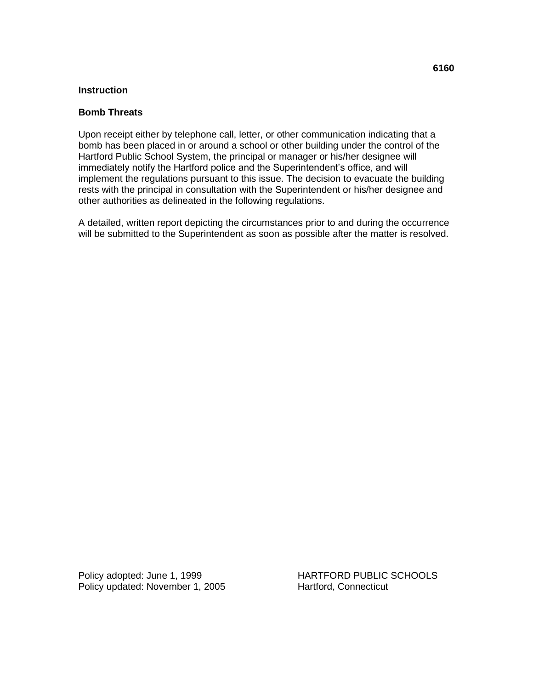### **Bomb Threats**

Upon receipt either by telephone call, letter, or other communication indicating that a bomb has been placed in or around a school or other building under the control of the Hartford Public School System, the principal or manager or his/her designee will immediately notify the Hartford police and the Superintendent's office, and will implement the regulations pursuant to this issue. The decision to evacuate the building rests with the principal in consultation with the Superintendent or his/her designee and other authorities as delineated in the following regulations.

A detailed, written report depicting the circumstances prior to and during the occurrence will be submitted to the Superintendent as soon as possible after the matter is resolved.

Policy updated: November 1, 2005 Hartford, Connecticut

Policy adopted: June 1, 1999 HARTFORD PUBLIC SCHOOLS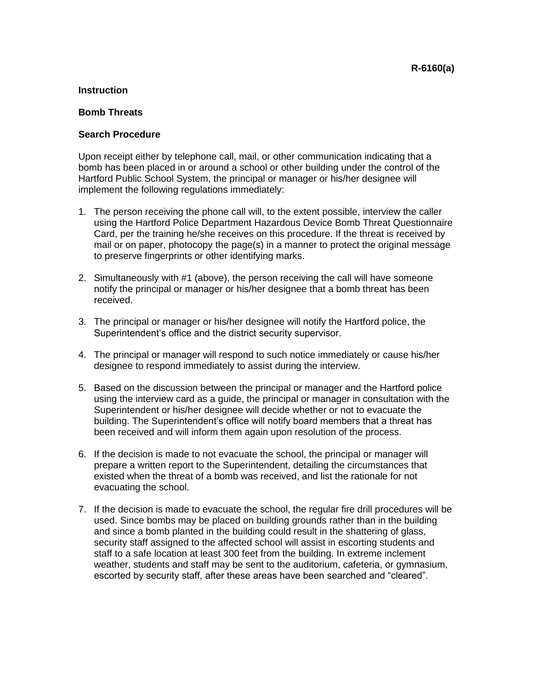### **Bomb Threats**

## **Search Procedure**

Upon receipt either by telephone call, mail, or other communication indicating that a bomb has been placed in or around a school or other building under the control of the Hartford Public School System, the principal or manager or his/her designee will implement the following regulations immediately:

- 1. The person receiving the phone call will, to the extent possible, interview the caller using the Hartford Police Department Hazardous Device Bomb Threat Questionnaire Card, per the training he/she receives on this procedure. If the threat is received by mail or on paper, photocopy the page(s) in a manner to protect the original message to preserve fingerprints or other identifying marks.
- 2. Simultaneously with #1 (above), the person receiving the call will have someone notify the principal or manager or his/her designee that a bomb threat has been received.
- 3. The principal or manager or his/her designee will notify the Hartford police, the Superintendent's office and the district security supervisor.
- 4. The principal or manager will respond to such notice immediately or cause his/her designee to respond immediately to assist during the interview.
- 5. Based on the discussion between the principal or manager and the Hartford police using the interview card as a guide, the principal or manager in consultation with the Superintendent or his/her designee will decide whether or not to evacuate the building. The Superintendent's office will notify board members that a threat has been received and will inform them again upon resolution of the process.
- 6. If the decision is made to not evacuate the school, the principal or manager will prepare a written report to the Superintendent, detailing the circumstances that existed when the threat of a bomb was received, and list the rationale for not evacuating the school.
- 7. If the decision is made to evacuate the school, the regular fire drill procedures will be used. Since bombs may be placed on building grounds rather than in the building and since a bomb planted in the building could result in the shattering of glass, security staff assigned to the affected school will assist in escorting students and staff to a safe location at least 300 feet from the building. In extreme inclement weather, students and staff may be sent to the auditorium, cafeteria, or gymnasium, escorted by security staff, after these areas have been searched and "cleared".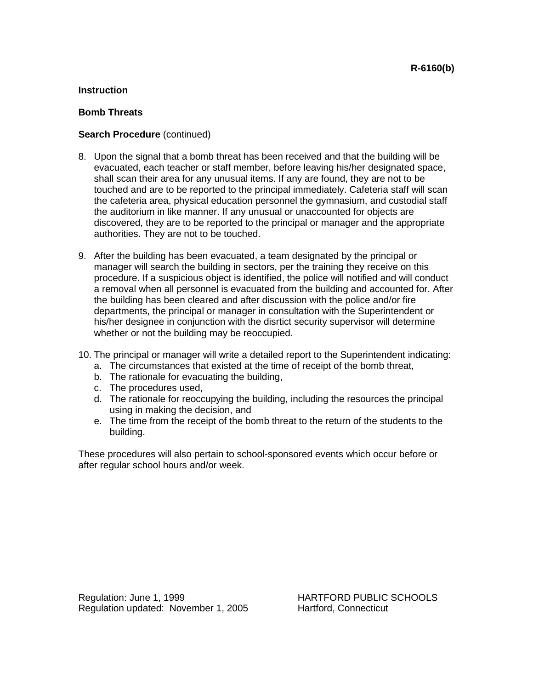## **Bomb Threats**

## **Search Procedure** (continued)

- 8. Upon the signal that a bomb threat has been received and that the building will be evacuated, each teacher or staff member, before leaving his/her designated space, shall scan their area for any unusual items. If any are found, they are not to be touched and are to be reported to the principal immediately. Cafeteria staff will scan the cafeteria area, physical education personnel the gymnasium, and custodial staff the auditorium in like manner. If any unusual or unaccounted for objects are discovered, they are to be reported to the principal or manager and the appropriate authorities. They are not to be touched.
- 9. After the building has been evacuated, a team designated by the principal or manager will search the building in sectors, per the training they receive on this procedure. If a suspicious object is identified, the police will notified and will conduct a removal when all personnel is evacuated from the building and accounted for. After the building has been cleared and after discussion with the police and/or fire departments, the principal or manager in consultation with the Superintendent or his/her designee in conjunction with the disrtict security supervisor will determine whether or not the building may be reoccupied.
- 10. The principal or manager will write a detailed report to the Superintendent indicating:
	- a. The circumstances that existed at the time of receipt of the bomb threat,
	- b. The rationale for evacuating the building,
	- c. The procedures used,
	- d. The rationale for reoccupying the building, including the resources the principal using in making the decision, and
	- e. The time from the receipt of the bomb threat to the return of the students to the building.

These procedures will also pertain to school-sponsored events which occur before or after regular school hours and/or week.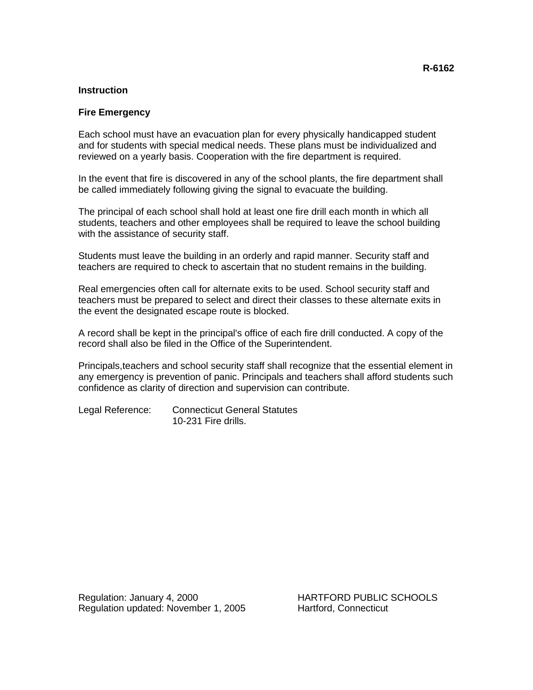#### **Fire Emergency**

Each school must have an evacuation plan for every physically handicapped student and for students with special medical needs. These plans must be individualized and reviewed on a yearly basis. Cooperation with the fire department is required.

In the event that fire is discovered in any of the school plants, the fire department shall be called immediately following giving the signal to evacuate the building.

The principal of each school shall hold at least one fire drill each month in which all students, teachers and other employees shall be required to leave the school building with the assistance of security staff.

Students must leave the building in an orderly and rapid manner. Security staff and teachers are required to check to ascertain that no student remains in the building.

Real emergencies often call for alternate exits to be used. School security staff and teachers must be prepared to select and direct their classes to these alternate exits in the event the designated escape route is blocked.

A record shall be kept in the principal's office of each fire drill conducted. A copy of the record shall also be filed in the Office of the Superintendent.

Principals,teachers and school security staff shall recognize that the essential element in any emergency is prevention of panic. Principals and teachers shall afford students such confidence as clarity of direction and supervision can contribute.

Legal Reference: Connecticut General Statutes 10-231 Fire drills.

Regulation: January 4, 2000 HARTFORD PUBLIC SCHOOLS Regulation updated: November 1, 2005 Hartford, Connecticut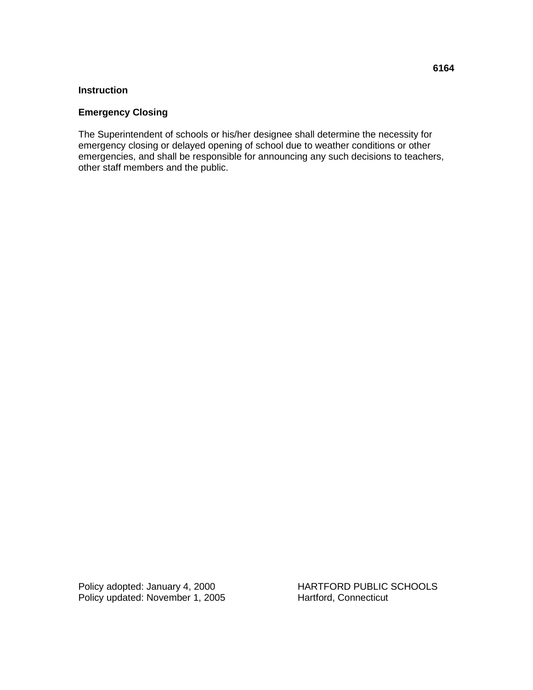## **Emergency Closing**

The Superintendent of schools or his/her designee shall determine the necessity for emergency closing or delayed opening of school due to weather conditions or other emergencies, and shall be responsible for announcing any such decisions to teachers, other staff members and the public.

Policy adopted: January 4, 2000<br>
Policy updated: November 1, 2005<br>
Hartford, Connecticut Policy updated: November 1, 2005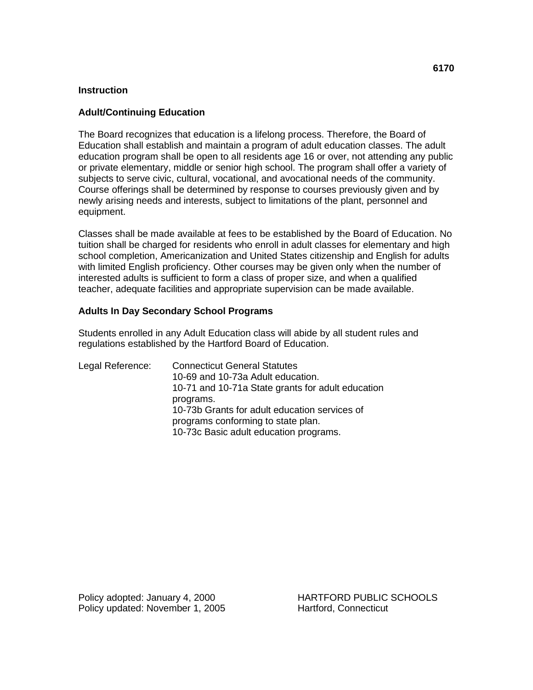### **Adult/Continuing Education**

The Board recognizes that education is a lifelong process. Therefore, the Board of Education shall establish and maintain a program of adult education classes. The adult education program shall be open to all residents age 16 or over, not attending any public or private elementary, middle or senior high school. The program shall offer a variety of subjects to serve civic, cultural, vocational, and avocational needs of the community. Course offerings shall be determined by response to courses previously given and by newly arising needs and interests, subject to limitations of the plant, personnel and equipment.

Classes shall be made available at fees to be established by the Board of Education. No tuition shall be charged for residents who enroll in adult classes for elementary and high school completion, Americanization and United States citizenship and English for adults with limited English proficiency. Other courses may be given only when the number of interested adults is sufficient to form a class of proper size, and when a qualified teacher, adequate facilities and appropriate supervision can be made available.

## **Adults In Day Secondary School Programs**

Students enrolled in any Adult Education class will abide by all student rules and regulations established by the Hartford Board of Education.

Legal Reference: Connecticut General Statutes 10-69 and 10-73a Adult education. 10-71 and 10-71a State grants for adult education programs. 10-73b Grants for adult education services of programs conforming to state plan. 10-73c Basic adult education programs.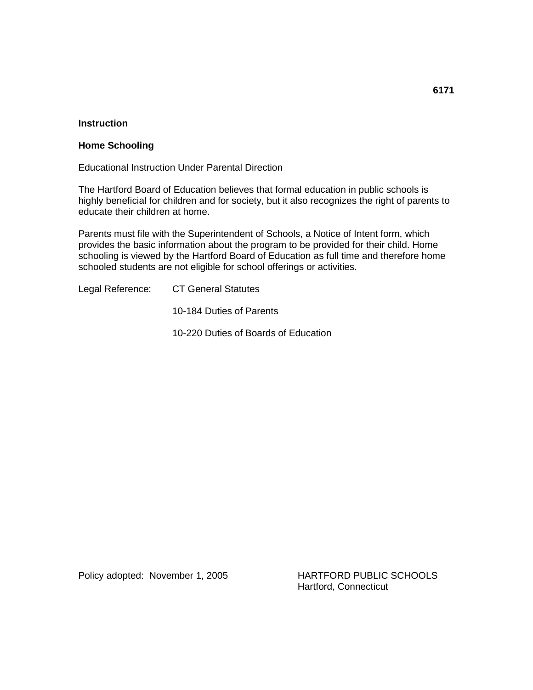#### **Home Schooling**

Educational Instruction Under Parental Direction

The Hartford Board of Education believes that formal education in public schools is highly beneficial for children and for society, but it also recognizes the right of parents to educate their children at home.

Parents must file with the Superintendent of Schools, a Notice of Intent form, which provides the basic information about the program to be provided for their child. Home schooling is viewed by the Hartford Board of Education as full time and therefore home schooled students are not eligible for school offerings or activities.

Legal Reference: CT General Statutes

10-184 Duties of Parents

10-220 Duties of Boards of Education

Policy adopted: November 1, 2005 HARTFORD PUBLIC SCHOOLS

Hartford, Connecticut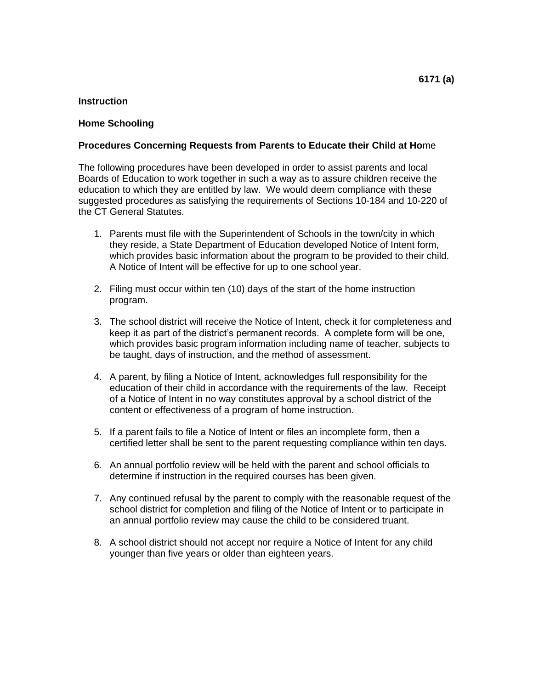#### **Home Schooling**

#### **Procedures Concerning Requests from Parents to Educate their Child at Ho**me

The following procedures have been developed in order to assist parents and local Boards of Education to work together in such a way as to assure children receive the education to which they are entitled by law. We would deem compliance with these suggested procedures as satisfying the requirements of Sections 10-184 and 10-220 of the CT General Statutes.

- 1. Parents must file with the Superintendent of Schools in the town/city in which they reside, a State Department of Education developed Notice of Intent form, which provides basic information about the program to be provided to their child. A Notice of Intent will be effective for up to one school year.
- 2. Filing must occur within ten (10) days of the start of the home instruction program.
- 3. The school district will receive the Notice of Intent, check it for completeness and keep it as part of the district's permanent records. A complete form will be one, which provides basic program information including name of teacher, subjects to be taught, days of instruction, and the method of assessment.
- 4. A parent, by filing a Notice of Intent, acknowledges full responsibility for the education of their child in accordance with the requirements of the law. Receipt of a Notice of Intent in no way constitutes approval by a school district of the content or effectiveness of a program of home instruction.
- 5. If a parent fails to file a Notice of Intent or files an incomplete form, then a certified letter shall be sent to the parent requesting compliance within ten days.
- 6. An annual portfolio review will be held with the parent and school officials to determine if instruction in the required courses has been given.
- 7. Any continued refusal by the parent to comply with the reasonable request of the school district for completion and filing of the Notice of Intent or to participate in an annual portfolio review may cause the child to be considered truant.
- 8. A school district should not accept nor require a Notice of Intent for any child younger than five years or older than eighteen years.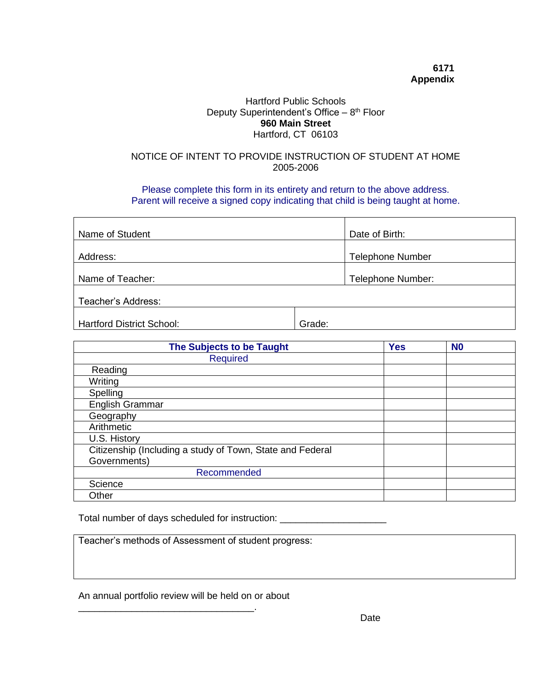## **6171 Appendix**

## Hartford Public Schools Deputy Superintendent's Office - 8<sup>th</sup> Floor **960 Main Street** Hartford, CT 06103

## NOTICE OF INTENT TO PROVIDE INSTRUCTION OF STUDENT AT HOME 2005-2006

Please complete this form in its entirety and return to the above address. Parent will receive a signed copy indicating that child is being taught at home.

| Name of Student                  | Date of Birth:          |
|----------------------------------|-------------------------|
| Address:                         | <b>Telephone Number</b> |
| Name of Teacher:                 | Telephone Number:       |
| Teacher's Address:               |                         |
| <b>Hartford District School:</b> | Grade:                  |

| The Subjects to be Taught                                 | <b>Yes</b> | N <sub>0</sub> |  |
|-----------------------------------------------------------|------------|----------------|--|
| <b>Required</b>                                           |            |                |  |
| Reading                                                   |            |                |  |
| Writing                                                   |            |                |  |
| Spelling                                                  |            |                |  |
| English Grammar                                           |            |                |  |
| Geography                                                 |            |                |  |
| Arithmetic                                                |            |                |  |
| U.S. History                                              |            |                |  |
| Citizenship (Including a study of Town, State and Federal |            |                |  |
| Governments)                                              |            |                |  |
| Recommended                                               |            |                |  |
| Science                                                   |            |                |  |
| Other                                                     |            |                |  |

Total number of days scheduled for instruction: \_\_\_\_\_\_\_\_\_\_\_\_\_\_\_\_\_\_\_\_\_\_\_\_\_\_\_\_\_\_\_\_

Teacher's methods of Assessment of student progress:

An annual portfolio review will be held on or about

\_\_\_\_\_\_\_\_\_\_\_\_\_\_\_\_\_\_\_\_\_\_\_\_\_\_\_\_\_\_\_\_\_.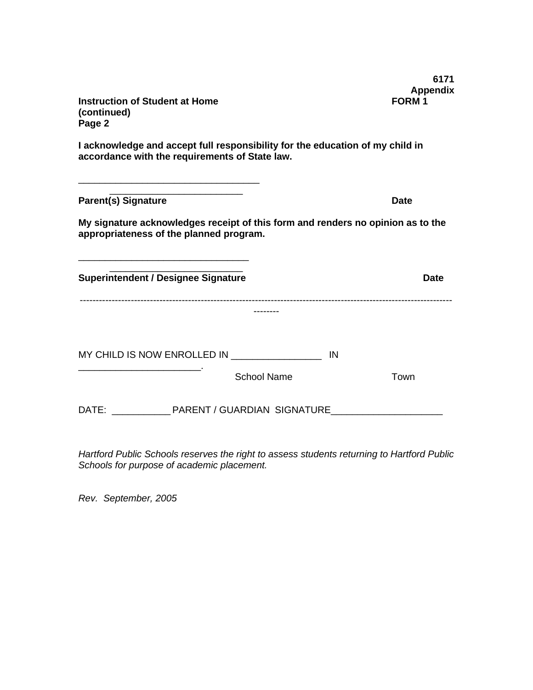| <b>Instruction of Student at Home</b><br>(continued)<br>Page 2                                                                  |    | 6171<br><b>Appendix</b><br>FORM <sub>1</sub> |
|---------------------------------------------------------------------------------------------------------------------------------|----|----------------------------------------------|
| I acknowledge and accept full responsibility for the education of my child in<br>accordance with the requirements of State law. |    |                                              |
| <b>Parent(s) Signature</b>                                                                                                      |    | <b>Date</b>                                  |
| My signature acknowledges receipt of this form and renders no opinion as to the<br>appropriateness of the planned program.      |    |                                              |
| <b>Superintendent / Designee Signature</b>                                                                                      |    | <b>Date</b>                                  |
|                                                                                                                                 |    |                                              |
| MY CHILD IS NOW ENROLLED IN <b>NAME (SEE ASSESS</b> )                                                                           | IN |                                              |
| <b>School Name</b>                                                                                                              |    | Town                                         |
| DATE: PARENT / GUARDIAN SIGNATURE                                                                                               |    |                                              |

*Hartford Public Schools reserves the right to assess students returning to Hartford Public Schools for purpose of academic placement.* 

*Rev. September, 2005*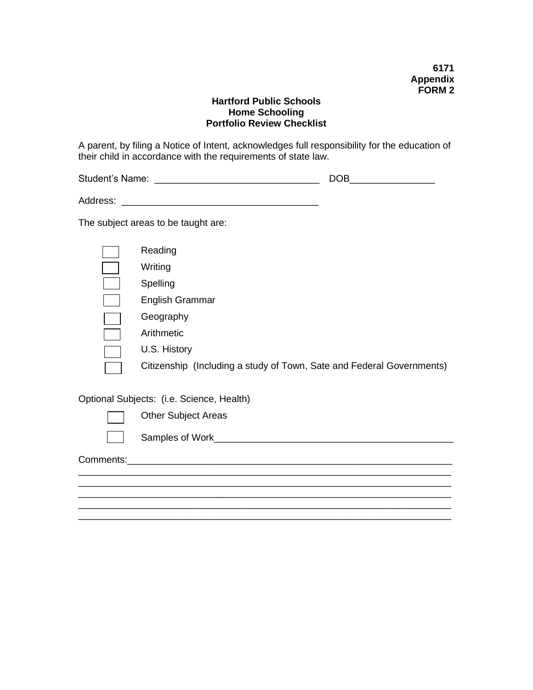## **Hartford Public Schools Home Schooling Portfolio Review Checklist**

A parent, by filing a Notice of Intent, acknowledges full responsibility for the education of their child in accordance with the requirements of state law.

| DOB.                                                                                  | <u> 1980 - Jan Barat, prima prima prima prima prima prima prima prima prima prima prima prima prima prima prima p</u> |
|---------------------------------------------------------------------------------------|-----------------------------------------------------------------------------------------------------------------------|
|                                                                                       |                                                                                                                       |
| The subject areas to be taught are:                                                   |                                                                                                                       |
| Reading<br>Writing<br>Spelling<br>English Grammar<br>Geography<br>Arithmetic          |                                                                                                                       |
| U.S. History<br>Citizenship (Including a study of Town, Sate and Federal Governments) |                                                                                                                       |
| Optional Subjects: (i.e. Science, Health)                                             |                                                                                                                       |
| <b>Other Subject Areas</b>                                                            |                                                                                                                       |

 $\mathcal{L}_\mathcal{L}$  , and the set of the set of the set of the set of the set of the set of the set of the set of the set of the set of the set of the set of the set of the set of the set of the set of the set of the set of th \_\_\_\_\_\_\_\_\_\_\_\_\_\_\_\_\_\_\_\_\_\_\_\_\_\_\_\_\_\_\_\_\_\_\_\_\_\_\_\_\_\_\_\_\_\_\_\_\_\_\_\_\_\_\_\_\_\_\_\_\_\_\_\_\_\_\_\_\_\_

\_\_\_\_\_\_\_\_\_\_\_\_\_\_\_\_\_\_\_\_\_\_\_\_\_\_\_\_\_\_\_\_\_\_\_\_\_\_\_\_\_\_\_\_\_\_\_\_\_\_\_\_\_\_\_\_\_\_\_\_\_\_\_\_\_\_\_\_\_\_

Samples of Work\_\_\_\_\_\_\_\_\_\_\_\_\_\_\_\_\_\_\_\_\_\_\_\_\_\_\_\_\_\_\_\_\_\_\_\_\_\_\_\_\_\_\_\_\_

Comments:\_\_\_\_\_\_\_\_\_\_\_\_\_\_\_\_\_\_\_\_\_\_\_\_\_\_\_\_\_\_\_\_\_\_\_\_\_\_\_\_\_\_\_\_\_\_\_\_\_\_\_\_\_\_\_\_\_\_\_\_\_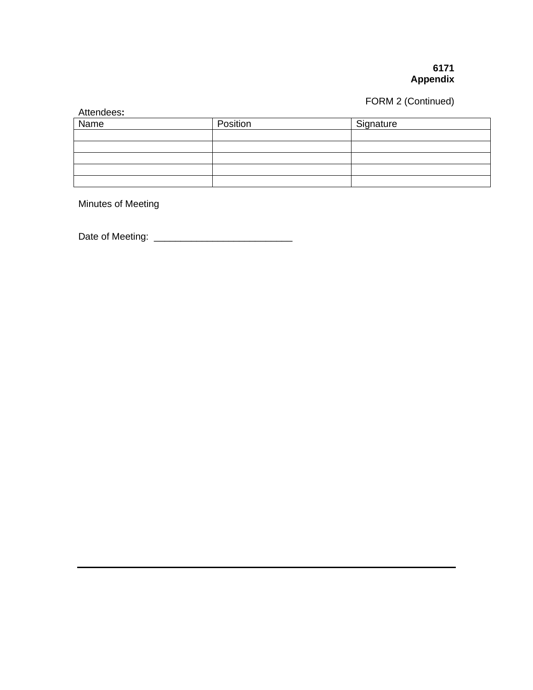## **6171 Appendix**

# FORM 2 (Continued)

| Attendees:  |          |           |
|-------------|----------|-----------|
| <b>Name</b> | Position | Signature |
|             |          |           |
|             |          |           |
|             |          |           |
|             |          |           |
|             |          |           |

Minutes of Meeting

Date of Meeting: \_\_\_\_\_\_\_\_\_\_\_\_\_\_\_\_\_\_\_\_\_\_\_\_\_\_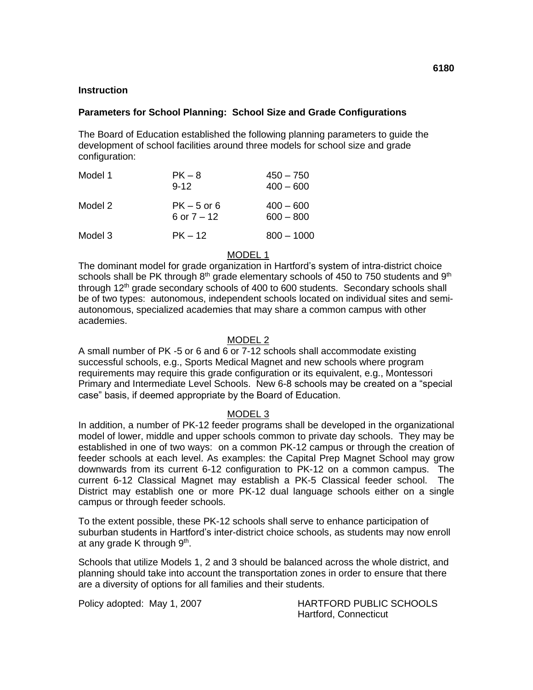### **Parameters for School Planning: School Size and Grade Configurations**

The Board of Education established the following planning parameters to guide the development of school facilities around three models for school size and grade configuration:

| Model 1 | $PK-8$<br>$9 - 12$           | $450 - 750$<br>$400 - 600$ |
|---------|------------------------------|----------------------------|
| Model 2 | $PK-5$ or 6<br>6 or $7 - 12$ | $400 - 600$<br>$600 - 800$ |
| Model 3 | $PK - 12$                    | $800 - 1000$               |

MODEL 1

The dominant model for grade organization in Hartford's system of intra-district choice schools shall be PK through  $8<sup>th</sup>$  grade elementary schools of 450 to 750 students and  $9<sup>th</sup>$ through 12<sup>th</sup> grade secondary schools of 400 to 600 students. Secondary schools shall be of two types: autonomous, independent schools located on individual sites and semiautonomous, specialized academies that may share a common campus with other academies.

#### MODEL 2

A small number of PK -5 or 6 and  $6$  or 7-12 schools shall accommodate existing successful schools, e.g., Sports Medical Magnet and new schools where program requirements may require this grade configuration or its equivalent, e.g., Montessori Primary and Intermediate Level Schools. New 6-8 schools may be created on a "special case" basis, if deemed appropriate by the Board of Education.

#### MODEL 3

In addition, a number of PK-12 feeder programs shall be developed in the organizational model of lower, middle and upper schools common to private day schools. They may be established in one of two ways: on a common PK-12 campus or through the creation of feeder schools at each level. As examples: the Capital Prep Magnet School may grow downwards from its current 6-12 configuration to PK-12 on a common campus. The current 6-12 Classical Magnet may establish a PK-5 Classical feeder school. The District may establish one or more PK-12 dual language schools either on a single campus or through feeder schools.

To the extent possible, these PK-12 schools shall serve to enhance participation of suburban students in Hartford's inter-district choice schools, as students may now enroll at any grade K through 9<sup>th</sup>.

Schools that utilize Models 1, 2 and 3 should be balanced across the whole district, and planning should take into account the transportation zones in order to ensure that there are a diversity of options for all families and their students.

Policy adopted: May 1, 2007 HARTFORD PUBLIC SCHOOLS Hartford, Connecticut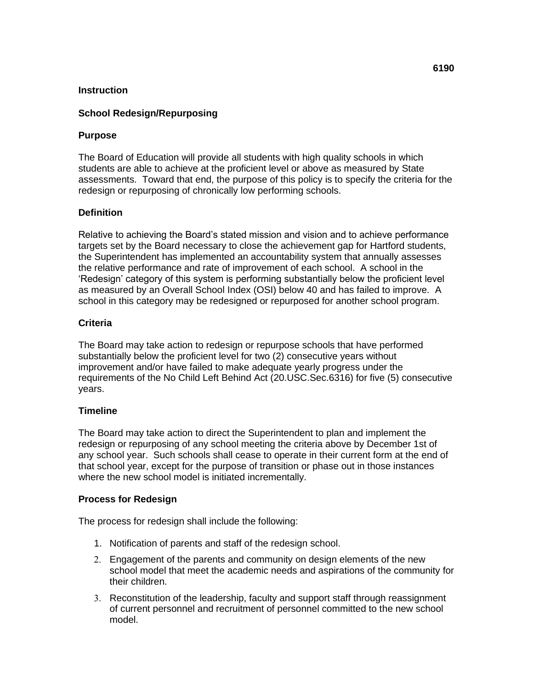## **School Redesign/Repurposing**

## **Purpose**

The Board of Education will provide all students with high quality schools in which students are able to achieve at the proficient level or above as measured by State assessments. Toward that end, the purpose of this policy is to specify the criteria for the redesign or repurposing of chronically low performing schools.

## **Definition**

Relative to achieving the Board's stated mission and vision and to achieve performance targets set by the Board necessary to close the achievement gap for Hartford students, the Superintendent has implemented an accountability system that annually assesses the relative performance and rate of improvement of each school. A school in the 'Redesign' category of this system is performing substantially below the proficient level as measured by an Overall School Index (OSI) below 40 and has failed to improve. A school in this category may be redesigned or repurposed for another school program.

## **Criteria**

The Board may take action to redesign or repurpose schools that have performed substantially below the proficient level for two (2) consecutive years without improvement and/or have failed to make adequate yearly progress under the requirements of the No Child Left Behind Act (20.USC.Sec.6316) for five (5) consecutive years.

## **Timeline**

The Board may take action to direct the Superintendent to plan and implement the redesign or repurposing of any school meeting the criteria above by December 1st of any school year. Such schools shall cease to operate in their current form at the end of that school year, except for the purpose of transition or phase out in those instances where the new school model is initiated incrementally.

## **Process for Redesign**

The process for redesign shall include the following:

- 1. Notification of parents and staff of the redesign school.
- 2. Engagement of the parents and community on design elements of the new school model that meet the academic needs and aspirations of the community for their children.
- 3. Reconstitution of the leadership, faculty and support staff through reassignment of current personnel and recruitment of personnel committed to the new school model.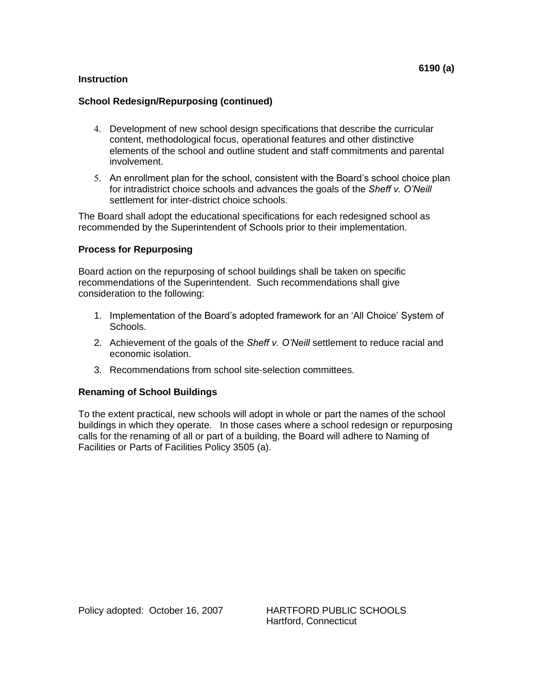## **School Redesign/Repurposing (continued)**

- 4. Development of new school design specifications that describe the curricular content, methodological focus, operational features and other distinctive elements of the school and outline student and staff commitments and parental involvement.
- 5. An enrollment plan for the school, consistent with the Board's school choice plan for intradistrict choice schools and advances the goals of the *Sheff v. O'Neill* settlement for inter-district choice schools.

The Board shall adopt the educational specifications for each redesigned school as recommended by the Superintendent of Schools prior to their implementation.

## **Process for Repurposing**

Board action on the repurposing of school buildings shall be taken on specific recommendations of the Superintendent. Such recommendations shall give consideration to the following:

- 1. Implementation of the Board's adopted framework for an 'All Choice' System of Schools.
- 2. Achievement of the goals of the *Sheff v. O'Neill* settlement to reduce racial and economic isolation.
- 3. Recommendations from school site-selection committees.

#### **Renaming of School Buildings**

To the extent practical, new schools will adopt in whole or part the names of the school buildings in which they operate. In those cases where a school redesign or repurposing calls for the renaming of all or part of a building, the Board will adhere to Naming of Facilities or Parts of Facilities Policy 3505 (a).

Policy adopted: October 16, 2007 HARTFORD PUBLIC SCHOOLS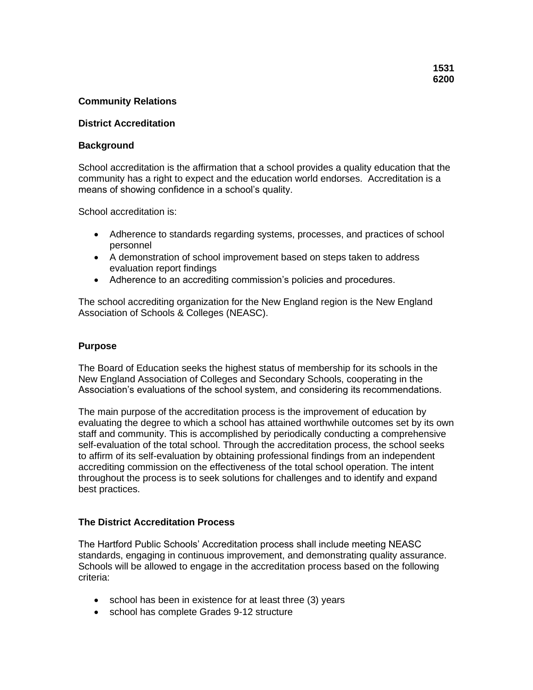## **Community Relations**

#### **District Accreditation**

#### **Background**

School accreditation is the affirmation that a school provides a quality education that the community has a right to expect and the education world endorses. Accreditation is a means of showing confidence in a school's quality.

School accreditation is:

- Adherence to standards regarding systems, processes, and practices of school personnel
- A demonstration of school improvement based on steps taken to address evaluation report findings
- Adherence to an accrediting commission's policies and procedures.

The school accrediting organization for the New England region is the New England Association of Schools & Colleges (NEASC).

#### **Purpose**

The Board of Education seeks the highest status of membership for its schools in the New England Association of Colleges and Secondary Schools, cooperating in the Association's evaluations of the school system, and considering its recommendations.

The main purpose of the accreditation process is the improvement of education by evaluating the degree to which a school has attained worthwhile outcomes set by its own staff and community. This is accomplished by periodically conducting a comprehensive self-evaluation of the total school. Through the accreditation process, the school seeks to affirm of its self-evaluation by obtaining professional findings from an independent accrediting commission on the effectiveness of the total school operation. The intent throughout the process is to seek solutions for challenges and to identify and expand best practices.

#### **The District Accreditation Process**

The Hartford Public Schools' Accreditation process shall include meeting NEASC standards, engaging in continuous improvement, and demonstrating quality assurance. Schools will be allowed to engage in the accreditation process based on the following criteria:

- school has been in existence for at least three (3) years
- school has complete Grades 9-12 structure